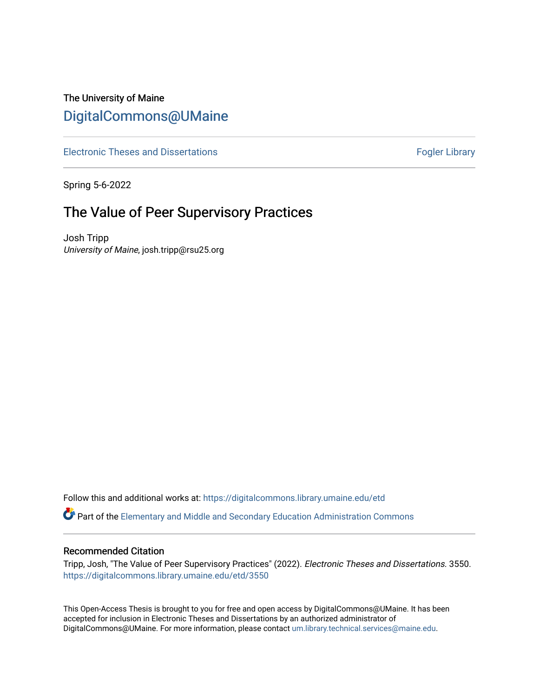# The University of Maine [DigitalCommons@UMaine](https://digitalcommons.library.umaine.edu/)

[Electronic Theses and Dissertations](https://digitalcommons.library.umaine.edu/etd) [Fogler Library](https://digitalcommons.library.umaine.edu/fogler) Fogler Library

Spring 5-6-2022

# The Value of Peer Supervisory Practices

Josh Tripp University of Maine, josh.tripp@rsu25.org

Follow this and additional works at: [https://digitalcommons.library.umaine.edu/etd](https://digitalcommons.library.umaine.edu/etd?utm_source=digitalcommons.library.umaine.edu%2Fetd%2F3550&utm_medium=PDF&utm_campaign=PDFCoverPages) 

Part of the [Elementary and Middle and Secondary Education Administration Commons](https://network.bepress.com/hgg/discipline/790?utm_source=digitalcommons.library.umaine.edu%2Fetd%2F3550&utm_medium=PDF&utm_campaign=PDFCoverPages)

# Recommended Citation

Tripp, Josh, "The Value of Peer Supervisory Practices" (2022). Electronic Theses and Dissertations. 3550. [https://digitalcommons.library.umaine.edu/etd/3550](https://digitalcommons.library.umaine.edu/etd/3550?utm_source=digitalcommons.library.umaine.edu%2Fetd%2F3550&utm_medium=PDF&utm_campaign=PDFCoverPages)

This Open-Access Thesis is brought to you for free and open access by DigitalCommons@UMaine. It has been accepted for inclusion in Electronic Theses and Dissertations by an authorized administrator of DigitalCommons@UMaine. For more information, please contact [um.library.technical.services@maine.edu](mailto:um.library.technical.services@maine.edu).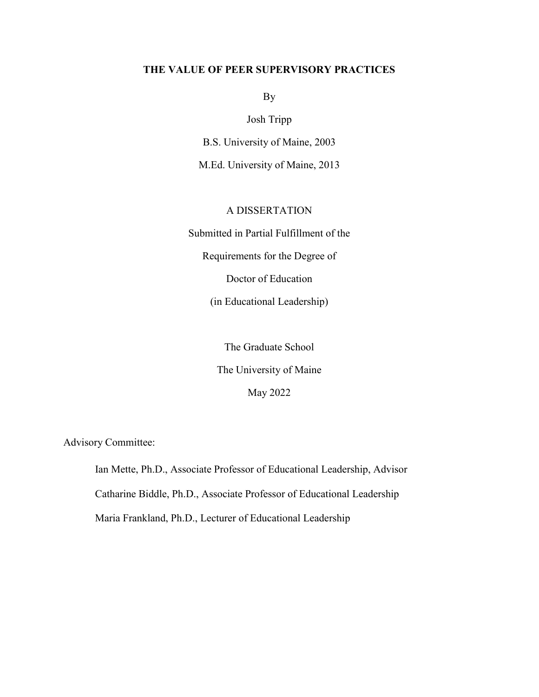# **THE VALUE OF PEER SUPERVISORY PRACTICES**

By

Josh Tripp

B.S. University of Maine, 2003

M.Ed. University of Maine, 2013

# A DISSERTATION

Submitted in Partial Fulfillment of the

Requirements for the Degree of

Doctor of Education

(in Educational Leadership)

The Graduate School The University of Maine May 2022

Advisory Committee:

Ian Mette, Ph.D., Associate Professor of Educational Leadership, Advisor Catharine Biddle, Ph.D., Associate Professor of Educational Leadership Maria Frankland, Ph.D., Lecturer of Educational Leadership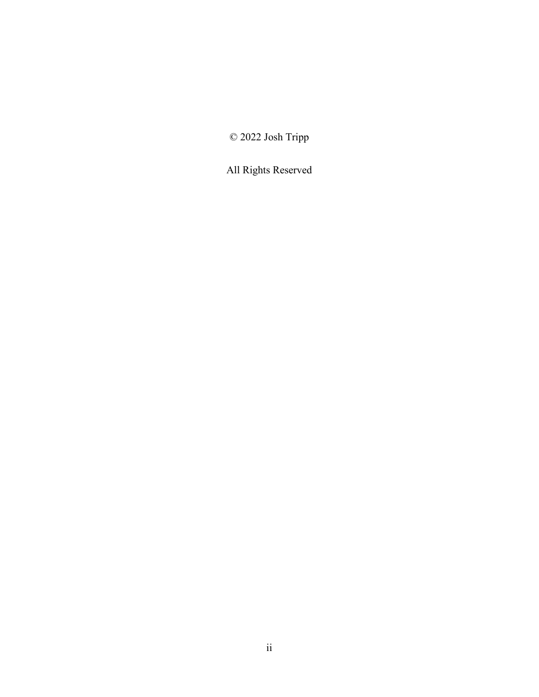© 2022 Josh Tripp

All Rights Reserved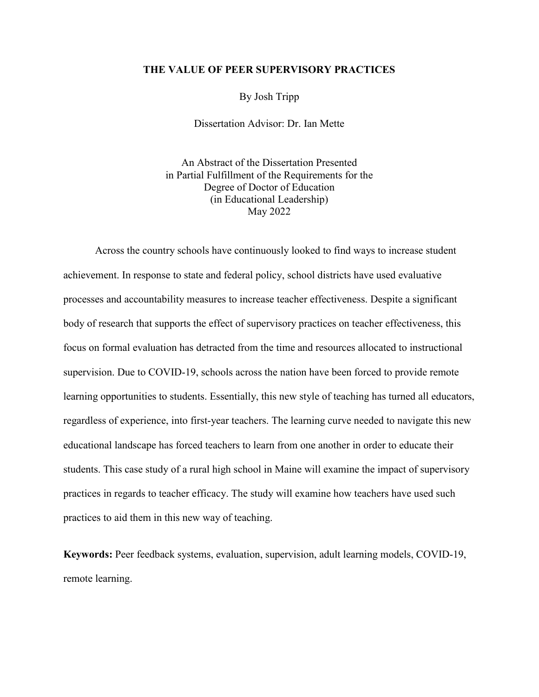# **THE VALUE OF PEER SUPERVISORY PRACTICES**

By Josh Tripp

Dissertation Advisor: Dr. Ian Mette

An Abstract of the Dissertation Presented in Partial Fulfillment of the Requirements for the Degree of Doctor of Education (in Educational Leadership) May 2022

Across the country schools have continuously looked to find ways to increase student achievement. In response to state and federal policy, school districts have used evaluative processes and accountability measures to increase teacher effectiveness. Despite a significant body of research that supports the effect of supervisory practices on teacher effectiveness, this focus on formal evaluation has detracted from the time and resources allocated to instructional supervision. Due to COVID-19, schools across the nation have been forced to provide remote learning opportunities to students. Essentially, this new style of teaching has turned all educators, regardless of experience, into first-year teachers. The learning curve needed to navigate this new educational landscape has forced teachers to learn from one another in order to educate their students. This case study of a rural high school in Maine will examine the impact of supervisory practices in regards to teacher efficacy. The study will examine how teachers have used such practices to aid them in this new way of teaching.

**Keywords:** Peer feedback systems, evaluation, supervision, adult learning models, COVID-19, remote learning.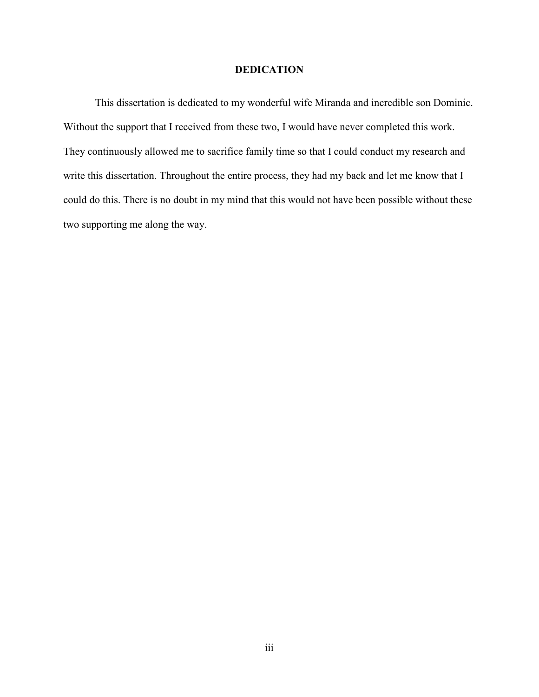# **DEDICATION**

This dissertation is dedicated to my wonderful wife Miranda and incredible son Dominic. Without the support that I received from these two, I would have never completed this work. They continuously allowed me to sacrifice family time so that I could conduct my research and write this dissertation. Throughout the entire process, they had my back and let me know that I could do this. There is no doubt in my mind that this would not have been possible without these two supporting me along the way.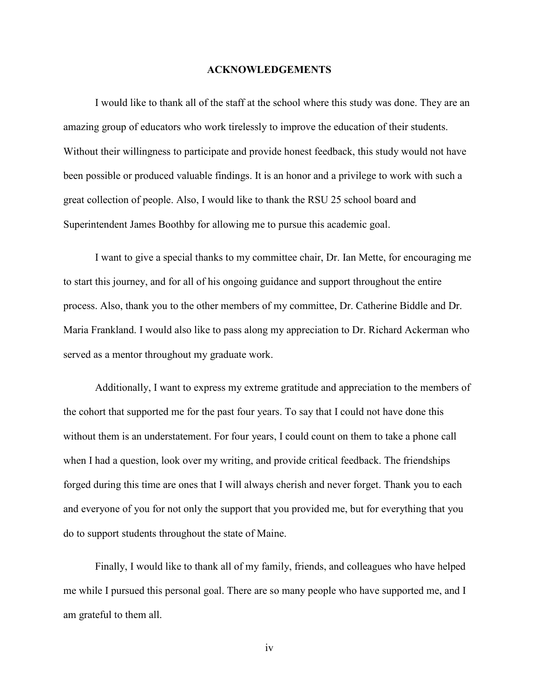# **ACKNOWLEDGEMENTS**

I would like to thank all of the staff at the school where this study was done. They are an amazing group of educators who work tirelessly to improve the education of their students. Without their willingness to participate and provide honest feedback, this study would not have been possible or produced valuable findings. It is an honor and a privilege to work with such a great collection of people. Also, I would like to thank the RSU 25 school board and Superintendent James Boothby for allowing me to pursue this academic goal.

I want to give a special thanks to my committee chair, Dr. Ian Mette, for encouraging me to start this journey, and for all of his ongoing guidance and support throughout the entire process. Also, thank you to the other members of my committee, Dr. Catherine Biddle and Dr. Maria Frankland. I would also like to pass along my appreciation to Dr. Richard Ackerman who served as a mentor throughout my graduate work.

Additionally, I want to express my extreme gratitude and appreciation to the members of the cohort that supported me for the past four years. To say that I could not have done this without them is an understatement. For four years, I could count on them to take a phone call when I had a question, look over my writing, and provide critical feedback. The friendships forged during this time are ones that I will always cherish and never forget. Thank you to each and everyone of you for not only the support that you provided me, but for everything that you do to support students throughout the state of Maine.

Finally, I would like to thank all of my family, friends, and colleagues who have helped me while I pursued this personal goal. There are so many people who have supported me, and I am grateful to them all.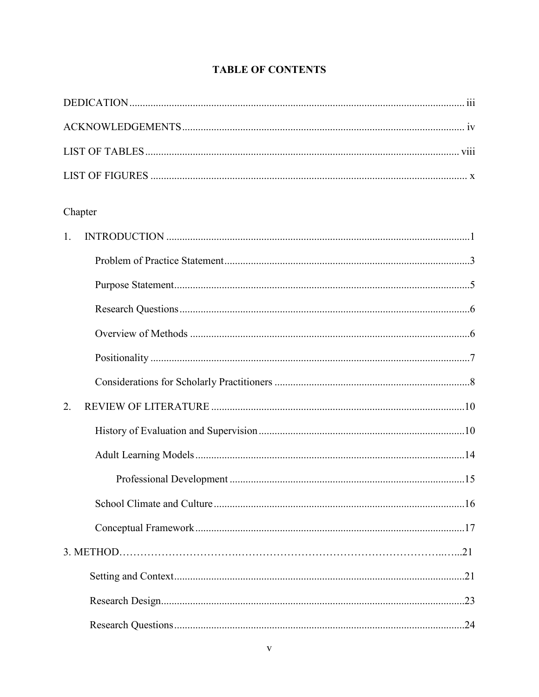# **TABLE OF CONTENTS**

| Chapter |  |
|---------|--|
| 1.      |  |
|         |  |
|         |  |
|         |  |
|         |  |
|         |  |
|         |  |
| 2.      |  |
|         |  |
|         |  |
|         |  |
|         |  |
|         |  |
|         |  |
|         |  |
|         |  |
|         |  |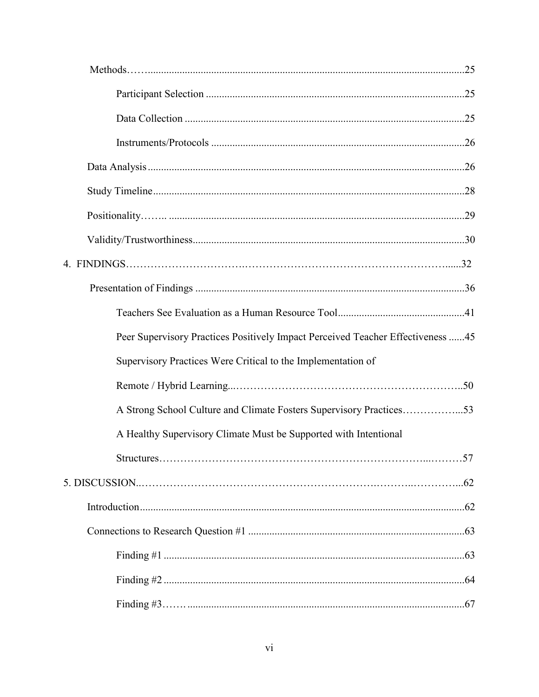| Peer Supervisory Practices Positively Impact Perceived Teacher Effectiveness  45 |
|----------------------------------------------------------------------------------|
| Supervisory Practices Were Critical to the Implementation of                     |
|                                                                                  |
| A Strong School Culture and Climate Fosters Supervisory Practices53              |
| A Healthy Supervisory Climate Must be Supported with Intentional                 |
|                                                                                  |
|                                                                                  |
|                                                                                  |
|                                                                                  |
|                                                                                  |
|                                                                                  |
|                                                                                  |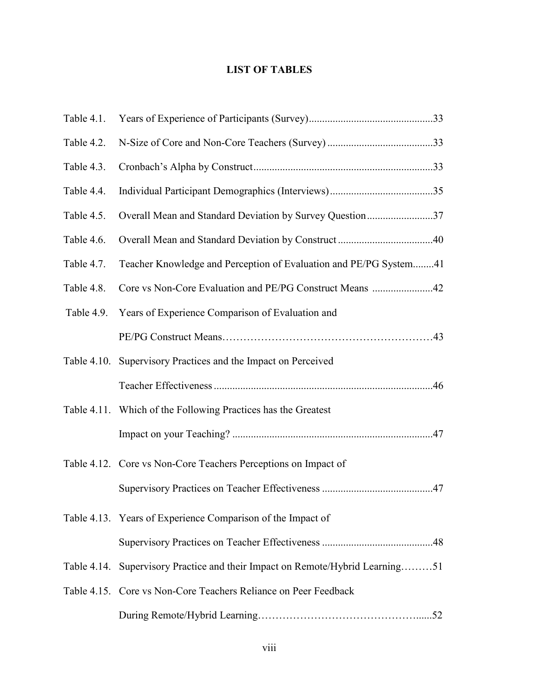# **LIST OF TABLES**

| Table 4.1. |                                                                               |
|------------|-------------------------------------------------------------------------------|
| Table 4.2. |                                                                               |
| Table 4.3. |                                                                               |
| Table 4.4. |                                                                               |
| Table 4.5. | Overall Mean and Standard Deviation by Survey Question37                      |
| Table 4.6. |                                                                               |
| Table 4.7. | Teacher Knowledge and Perception of Evaluation and PE/PG System41             |
| Table 4.8. | Core vs Non-Core Evaluation and PE/PG Construct Means 42                      |
| Table 4.9. | Years of Experience Comparison of Evaluation and                              |
|            |                                                                               |
|            | Table 4.10. Supervisory Practices and the Impact on Perceived                 |
|            |                                                                               |
|            | Table 4.11. Which of the Following Practices has the Greatest                 |
|            |                                                                               |
|            | Table 4.12. Core vs Non-Core Teachers Perceptions on Impact of                |
|            |                                                                               |
|            | Table 4.13. Years of Experience Comparison of the Impact of                   |
|            |                                                                               |
|            | Table 4.14. Supervisory Practice and their Impact on Remote/Hybrid Learning51 |
|            | Table 4.15. Core vs Non-Core Teachers Reliance on Peer Feedback               |
|            |                                                                               |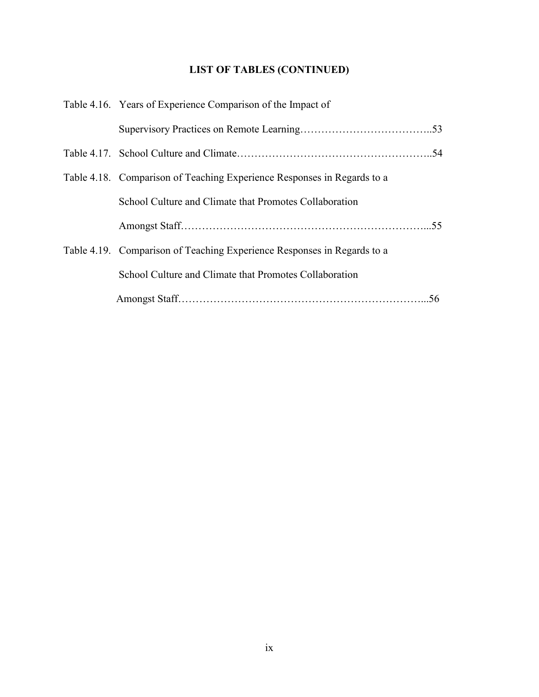# **LIST OF TABLES (CONTINUED)**

| Table 4.16. Years of Experience Comparison of the Impact of             |  |  |
|-------------------------------------------------------------------------|--|--|
|                                                                         |  |  |
|                                                                         |  |  |
| Table 4.18. Comparison of Teaching Experience Responses in Regards to a |  |  |
| School Culture and Climate that Promotes Collaboration                  |  |  |
|                                                                         |  |  |
| Table 4.19. Comparison of Teaching Experience Responses in Regards to a |  |  |
| School Culture and Climate that Promotes Collaboration                  |  |  |
|                                                                         |  |  |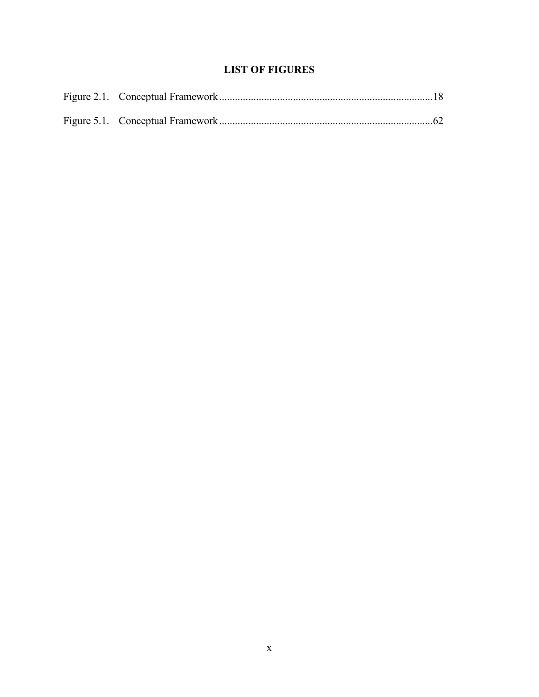# **LIST OF FIGURES**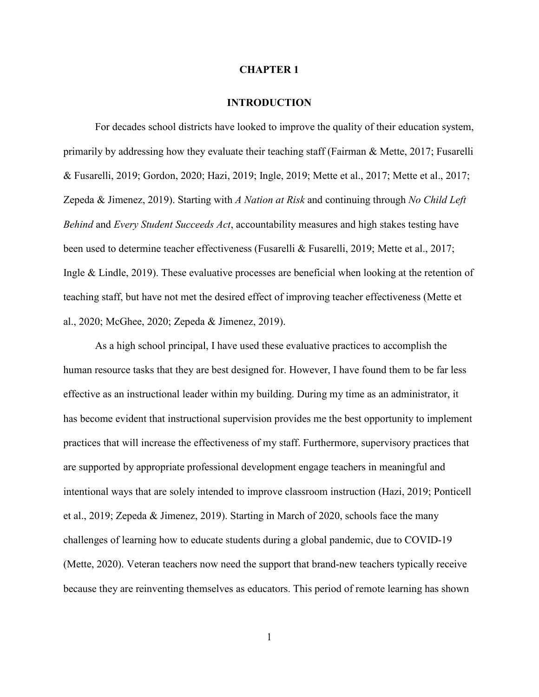## **CHAPTER 1**

#### **INTRODUCTION**

For decades school districts have looked to improve the quality of their education system, primarily by addressing how they evaluate their teaching staff (Fairman & Mette, 2017; Fusarelli & Fusarelli, 2019; Gordon, 2020; Hazi, 2019; Ingle, 2019; Mette et al., 2017; Mette et al., 2017; Zepeda & Jimenez, 2019). Starting with *A Nation at Risk* and continuing through *No Child Left Behind* and *Every Student Succeeds Act*, accountability measures and high stakes testing have been used to determine teacher effectiveness (Fusarelli & Fusarelli, 2019; Mette et al., 2017; Ingle & Lindle, 2019). These evaluative processes are beneficial when looking at the retention of teaching staff, but have not met the desired effect of improving teacher effectiveness (Mette et al., 2020; McGhee, 2020; Zepeda & Jimenez, 2019).

As a high school principal, I have used these evaluative practices to accomplish the human resource tasks that they are best designed for. However, I have found them to be far less effective as an instructional leader within my building. During my time as an administrator, it has become evident that instructional supervision provides me the best opportunity to implement practices that will increase the effectiveness of my staff. Furthermore, supervisory practices that are supported by appropriate professional development engage teachers in meaningful and intentional ways that are solely intended to improve classroom instruction (Hazi, 2019; Ponticell et al., 2019; Zepeda & Jimenez, 2019). Starting in March of 2020, schools face the many challenges of learning how to educate students during a global pandemic, due to COVID-19 (Mette, 2020). Veteran teachers now need the support that brand-new teachers typically receive because they are reinventing themselves as educators. This period of remote learning has shown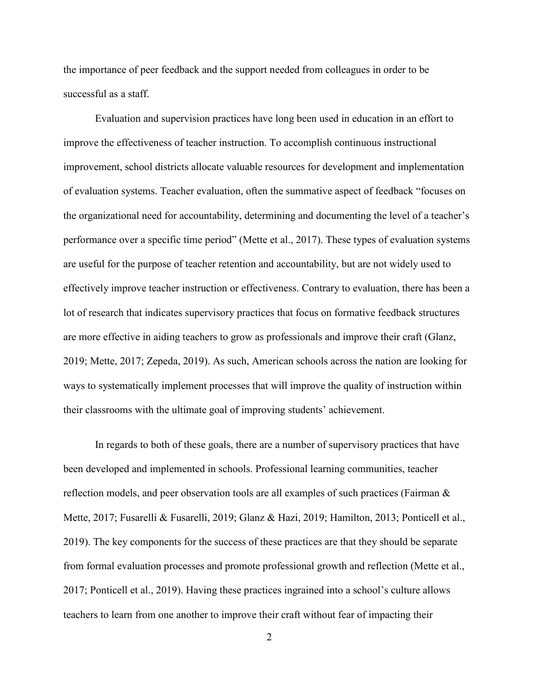the importance of peer feedback and the support needed from colleagues in order to be successful as a staff.

Evaluation and supervision practices have long been used in education in an effort to improve the effectiveness of teacher instruction. To accomplish continuous instructional improvement, school districts allocate valuable resources for development and implementation of evaluation systems. Teacher evaluation, often the summative aspect of feedback "focuses on the organizational need for accountability, determining and documenting the level of a teacher's performance over a specific time period" (Mette et al., 2017). These types of evaluation systems are useful for the purpose of teacher retention and accountability, but are not widely used to effectively improve teacher instruction or effectiveness. Contrary to evaluation, there has been a lot of research that indicates supervisory practices that focus on formative feedback structures are more effective in aiding teachers to grow as professionals and improve their craft (Glanz, 2019; Mette, 2017; Zepeda, 2019). As such, American schools across the nation are looking for ways to systematically implement processes that will improve the quality of instruction within their classrooms with the ultimate goal of improving students' achievement.

In regards to both of these goals, there are a number of supervisory practices that have been developed and implemented in schools. Professional learning communities, teacher reflection models, and peer observation tools are all examples of such practices (Fairman & Mette, 2017; Fusarelli & Fusarelli, 2019; Glanz & Hazi, 2019; Hamilton, 2013; Ponticell et al., 2019). The key components for the success of these practices are that they should be separate from formal evaluation processes and promote professional growth and reflection (Mette et al., 2017; Ponticell et al., 2019). Having these practices ingrained into a school's culture allows teachers to learn from one another to improve their craft without fear of impacting their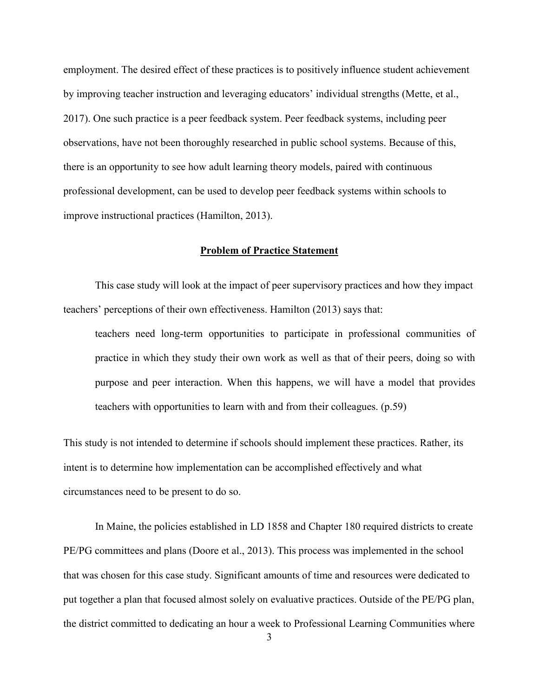employment. The desired effect of these practices is to positively influence student achievement by improving teacher instruction and leveraging educators' individual strengths (Mette, et al., 2017). One such practice is a peer feedback system. Peer feedback systems, including peer observations, have not been thoroughly researched in public school systems. Because of this, there is an opportunity to see how adult learning theory models, paired with continuous professional development, can be used to develop peer feedback systems within schools to improve instructional practices (Hamilton, 2013).

# **Problem of Practice Statement**

This case study will look at the impact of peer supervisory practices and how they impact teachers' perceptions of their own effectiveness. Hamilton (2013) says that:

teachers need long-term opportunities to participate in professional communities of practice in which they study their own work as well as that of their peers, doing so with purpose and peer interaction. When this happens, we will have a model that provides teachers with opportunities to learn with and from their colleagues. (p.59)

This study is not intended to determine if schools should implement these practices. Rather, its intent is to determine how implementation can be accomplished effectively and what circumstances need to be present to do so.

In Maine, the policies established in LD 1858 and Chapter 180 required districts to create PE/PG committees and plans (Doore et al., 2013). This process was implemented in the school that was chosen for this case study. Significant amounts of time and resources were dedicated to put together a plan that focused almost solely on evaluative practices. Outside of the PE/PG plan, the district committed to dedicating an hour a week to Professional Learning Communities where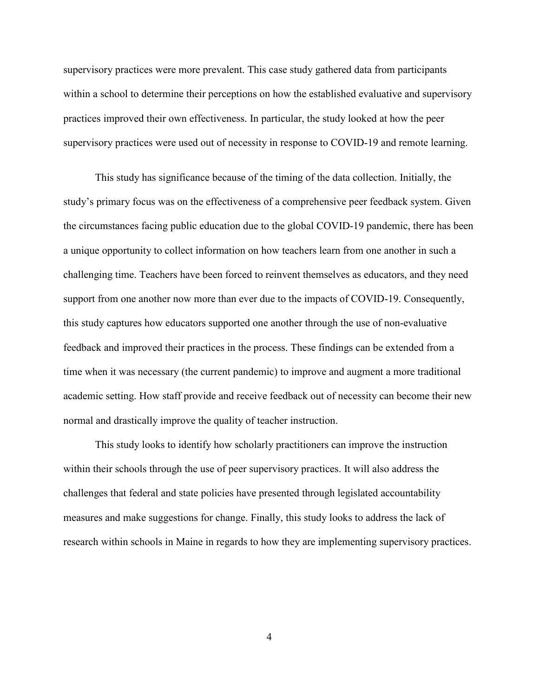supervisory practices were more prevalent. This case study gathered data from participants within a school to determine their perceptions on how the established evaluative and supervisory practices improved their own effectiveness. In particular, the study looked at how the peer supervisory practices were used out of necessity in response to COVID-19 and remote learning.

This study has significance because of the timing of the data collection. Initially, the study's primary focus was on the effectiveness of a comprehensive peer feedback system. Given the circumstances facing public education due to the global COVID-19 pandemic, there has been a unique opportunity to collect information on how teachers learn from one another in such a challenging time. Teachers have been forced to reinvent themselves as educators, and they need support from one another now more than ever due to the impacts of COVID-19. Consequently, this study captures how educators supported one another through the use of non-evaluative feedback and improved their practices in the process. These findings can be extended from a time when it was necessary (the current pandemic) to improve and augment a more traditional academic setting. How staff provide and receive feedback out of necessity can become their new normal and drastically improve the quality of teacher instruction.

This study looks to identify how scholarly practitioners can improve the instruction within their schools through the use of peer supervisory practices. It will also address the challenges that federal and state policies have presented through legislated accountability measures and make suggestions for change. Finally, this study looks to address the lack of research within schools in Maine in regards to how they are implementing supervisory practices.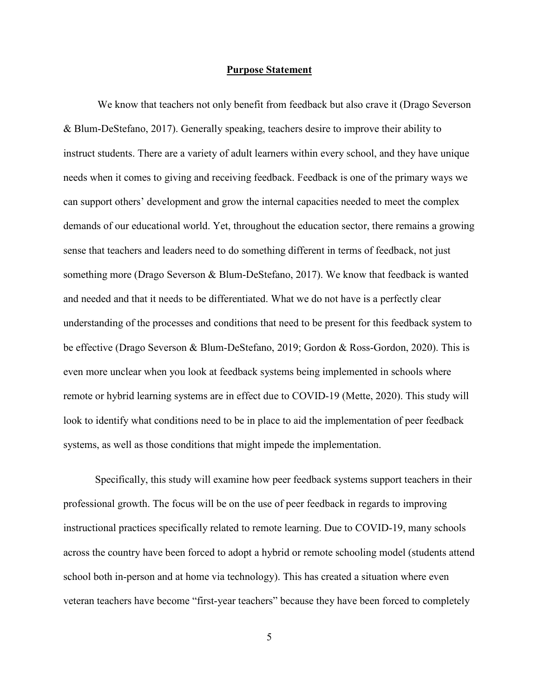### **Purpose Statement**

We know that teachers not only benefit from feedback but also crave it (Drago Severson & Blum-DeStefano, 2017). Generally speaking, teachers desire to improve their ability to instruct students. There are a variety of adult learners within every school, and they have unique needs when it comes to giving and receiving feedback. Feedback is one of the primary ways we can support others' development and grow the internal capacities needed to meet the complex demands of our educational world. Yet, throughout the education sector, there remains a growing sense that teachers and leaders need to do something different in terms of feedback, not just something more (Drago Severson & Blum-DeStefano, 2017). We know that feedback is wanted and needed and that it needs to be differentiated. What we do not have is a perfectly clear understanding of the processes and conditions that need to be present for this feedback system to be effective (Drago Severson & Blum-DeStefano, 2019; Gordon & Ross-Gordon, 2020). This is even more unclear when you look at feedback systems being implemented in schools where remote or hybrid learning systems are in effect due to COVID-19 (Mette, 2020). This study will look to identify what conditions need to be in place to aid the implementation of peer feedback systems, as well as those conditions that might impede the implementation.

Specifically, this study will examine how peer feedback systems support teachers in their professional growth. The focus will be on the use of peer feedback in regards to improving instructional practices specifically related to remote learning. Due to COVID-19, many schools across the country have been forced to adopt a hybrid or remote schooling model (students attend school both in-person and at home via technology). This has created a situation where even veteran teachers have become "first-year teachers" because they have been forced to completely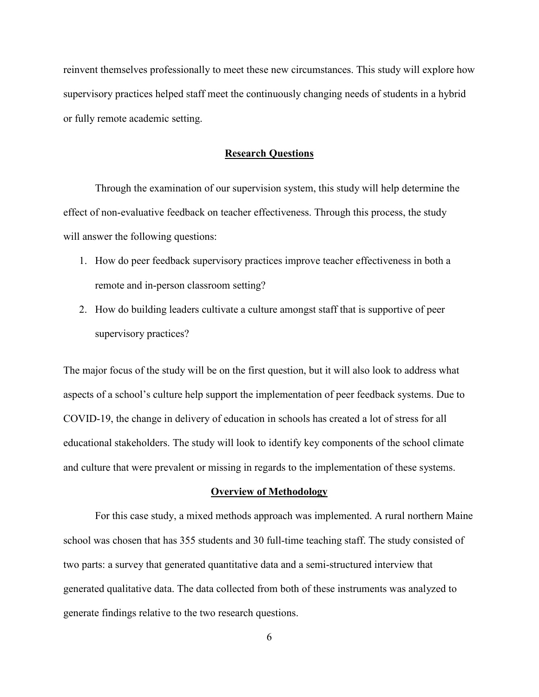reinvent themselves professionally to meet these new circumstances. This study will explore how supervisory practices helped staff meet the continuously changing needs of students in a hybrid or fully remote academic setting.

#### **Research Questions**

Through the examination of our supervision system, this study will help determine the effect of non-evaluative feedback on teacher effectiveness. Through this process, the study will answer the following questions:

- 1. How do peer feedback supervisory practices improve teacher effectiveness in both a remote and in-person classroom setting?
- 2. How do building leaders cultivate a culture amongst staff that is supportive of peer supervisory practices?

The major focus of the study will be on the first question, but it will also look to address what aspects of a school's culture help support the implementation of peer feedback systems. Due to COVID-19, the change in delivery of education in schools has created a lot of stress for all educational stakeholders. The study will look to identify key components of the school climate and culture that were prevalent or missing in regards to the implementation of these systems.

# **Overview of Methodology**

For this case study, a mixed methods approach was implemented. A rural northern Maine school was chosen that has 355 students and 30 full-time teaching staff. The study consisted of two parts: a survey that generated quantitative data and a semi-structured interview that generated qualitative data. The data collected from both of these instruments was analyzed to generate findings relative to the two research questions.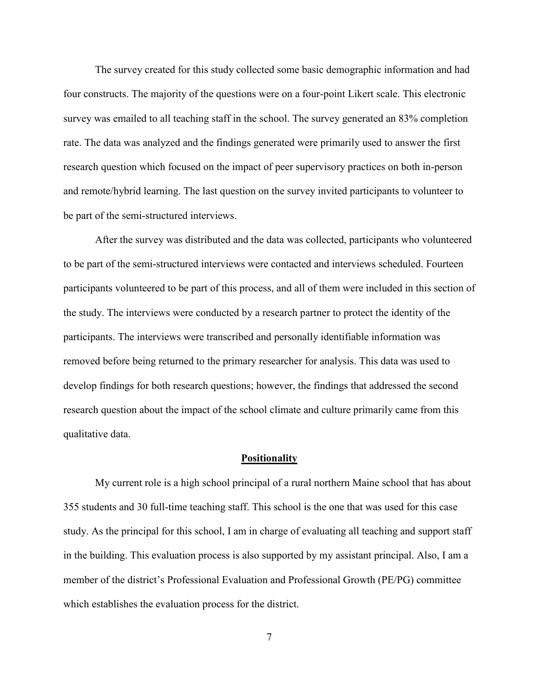The survey created for this study collected some basic demographic information and had four constructs. The majority of the questions were on a four-point Likert scale. This electronic survey was emailed to all teaching staff in the school. The survey generated an 83% completion rate. The data was analyzed and the findings generated were primarily used to answer the first research question which focused on the impact of peer supervisory practices on both in-person and remote/hybrid learning. The last question on the survey invited participants to volunteer to be part of the semi-structured interviews.

After the survey was distributed and the data was collected, participants who volunteered to be part of the semi-structured interviews were contacted and interviews scheduled. Fourteen participants volunteered to be part of this process, and all of them were included in this section of the study. The interviews were conducted by a research partner to protect the identity of the participants. The interviews were transcribed and personally identifiable information was removed before being returned to the primary researcher for analysis. This data was used to develop findings for both research questions; however, the findings that addressed the second research question about the impact of the school climate and culture primarily came from this qualitative data.

#### **Positionality**

My current role is a high school principal of a rural northern Maine school that has about 355 students and 30 full-time teaching staff. This school is the one that was used for this case study. As the principal for this school, I am in charge of evaluating all teaching and support staff in the building. This evaluation process is also supported by my assistant principal. Also, I am a member of the district's Professional Evaluation and Professional Growth (PE/PG) committee which establishes the evaluation process for the district.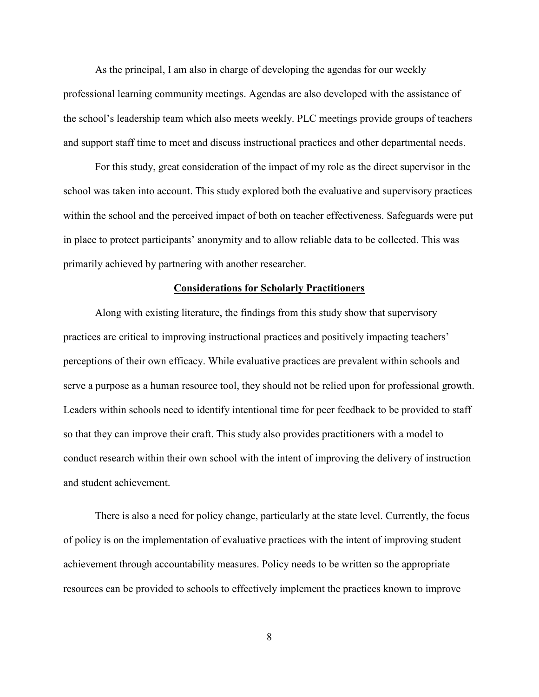As the principal, I am also in charge of developing the agendas for our weekly professional learning community meetings. Agendas are also developed with the assistance of the school's leadership team which also meets weekly. PLC meetings provide groups of teachers and support staff time to meet and discuss instructional practices and other departmental needs.

For this study, great consideration of the impact of my role as the direct supervisor in the school was taken into account. This study explored both the evaluative and supervisory practices within the school and the perceived impact of both on teacher effectiveness. Safeguards were put in place to protect participants' anonymity and to allow reliable data to be collected. This was primarily achieved by partnering with another researcher.

# **Considerations for Scholarly Practitioners**

Along with existing literature, the findings from this study show that supervisory practices are critical to improving instructional practices and positively impacting teachers' perceptions of their own efficacy. While evaluative practices are prevalent within schools and serve a purpose as a human resource tool, they should not be relied upon for professional growth. Leaders within schools need to identify intentional time for peer feedback to be provided to staff so that they can improve their craft. This study also provides practitioners with a model to conduct research within their own school with the intent of improving the delivery of instruction and student achievement.

There is also a need for policy change, particularly at the state level. Currently, the focus of policy is on the implementation of evaluative practices with the intent of improving student achievement through accountability measures. Policy needs to be written so the appropriate resources can be provided to schools to effectively implement the practices known to improve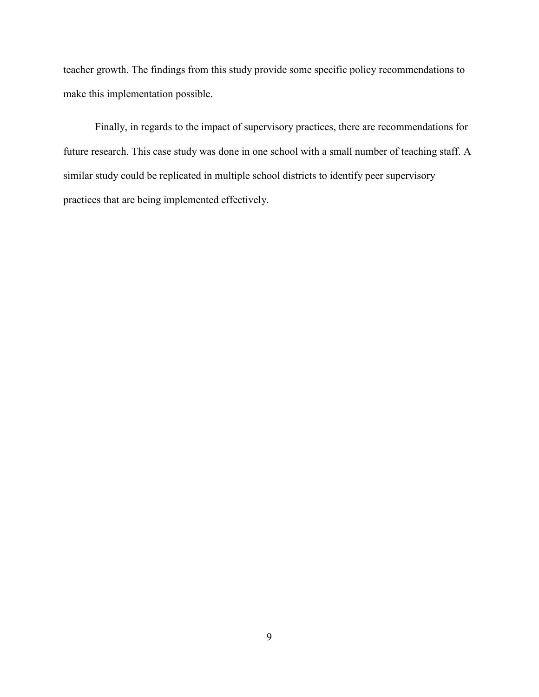teacher growth. The findings from this study provide some specific policy recommendations to make this implementation possible.

Finally, in regards to the impact of supervisory practices, there are recommendations for future research. This case study was done in one school with a small number of teaching staff. A similar study could be replicated in multiple school districts to identify peer supervisory practices that are being implemented effectively.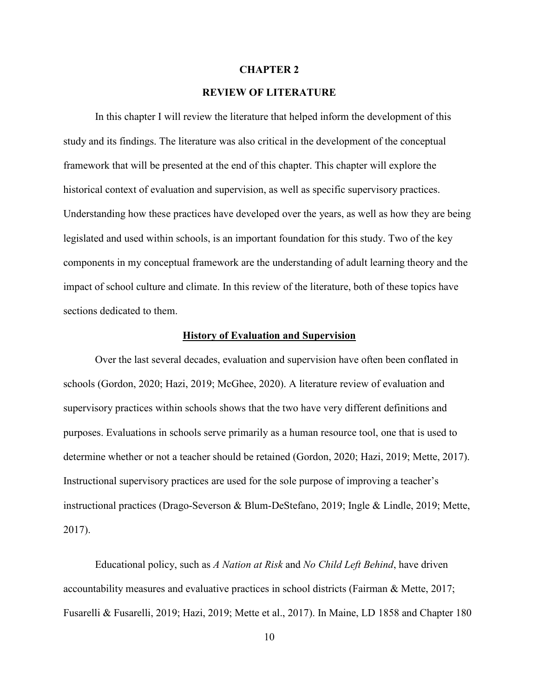#### **CHAPTER 2**

# **REVIEW OF LITERATURE**

In this chapter I will review the literature that helped inform the development of this study and its findings. The literature was also critical in the development of the conceptual framework that will be presented at the end of this chapter. This chapter will explore the historical context of evaluation and supervision, as well as specific supervisory practices. Understanding how these practices have developed over the years, as well as how they are being legislated and used within schools, is an important foundation for this study. Two of the key components in my conceptual framework are the understanding of adult learning theory and the impact of school culture and climate. In this review of the literature, both of these topics have sections dedicated to them.

# **History of Evaluation and Supervision**

Over the last several decades, evaluation and supervision have often been conflated in schools (Gordon, 2020; Hazi, 2019; McGhee, 2020). A literature review of evaluation and supervisory practices within schools shows that the two have very different definitions and purposes. Evaluations in schools serve primarily as a human resource tool, one that is used to determine whether or not a teacher should be retained (Gordon, 2020; Hazi, 2019; Mette, 2017). Instructional supervisory practices are used for the sole purpose of improving a teacher's instructional practices (Drago-Severson & Blum-DeStefano, 2019; Ingle & Lindle, 2019; Mette, 2017).

Educational policy, such as *A Nation at Risk* and *No Child Left Behind*, have driven accountability measures and evaluative practices in school districts (Fairman & Mette, 2017; Fusarelli & Fusarelli, 2019; Hazi, 2019; Mette et al., 2017). In Maine, LD 1858 and Chapter 180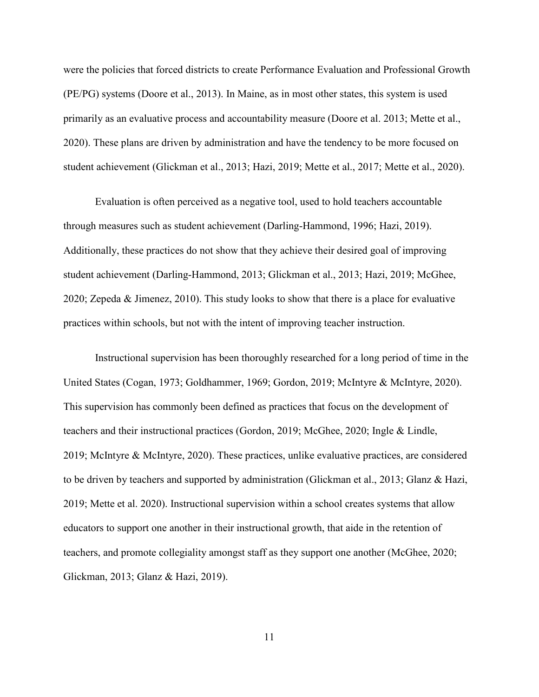were the policies that forced districts to create Performance Evaluation and Professional Growth (PE/PG) systems (Doore et al., 2013). In Maine, as in most other states, this system is used primarily as an evaluative process and accountability measure (Doore et al. 2013; Mette et al., 2020). These plans are driven by administration and have the tendency to be more focused on student achievement (Glickman et al., 2013; Hazi, 2019; Mette et al., 2017; Mette et al., 2020).

Evaluation is often perceived as a negative tool, used to hold teachers accountable through measures such as student achievement (Darling-Hammond, 1996; Hazi, 2019). Additionally, these practices do not show that they achieve their desired goal of improving student achievement (Darling-Hammond, 2013; Glickman et al., 2013; Hazi, 2019; McGhee, 2020; Zepeda & Jimenez, 2010). This study looks to show that there is a place for evaluative practices within schools, but not with the intent of improving teacher instruction.

Instructional supervision has been thoroughly researched for a long period of time in the United States (Cogan, 1973; Goldhammer, 1969; Gordon, 2019; McIntyre & McIntyre, 2020). This supervision has commonly been defined as practices that focus on the development of teachers and their instructional practices (Gordon, 2019; McGhee, 2020; Ingle & Lindle, 2019; McIntyre & McIntyre, 2020). These practices, unlike evaluative practices, are considered to be driven by teachers and supported by administration (Glickman et al., 2013; Glanz & Hazi, 2019; Mette et al. 2020). Instructional supervision within a school creates systems that allow educators to support one another in their instructional growth, that aide in the retention of teachers, and promote collegiality amongst staff as they support one another (McGhee, 2020; Glickman, 2013; Glanz & Hazi, 2019).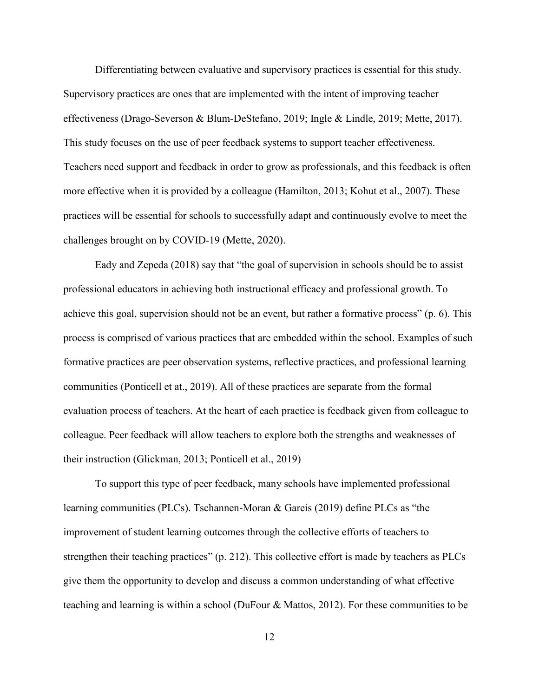Differentiating between evaluative and supervisory practices is essential for this study. Supervisory practices are ones that are implemented with the intent of improving teacher effectiveness (Drago-Severson & Blum-DeStefano, 2019; Ingle & Lindle, 2019; Mette, 2017). This study focuses on the use of peer feedback systems to support teacher effectiveness. Teachers need support and feedback in order to grow as professionals, and this feedback is often more effective when it is provided by a colleague (Hamilton, 2013; Kohut et al., 2007). These practices will be essential for schools to successfully adapt and continuously evolve to meet the challenges brought on by COVID-19 (Mette, 2020).

Eady and Zepeda (2018) say that "the goal of supervision in schools should be to assist professional educators in achieving both instructional efficacy and professional growth. To achieve this goal, supervision should not be an event, but rather a formative process" (p. 6). This process is comprised of various practices that are embedded within the school. Examples of such formative practices are peer observation systems, reflective practices, and professional learning communities (Ponticell et at., 2019). All of these practices are separate from the formal evaluation process of teachers. At the heart of each practice is feedback given from colleague to colleague. Peer feedback will allow teachers to explore both the strengths and weaknesses of their instruction (Glickman, 2013; Ponticell et al., 2019)

To support this type of peer feedback, many schools have implemented professional learning communities (PLCs). Tschannen-Moran & Gareis (2019) define PLCs as "the improvement of student learning outcomes through the collective efforts of teachers to strengthen their teaching practices" (p. 212). This collective effort is made by teachers as PLCs give them the opportunity to develop and discuss a common understanding of what effective teaching and learning is within a school (DuFour & Mattos, 2012). For these communities to be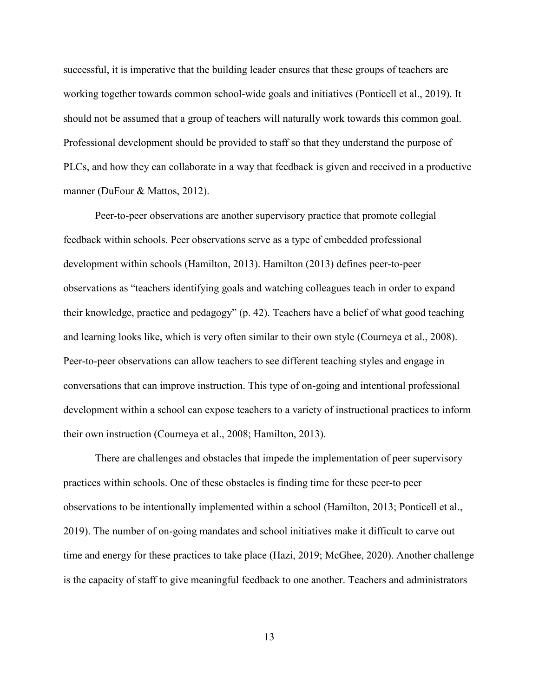successful, it is imperative that the building leader ensures that these groups of teachers are working together towards common school-wide goals and initiatives (Ponticell et al., 2019). It should not be assumed that a group of teachers will naturally work towards this common goal. Professional development should be provided to staff so that they understand the purpose of PLCs, and how they can collaborate in a way that feedback is given and received in a productive manner (DuFour & Mattos, 2012).

Peer-to-peer observations are another supervisory practice that promote collegial feedback within schools. Peer observations serve as a type of embedded professional development within schools (Hamilton, 2013). Hamilton (2013) defines peer-to-peer observations as "teachers identifying goals and watching colleagues teach in order to expand their knowledge, practice and pedagogy" (p. 42). Teachers have a belief of what good teaching and learning looks like, which is very often similar to their own style (Courneya et al., 2008). Peer-to-peer observations can allow teachers to see different teaching styles and engage in conversations that can improve instruction. This type of on-going and intentional professional development within a school can expose teachers to a variety of instructional practices to inform their own instruction (Courneya et al., 2008; Hamilton, 2013).

There are challenges and obstacles that impede the implementation of peer supervisory practices within schools. One of these obstacles is finding time for these peer-to peer observations to be intentionally implemented within a school (Hamilton, 2013; Ponticell et al., 2019). The number of on-going mandates and school initiatives make it difficult to carve out time and energy for these practices to take place (Hazi, 2019; McGhee, 2020). Another challenge is the capacity of staff to give meaningful feedback to one another. Teachers and administrators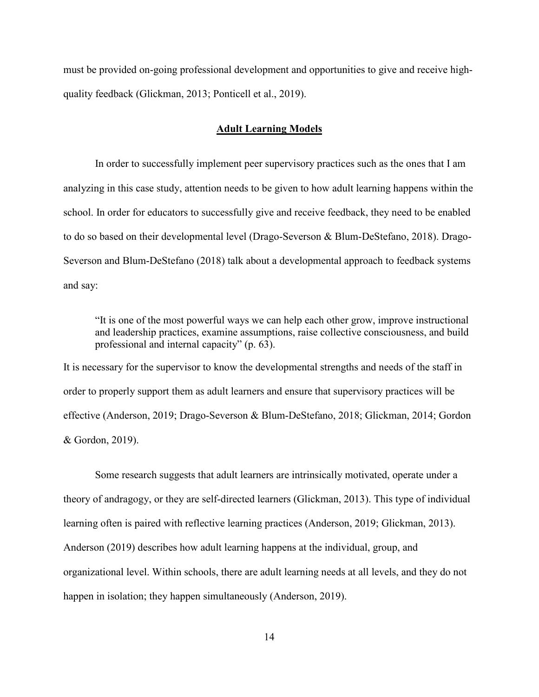must be provided on-going professional development and opportunities to give and receive highquality feedback (Glickman, 2013; Ponticell et al., 2019).

# **Adult Learning Models**

In order to successfully implement peer supervisory practices such as the ones that I am analyzing in this case study, attention needs to be given to how adult learning happens within the school. In order for educators to successfully give and receive feedback, they need to be enabled to do so based on their developmental level (Drago-Severson & Blum-DeStefano, 2018). Drago-Severson and Blum-DeStefano (2018) talk about a developmental approach to feedback systems and say:

"It is one of the most powerful ways we can help each other grow, improve instructional and leadership practices, examine assumptions, raise collective consciousness, and build professional and internal capacity" (p. 63).

It is necessary for the supervisor to know the developmental strengths and needs of the staff in order to properly support them as adult learners and ensure that supervisory practices will be effective (Anderson, 2019; Drago-Severson & Blum-DeStefano, 2018; Glickman, 2014; Gordon & Gordon, 2019).

Some research suggests that adult learners are intrinsically motivated, operate under a theory of andragogy, or they are self-directed learners (Glickman, 2013). This type of individual learning often is paired with reflective learning practices (Anderson, 2019; Glickman, 2013). Anderson (2019) describes how adult learning happens at the individual, group, and organizational level. Within schools, there are adult learning needs at all levels, and they do not happen in isolation; they happen simultaneously (Anderson, 2019).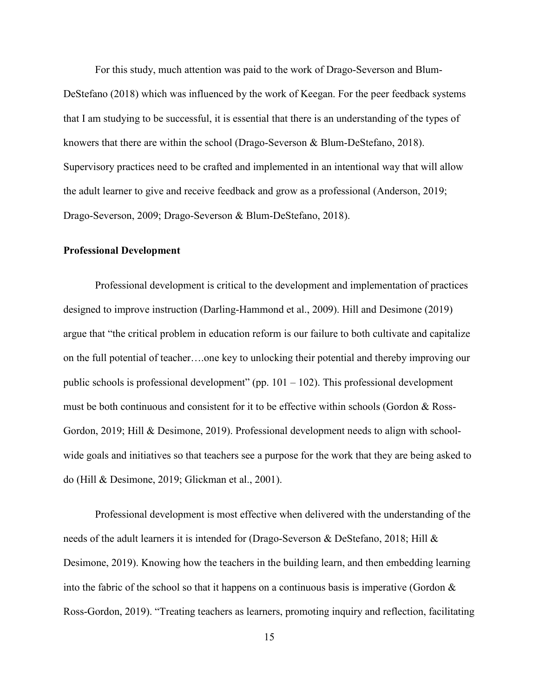For this study, much attention was paid to the work of Drago-Severson and Blum-DeStefano (2018) which was influenced by the work of Keegan. For the peer feedback systems that I am studying to be successful, it is essential that there is an understanding of the types of knowers that there are within the school (Drago-Severson & Blum-DeStefano, 2018). Supervisory practices need to be crafted and implemented in an intentional way that will allow the adult learner to give and receive feedback and grow as a professional (Anderson, 2019; Drago-Severson, 2009; Drago-Severson & Blum-DeStefano, 2018).

# **Professional Development**

Professional development is critical to the development and implementation of practices designed to improve instruction (Darling-Hammond et al., 2009). Hill and Desimone (2019) argue that "the critical problem in education reform is our failure to both cultivate and capitalize on the full potential of teacher….one key to unlocking their potential and thereby improving our public schools is professional development" (pp.  $101 - 102$ ). This professional development must be both continuous and consistent for it to be effective within schools (Gordon & Ross-Gordon, 2019; Hill & Desimone, 2019). Professional development needs to align with schoolwide goals and initiatives so that teachers see a purpose for the work that they are being asked to do (Hill & Desimone, 2019; Glickman et al., 2001).

Professional development is most effective when delivered with the understanding of the needs of the adult learners it is intended for (Drago-Severson & DeStefano, 2018; Hill & Desimone, 2019). Knowing how the teachers in the building learn, and then embedding learning into the fabric of the school so that it happens on a continuous basis is imperative (Gordon  $\&$ Ross-Gordon, 2019). "Treating teachers as learners, promoting inquiry and reflection, facilitating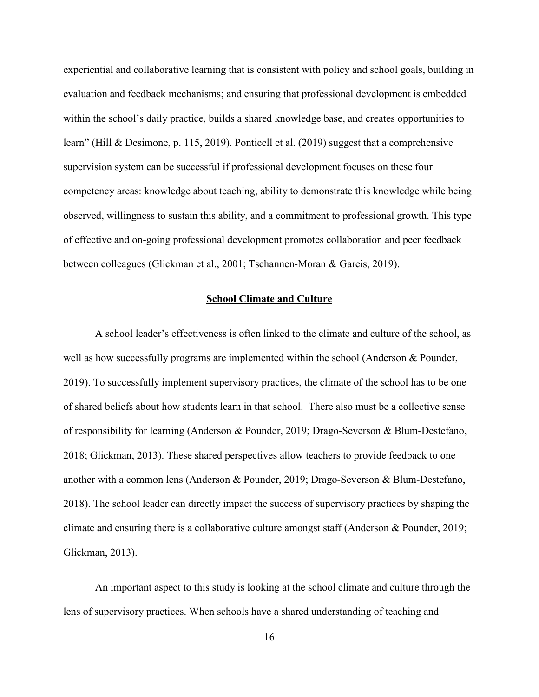experiential and collaborative learning that is consistent with policy and school goals, building in evaluation and feedback mechanisms; and ensuring that professional development is embedded within the school's daily practice, builds a shared knowledge base, and creates opportunities to learn" (Hill & Desimone, p. 115, 2019). Ponticell et al. (2019) suggest that a comprehensive supervision system can be successful if professional development focuses on these four competency areas: knowledge about teaching, ability to demonstrate this knowledge while being observed, willingness to sustain this ability, and a commitment to professional growth. This type of effective and on-going professional development promotes collaboration and peer feedback between colleagues (Glickman et al., 2001; Tschannen-Moran & Gareis, 2019).

#### **School Climate and Culture**

A school leader's effectiveness is often linked to the climate and culture of the school, as well as how successfully programs are implemented within the school (Anderson & Pounder, 2019). To successfully implement supervisory practices, the climate of the school has to be one of shared beliefs about how students learn in that school. There also must be a collective sense of responsibility for learning (Anderson & Pounder, 2019; Drago-Severson & Blum-Destefano, 2018; Glickman, 2013). These shared perspectives allow teachers to provide feedback to one another with a common lens (Anderson & Pounder, 2019; Drago-Severson & Blum-Destefano, 2018). The school leader can directly impact the success of supervisory practices by shaping the climate and ensuring there is a collaborative culture amongst staff (Anderson & Pounder, 2019; Glickman, 2013).

An important aspect to this study is looking at the school climate and culture through the lens of supervisory practices. When schools have a shared understanding of teaching and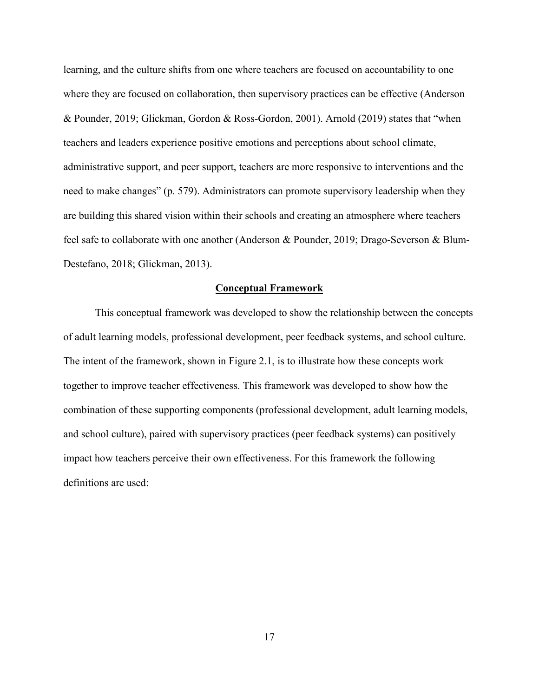learning, and the culture shifts from one where teachers are focused on accountability to one where they are focused on collaboration, then supervisory practices can be effective (Anderson & Pounder, 2019; Glickman, Gordon & Ross-Gordon, 2001). Arnold (2019) states that "when teachers and leaders experience positive emotions and perceptions about school climate, administrative support, and peer support, teachers are more responsive to interventions and the need to make changes" (p. 579). Administrators can promote supervisory leadership when they are building this shared vision within their schools and creating an atmosphere where teachers feel safe to collaborate with one another (Anderson & Pounder, 2019; Drago-Severson & Blum-Destefano, 2018; Glickman, 2013).

#### **Conceptual Framework**

This conceptual framework was developed to show the relationship between the concepts of adult learning models, professional development, peer feedback systems, and school culture. The intent of the framework, shown in Figure 2.1, is to illustrate how these concepts work together to improve teacher effectiveness. This framework was developed to show how the combination of these supporting components (professional development, adult learning models, and school culture), paired with supervisory practices (peer feedback systems) can positively impact how teachers perceive their own effectiveness. For this framework the following definitions are used: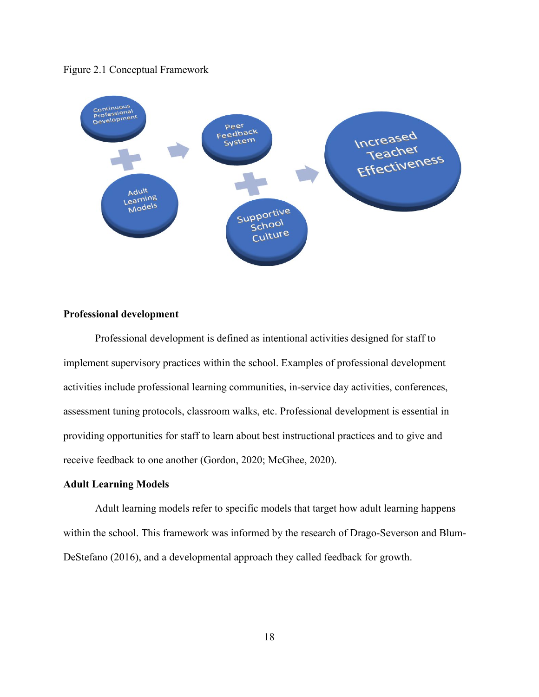



# **Professional development**

Professional development is defined as intentional activities designed for staff to implement supervisory practices within the school. Examples of professional development activities include professional learning communities, in-service day activities, conferences, assessment tuning protocols, classroom walks, etc. Professional development is essential in providing opportunities for staff to learn about best instructional practices and to give and receive feedback to one another (Gordon, 2020; McGhee, 2020).

# **Adult Learning Models**

Adult learning models refer to specific models that target how adult learning happens within the school. This framework was informed by the research of Drago-Severson and Blum-DeStefano (2016), and a developmental approach they called feedback for growth.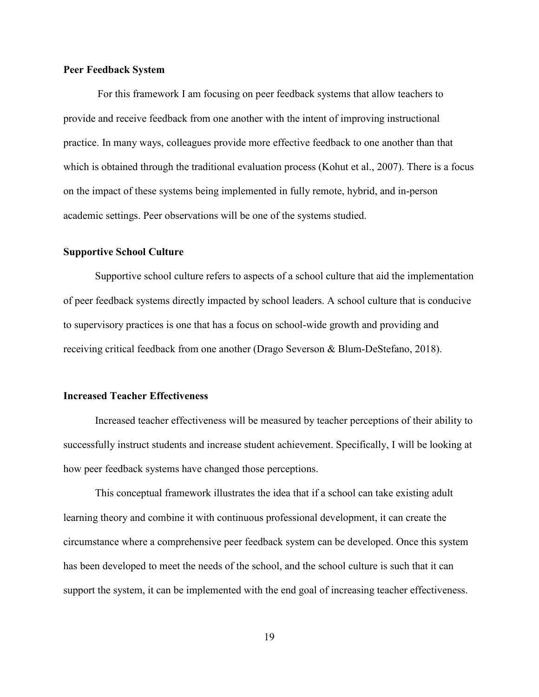#### **Peer Feedback System**

For this framework I am focusing on peer feedback systems that allow teachers to provide and receive feedback from one another with the intent of improving instructional practice. In many ways, colleagues provide more effective feedback to one another than that which is obtained through the traditional evaluation process (Kohut et al., 2007). There is a focus on the impact of these systems being implemented in fully remote, hybrid, and in-person academic settings. Peer observations will be one of the systems studied.

# **Supportive School Culture**

Supportive school culture refers to aspects of a school culture that aid the implementation of peer feedback systems directly impacted by school leaders. A school culture that is conducive to supervisory practices is one that has a focus on school-wide growth and providing and receiving critical feedback from one another (Drago Severson & Blum-DeStefano, 2018).

# **Increased Teacher Effectiveness**

Increased teacher effectiveness will be measured by teacher perceptions of their ability to successfully instruct students and increase student achievement. Specifically, I will be looking at how peer feedback systems have changed those perceptions.

This conceptual framework illustrates the idea that if a school can take existing adult learning theory and combine it with continuous professional development, it can create the circumstance where a comprehensive peer feedback system can be developed. Once this system has been developed to meet the needs of the school, and the school culture is such that it can support the system, it can be implemented with the end goal of increasing teacher effectiveness.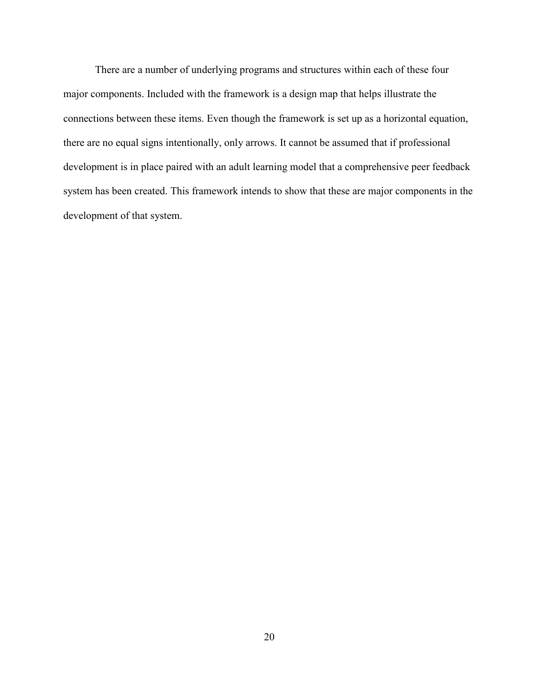There are a number of underlying programs and structures within each of these four major components. Included with the framework is a design map that helps illustrate the connections between these items. Even though the framework is set up as a horizontal equation, there are no equal signs intentionally, only arrows. It cannot be assumed that if professional development is in place paired with an adult learning model that a comprehensive peer feedback system has been created. This framework intends to show that these are major components in the development of that system.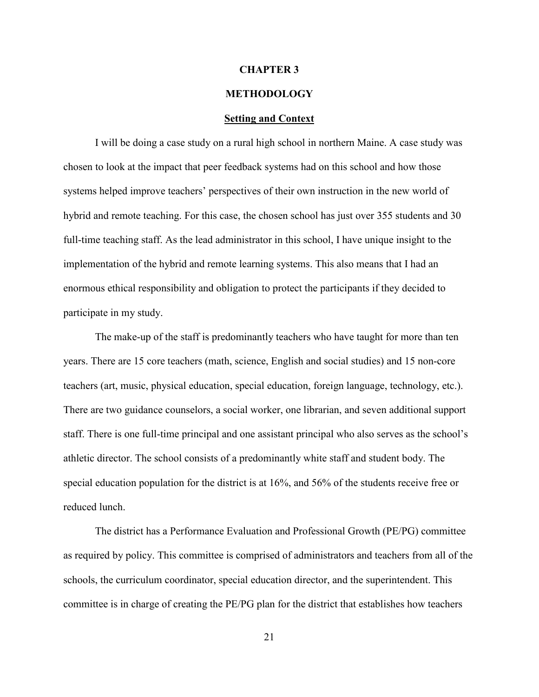### **CHAPTER 3**

# **METHODOLOGY**

#### **Setting and Context**

I will be doing a case study on a rural high school in northern Maine. A case study was chosen to look at the impact that peer feedback systems had on this school and how those systems helped improve teachers' perspectives of their own instruction in the new world of hybrid and remote teaching. For this case, the chosen school has just over 355 students and 30 full-time teaching staff. As the lead administrator in this school, I have unique insight to the implementation of the hybrid and remote learning systems. This also means that I had an enormous ethical responsibility and obligation to protect the participants if they decided to participate in my study.

The make-up of the staff is predominantly teachers who have taught for more than ten years. There are 15 core teachers (math, science, English and social studies) and 15 non-core teachers (art, music, physical education, special education, foreign language, technology, etc.). There are two guidance counselors, a social worker, one librarian, and seven additional support staff. There is one full-time principal and one assistant principal who also serves as the school's athletic director. The school consists of a predominantly white staff and student body. The special education population for the district is at 16%, and 56% of the students receive free or reduced lunch.

The district has a Performance Evaluation and Professional Growth (PE/PG) committee as required by policy. This committee is comprised of administrators and teachers from all of the schools, the curriculum coordinator, special education director, and the superintendent. This committee is in charge of creating the PE/PG plan for the district that establishes how teachers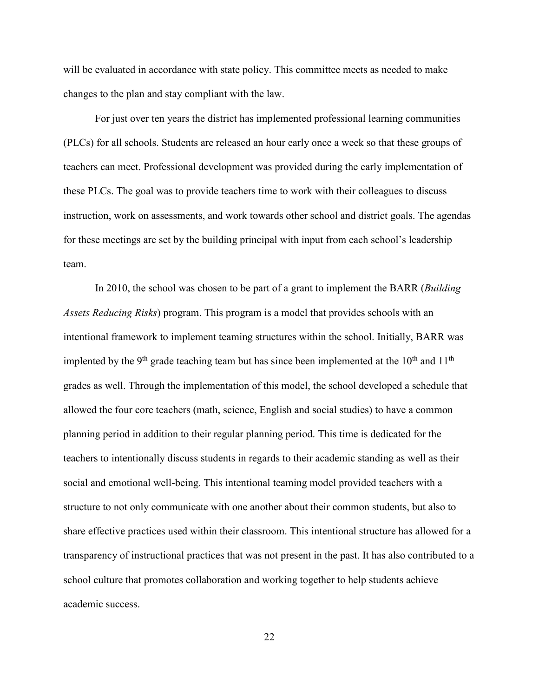will be evaluated in accordance with state policy. This committee meets as needed to make changes to the plan and stay compliant with the law.

For just over ten years the district has implemented professional learning communities (PLCs) for all schools. Students are released an hour early once a week so that these groups of teachers can meet. Professional development was provided during the early implementation of these PLCs. The goal was to provide teachers time to work with their colleagues to discuss instruction, work on assessments, and work towards other school and district goals. The agendas for these meetings are set by the building principal with input from each school's leadership team.

In 2010, the school was chosen to be part of a grant to implement the BARR (*Building Assets Reducing Risks*) program. This program is a model that provides schools with an intentional framework to implement teaming structures within the school. Initially, BARR was implented by the 9<sup>th</sup> grade teaching team but has since been implemented at the  $10^{th}$  and  $11^{th}$ grades as well. Through the implementation of this model, the school developed a schedule that allowed the four core teachers (math, science, English and social studies) to have a common planning period in addition to their regular planning period. This time is dedicated for the teachers to intentionally discuss students in regards to their academic standing as well as their social and emotional well-being. This intentional teaming model provided teachers with a structure to not only communicate with one another about their common students, but also to share effective practices used within their classroom. This intentional structure has allowed for a transparency of instructional practices that was not present in the past. It has also contributed to a school culture that promotes collaboration and working together to help students achieve academic success.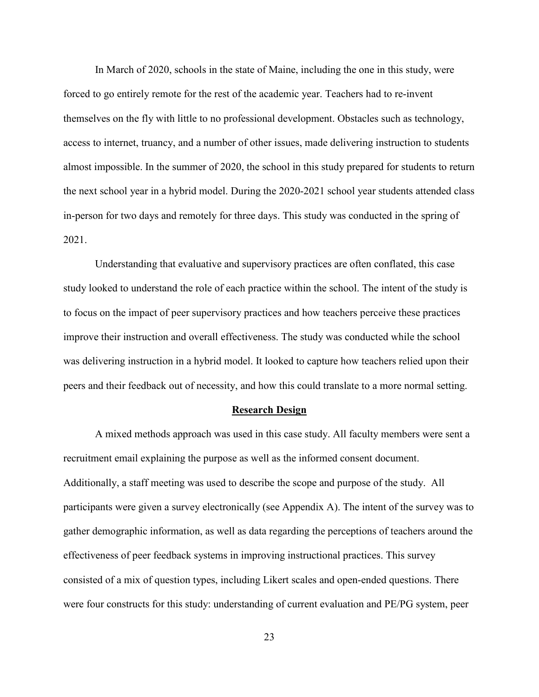In March of 2020, schools in the state of Maine, including the one in this study, were forced to go entirely remote for the rest of the academic year. Teachers had to re-invent themselves on the fly with little to no professional development. Obstacles such as technology, access to internet, truancy, and a number of other issues, made delivering instruction to students almost impossible. In the summer of 2020, the school in this study prepared for students to return the next school year in a hybrid model. During the 2020-2021 school year students attended class in-person for two days and remotely for three days. This study was conducted in the spring of 2021.

Understanding that evaluative and supervisory practices are often conflated, this case study looked to understand the role of each practice within the school. The intent of the study is to focus on the impact of peer supervisory practices and how teachers perceive these practices improve their instruction and overall effectiveness. The study was conducted while the school was delivering instruction in a hybrid model. It looked to capture how teachers relied upon their peers and their feedback out of necessity, and how this could translate to a more normal setting.

#### **Research Design**

A mixed methods approach was used in this case study. All faculty members were sent a recruitment email explaining the purpose as well as the informed consent document. Additionally, a staff meeting was used to describe the scope and purpose of the study. All participants were given a survey electronically (see Appendix A). The intent of the survey was to gather demographic information, as well as data regarding the perceptions of teachers around the effectiveness of peer feedback systems in improving instructional practices. This survey consisted of a mix of question types, including Likert scales and open-ended questions. There were four constructs for this study: understanding of current evaluation and PE/PG system, peer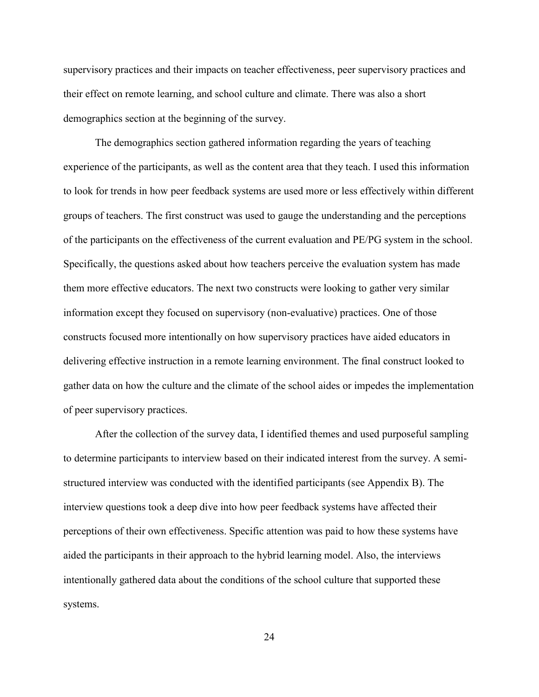supervisory practices and their impacts on teacher effectiveness, peer supervisory practices and their effect on remote learning, and school culture and climate. There was also a short demographics section at the beginning of the survey.

The demographics section gathered information regarding the years of teaching experience of the participants, as well as the content area that they teach. I used this information to look for trends in how peer feedback systems are used more or less effectively within different groups of teachers. The first construct was used to gauge the understanding and the perceptions of the participants on the effectiveness of the current evaluation and PE/PG system in the school. Specifically, the questions asked about how teachers perceive the evaluation system has made them more effective educators. The next two constructs were looking to gather very similar information except they focused on supervisory (non-evaluative) practices. One of those constructs focused more intentionally on how supervisory practices have aided educators in delivering effective instruction in a remote learning environment. The final construct looked to gather data on how the culture and the climate of the school aides or impedes the implementation of peer supervisory practices.

After the collection of the survey data, I identified themes and used purposeful sampling to determine participants to interview based on their indicated interest from the survey. A semistructured interview was conducted with the identified participants (see Appendix B). The interview questions took a deep dive into how peer feedback systems have affected their perceptions of their own effectiveness. Specific attention was paid to how these systems have aided the participants in their approach to the hybrid learning model. Also, the interviews intentionally gathered data about the conditions of the school culture that supported these systems.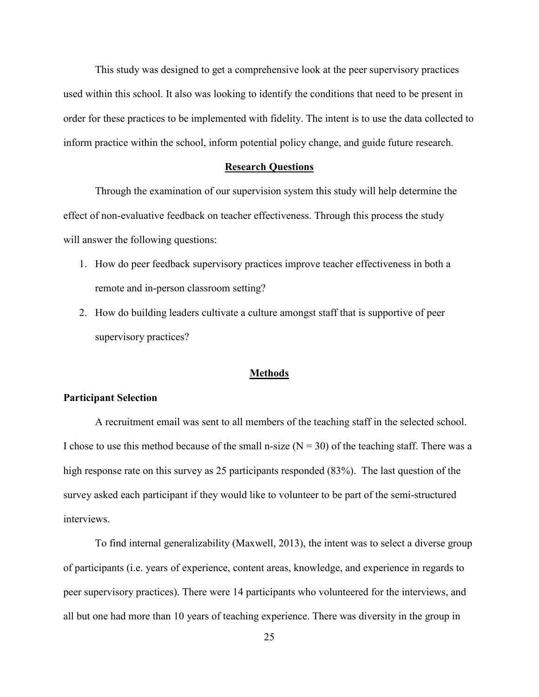This study was designed to get a comprehensive look at the peer supervisory practices used within this school. It also was looking to identify the conditions that need to be present in order for these practices to be implemented with fidelity. The intent is to use the data collected to inform practice within the school, inform potential policy change, and guide future research.

#### **Research Questions**

Through the examination of our supervision system this study will help determine the effect of non-evaluative feedback on teacher effectiveness. Through this process the study will answer the following questions:

- 1. How do peer feedback supervisory practices improve teacher effectiveness in both a remote and in-person classroom setting?
- 2. How do building leaders cultivate a culture amongst staff that is supportive of peer supervisory practices?

# **Methods**

## **Participant Selection**

A recruitment email was sent to all members of the teaching staff in the selected school. I chose to use this method because of the small n-size  $(N = 30)$  of the teaching staff. There was a high response rate on this survey as 25 participants responded (83%). The last question of the survey asked each participant if they would like to volunteer to be part of the semi-structured interviews.

To find internal generalizability (Maxwell, 2013), the intent was to select a diverse group of participants (i.e. years of experience, content areas, knowledge, and experience in regards to peer supervisory practices). There were 14 participants who volunteered for the interviews, and all but one had more than 10 years of teaching experience. There was diversity in the group in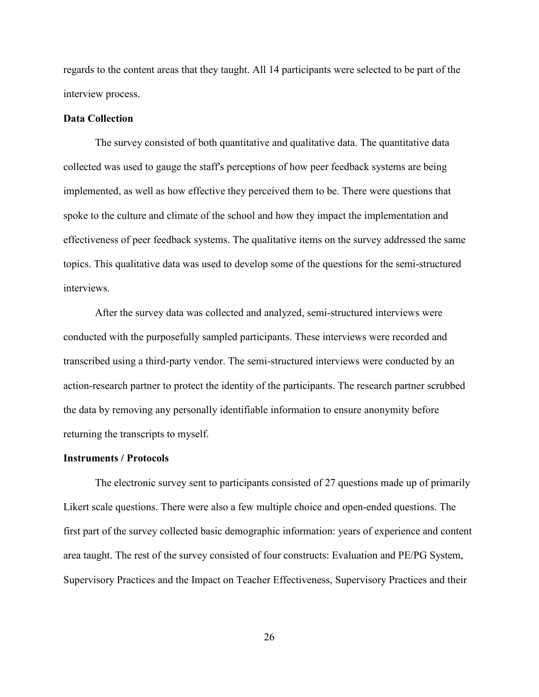regards to the content areas that they taught. All 14 participants were selected to be part of the interview process.

# **Data Collection**

The survey consisted of both quantitative and qualitative data. The quantitative data collected was used to gauge the staff's perceptions of how peer feedback systems are being implemented, as well as how effective they perceived them to be. There were questions that spoke to the culture and climate of the school and how they impact the implementation and effectiveness of peer feedback systems. The qualitative items on the survey addressed the same topics. This qualitative data was used to develop some of the questions for the semi-structured interviews.

After the survey data was collected and analyzed, semi-structured interviews were conducted with the purposefully sampled participants. These interviews were recorded and transcribed using a third-party vendor. The semi-structured interviews were conducted by an action-research partner to protect the identity of the participants. The research partner scrubbed the data by removing any personally identifiable information to ensure anonymity before returning the transcripts to myself.

### **Instruments / Protocols**

The electronic survey sent to participants consisted of 27 questions made up of primarily Likert scale questions. There were also a few multiple choice and open-ended questions. The first part of the survey collected basic demographic information: years of experience and content area taught. The rest of the survey consisted of four constructs: Evaluation and PE/PG System, Supervisory Practices and the Impact on Teacher Effectiveness, Supervisory Practices and their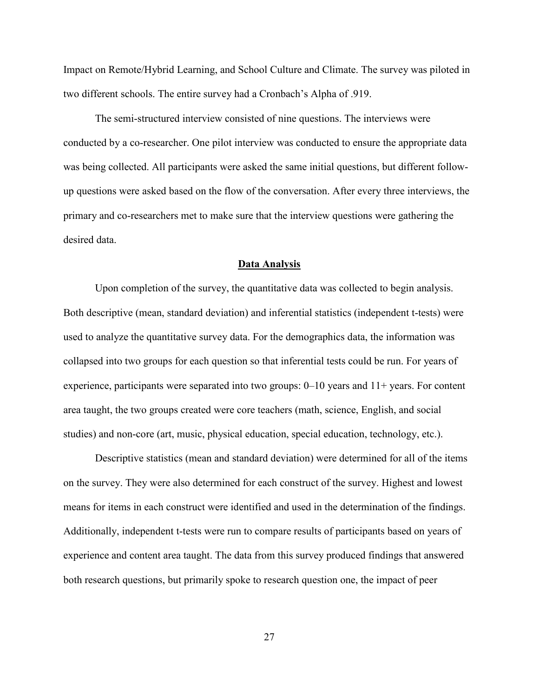Impact on Remote/Hybrid Learning, and School Culture and Climate. The survey was piloted in two different schools. The entire survey had a Cronbach's Alpha of .919.

The semi-structured interview consisted of nine questions. The interviews were conducted by a co-researcher. One pilot interview was conducted to ensure the appropriate data was being collected. All participants were asked the same initial questions, but different followup questions were asked based on the flow of the conversation. After every three interviews, the primary and co-researchers met to make sure that the interview questions were gathering the desired data.

#### **Data Analysis**

Upon completion of the survey, the quantitative data was collected to begin analysis. Both descriptive (mean, standard deviation) and inferential statistics (independent t-tests) were used to analyze the quantitative survey data. For the demographics data, the information was collapsed into two groups for each question so that inferential tests could be run. For years of experience, participants were separated into two groups:  $0-10$  years and  $11+$  years. For content area taught, the two groups created were core teachers (math, science, English, and social studies) and non-core (art, music, physical education, special education, technology, etc.).

Descriptive statistics (mean and standard deviation) were determined for all of the items on the survey. They were also determined for each construct of the survey. Highest and lowest means for items in each construct were identified and used in the determination of the findings. Additionally, independent t-tests were run to compare results of participants based on years of experience and content area taught. The data from this survey produced findings that answered both research questions, but primarily spoke to research question one, the impact of peer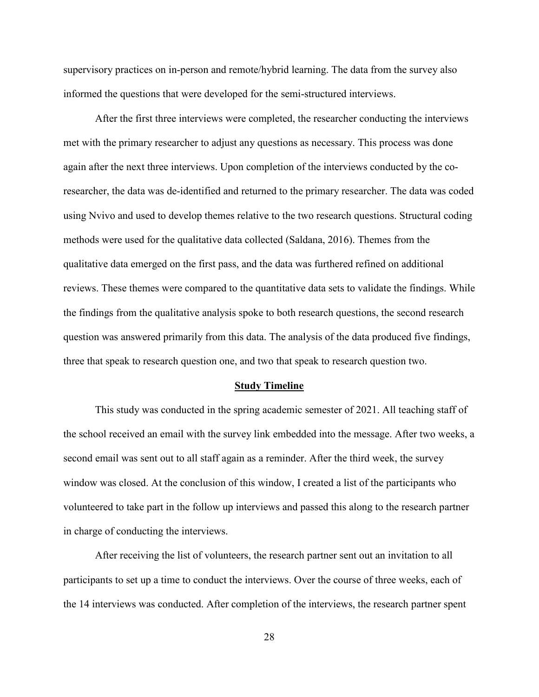supervisory practices on in-person and remote/hybrid learning. The data from the survey also informed the questions that were developed for the semi-structured interviews.

After the first three interviews were completed, the researcher conducting the interviews met with the primary researcher to adjust any questions as necessary. This process was done again after the next three interviews. Upon completion of the interviews conducted by the coresearcher, the data was de-identified and returned to the primary researcher. The data was coded using Nvivo and used to develop themes relative to the two research questions. Structural coding methods were used for the qualitative data collected (Saldana, 2016). Themes from the qualitative data emerged on the first pass, and the data was furthered refined on additional reviews. These themes were compared to the quantitative data sets to validate the findings. While the findings from the qualitative analysis spoke to both research questions, the second research question was answered primarily from this data. The analysis of the data produced five findings, three that speak to research question one, and two that speak to research question two.

#### **Study Timeline**

This study was conducted in the spring academic semester of 2021. All teaching staff of the school received an email with the survey link embedded into the message. After two weeks, a second email was sent out to all staff again as a reminder. After the third week, the survey window was closed. At the conclusion of this window, I created a list of the participants who volunteered to take part in the follow up interviews and passed this along to the research partner in charge of conducting the interviews.

After receiving the list of volunteers, the research partner sent out an invitation to all participants to set up a time to conduct the interviews. Over the course of three weeks, each of the 14 interviews was conducted. After completion of the interviews, the research partner spent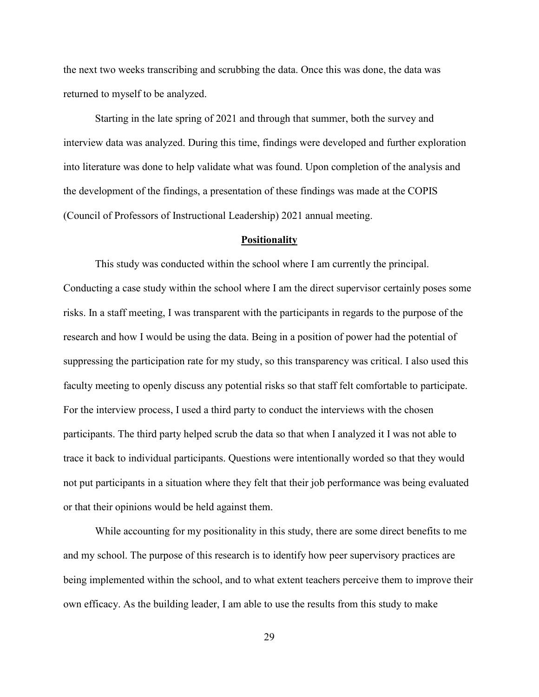the next two weeks transcribing and scrubbing the data. Once this was done, the data was returned to myself to be analyzed.

Starting in the late spring of 2021 and through that summer, both the survey and interview data was analyzed. During this time, findings were developed and further exploration into literature was done to help validate what was found. Upon completion of the analysis and the development of the findings, a presentation of these findings was made at the COPIS (Council of Professors of Instructional Leadership) 2021 annual meeting.

#### **Positionality**

This study was conducted within the school where I am currently the principal. Conducting a case study within the school where I am the direct supervisor certainly poses some risks. In a staff meeting, I was transparent with the participants in regards to the purpose of the research and how I would be using the data. Being in a position of power had the potential of suppressing the participation rate for my study, so this transparency was critical. I also used this faculty meeting to openly discuss any potential risks so that staff felt comfortable to participate. For the interview process, I used a third party to conduct the interviews with the chosen participants. The third party helped scrub the data so that when I analyzed it I was not able to trace it back to individual participants. Questions were intentionally worded so that they would not put participants in a situation where they felt that their job performance was being evaluated or that their opinions would be held against them.

While accounting for my positionality in this study, there are some direct benefits to me and my school. The purpose of this research is to identify how peer supervisory practices are being implemented within the school, and to what extent teachers perceive them to improve their own efficacy. As the building leader, I am able to use the results from this study to make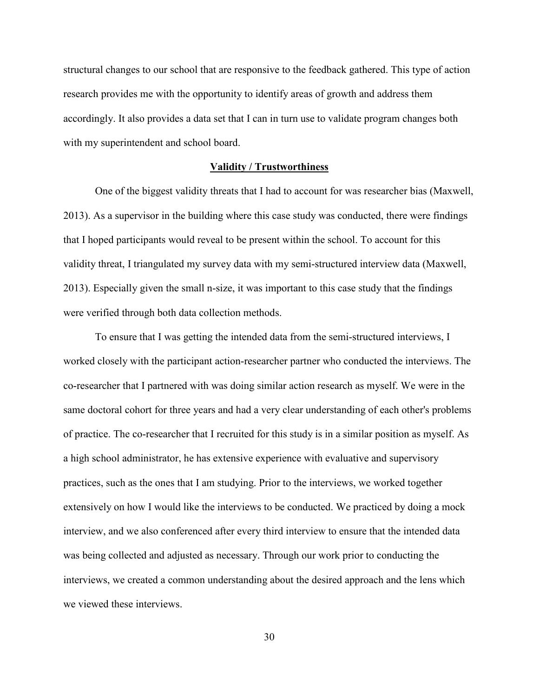structural changes to our school that are responsive to the feedback gathered. This type of action research provides me with the opportunity to identify areas of growth and address them accordingly. It also provides a data set that I can in turn use to validate program changes both with my superintendent and school board.

### **Validity / Trustworthiness**

One of the biggest validity threats that I had to account for was researcher bias (Maxwell, 2013). As a supervisor in the building where this case study was conducted, there were findings that I hoped participants would reveal to be present within the school. To account for this validity threat, I triangulated my survey data with my semi-structured interview data (Maxwell, 2013). Especially given the small n-size, it was important to this case study that the findings were verified through both data collection methods.

To ensure that I was getting the intended data from the semi-structured interviews, I worked closely with the participant action-researcher partner who conducted the interviews. The co-researcher that I partnered with was doing similar action research as myself. We were in the same doctoral cohort for three years and had a very clear understanding of each other's problems of practice. The co-researcher that I recruited for this study is in a similar position as myself. As a high school administrator, he has extensive experience with evaluative and supervisory practices, such as the ones that I am studying. Prior to the interviews, we worked together extensively on how I would like the interviews to be conducted. We practiced by doing a mock interview, and we also conferenced after every third interview to ensure that the intended data was being collected and adjusted as necessary. Through our work prior to conducting the interviews, we created a common understanding about the desired approach and the lens which we viewed these interviews.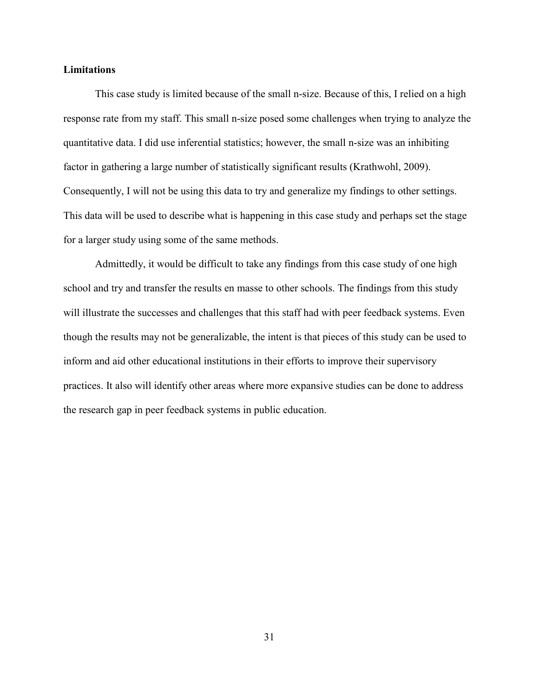## **Limitations**

This case study is limited because of the small n-size. Because of this, I relied on a high response rate from my staff. This small n-size posed some challenges when trying to analyze the quantitative data. I did use inferential statistics; however, the small n-size was an inhibiting factor in gathering a large number of statistically significant results (Krathwohl, 2009). Consequently, I will not be using this data to try and generalize my findings to other settings. This data will be used to describe what is happening in this case study and perhaps set the stage for a larger study using some of the same methods.

Admittedly, it would be difficult to take any findings from this case study of one high school and try and transfer the results en masse to other schools. The findings from this study will illustrate the successes and challenges that this staff had with peer feedback systems. Even though the results may not be generalizable, the intent is that pieces of this study can be used to inform and aid other educational institutions in their efforts to improve their supervisory practices. It also will identify other areas where more expansive studies can be done to address the research gap in peer feedback systems in public education.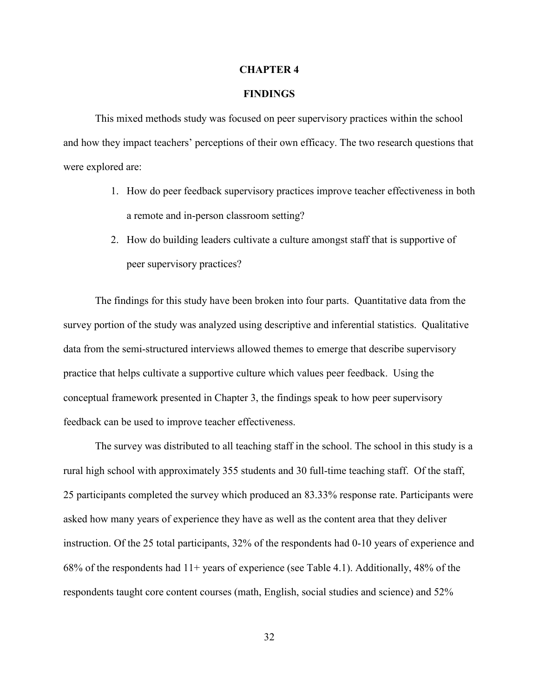#### **CHAPTER 4**

# **FINDINGS**

This mixed methods study was focused on peer supervisory practices within the school and how they impact teachers' perceptions of their own efficacy. The two research questions that were explored are:

- 1. How do peer feedback supervisory practices improve teacher effectiveness in both a remote and in-person classroom setting?
- 2. How do building leaders cultivate a culture amongst staff that is supportive of peer supervisory practices?

The findings for this study have been broken into four parts. Quantitative data from the survey portion of the study was analyzed using descriptive and inferential statistics. Qualitative data from the semi-structured interviews allowed themes to emerge that describe supervisory practice that helps cultivate a supportive culture which values peer feedback. Using the conceptual framework presented in Chapter 3, the findings speak to how peer supervisory feedback can be used to improve teacher effectiveness.

The survey was distributed to all teaching staff in the school. The school in this study is a rural high school with approximately 355 students and 30 full-time teaching staff. Of the staff, 25 participants completed the survey which produced an 83.33% response rate. Participants were asked how many years of experience they have as well as the content area that they deliver instruction. Of the 25 total participants, 32% of the respondents had 0-10 years of experience and 68% of the respondents had  $11+$  years of experience (see Table 4.1). Additionally, 48% of the respondents taught core content courses (math, English, social studies and science) and 52%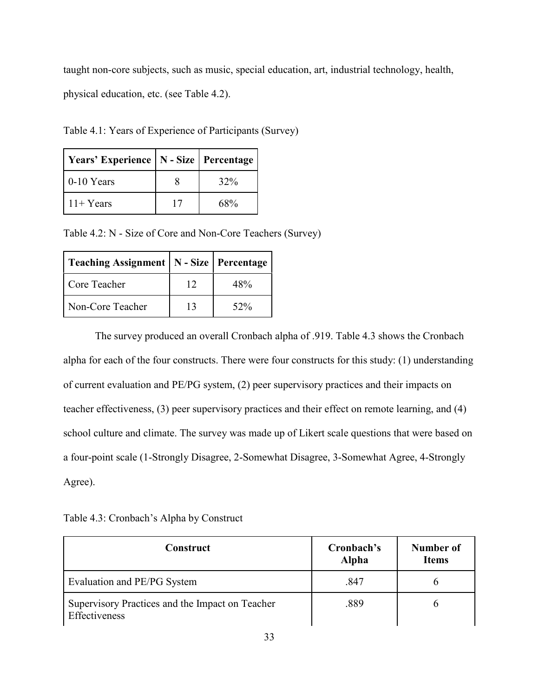taught non-core subjects, such as music, special education, art, industrial technology, health, physical education, etc. (see Table 4.2).

| Years' Experience   N - Size   Percentage |        |
|-------------------------------------------|--------|
| $0-10$ Years                              | 32%    |
| $11 + Years$                              | $68\%$ |

Table 4.1: Years of Experience of Participants (Survey)

Table 4.2: N - Size of Core and Non-Core Teachers (Survey)

| Teaching Assignment   N - Size   Percentage |    |        |
|---------------------------------------------|----|--------|
| Core Teacher                                | 12 | 48%    |
| Non-Core Teacher                            | 13 | $52\%$ |

The survey produced an overall Cronbach alpha of .919. Table 4.3 shows the Cronbach alpha for each of the four constructs. There were four constructs for this study: (1) understanding of current evaluation and PE/PG system, (2) peer supervisory practices and their impacts on teacher effectiveness, (3) peer supervisory practices and their effect on remote learning, and (4) school culture and climate. The survey was made up of Likert scale questions that were based on a four-point scale (1-Strongly Disagree, 2-Somewhat Disagree, 3-Somewhat Agree, 4-Strongly Agree).

Table 4.3: Cronbach's Alpha by Construct

| <b>Construct</b>                                                 | Cronbach's<br><b>Alpha</b> | Number of<br><b>Items</b> |
|------------------------------------------------------------------|----------------------------|---------------------------|
| Evaluation and PE/PG System                                      | .847                       |                           |
| Supervisory Practices and the Impact on Teacher<br>Effectiveness | .889                       |                           |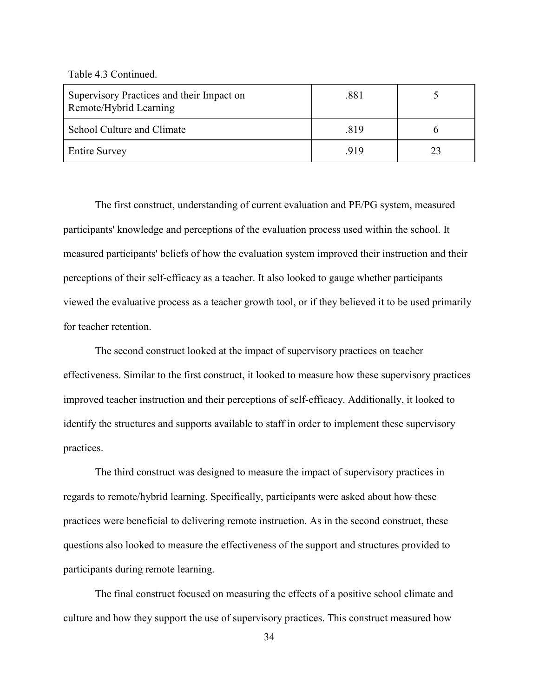Table 4.3 Continued.

| Supervisory Practices and their Impact on<br>Remote/Hybrid Learning | .881 |  |
|---------------------------------------------------------------------|------|--|
| School Culture and Climate                                          | .819 |  |
| <b>Entire Survey</b>                                                | .919 |  |

The first construct, understanding of current evaluation and PE/PG system, measured participants' knowledge and perceptions of the evaluation process used within the school. It measured participants' beliefs of how the evaluation system improved their instruction and their perceptions of their self-efficacy as a teacher. It also looked to gauge whether participants viewed the evaluative process as a teacher growth tool, or if they believed it to be used primarily for teacher retention.

The second construct looked at the impact of supervisory practices on teacher effectiveness. Similar to the first construct, it looked to measure how these supervisory practices improved teacher instruction and their perceptions of self-efficacy. Additionally, it looked to identify the structures and supports available to staff in order to implement these supervisory practices.

The third construct was designed to measure the impact of supervisory practices in regards to remote/hybrid learning. Specifically, participants were asked about how these practices were beneficial to delivering remote instruction. As in the second construct, these questions also looked to measure the effectiveness of the support and structures provided to participants during remote learning.

The final construct focused on measuring the effects of a positive school climate and culture and how they support the use of supervisory practices. This construct measured how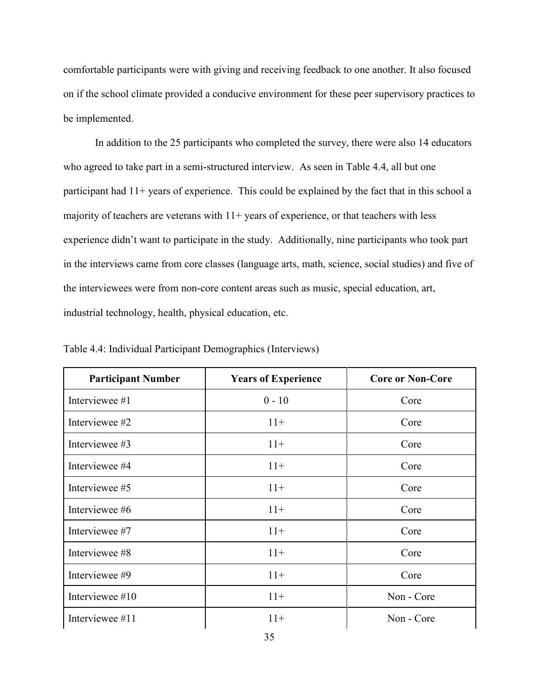comfortable participants were with giving and receiving feedback to one another. It also focused on if the school climate provided a conducive environment for these peer supervisory practices to be implemented.

In addition to the 25 participants who completed the survey, there were also 14 educators who agreed to take part in a semi-structured interview. As seen in Table 4.4, all but one participant had  $11+$  years of experience. This could be explained by the fact that in this school a majority of teachers are veterans with  $11+$  years of experience, or that teachers with less experience didn't want to participate in the study. Additionally, nine participants who took part in the interviews came from core classes (language arts, math, science, social studies) and five of the interviewees were from non-core content areas such as music, special education, art, industrial technology, health, physical education, etc.

| <b>Participant Number</b> | <b>Years of Experience</b> | <b>Core or Non-Core</b> |
|---------------------------|----------------------------|-------------------------|
| Interviewee #1            | $0 - 10$                   | Core                    |
| Interviewee #2            | $11+$                      | Core                    |
| Interviewee #3            | $11+$                      | Core                    |
| Interviewee #4            | $11+$                      | Core                    |
| Interviewee #5            | $11+$                      | Core                    |
| Interviewee #6            | $11+$                      | Core                    |
| Interviewee #7            | $11+$                      | Core                    |
| Interviewee #8            | $11+$                      | Core                    |
| Interviewee #9            | $11+$                      | Core                    |
| Interviewee #10           | $11+$                      | Non - Core              |
| Interviewee #11           | $11+$                      | Non - Core              |

Table 4.4: Individual Participant Demographics (Interviews)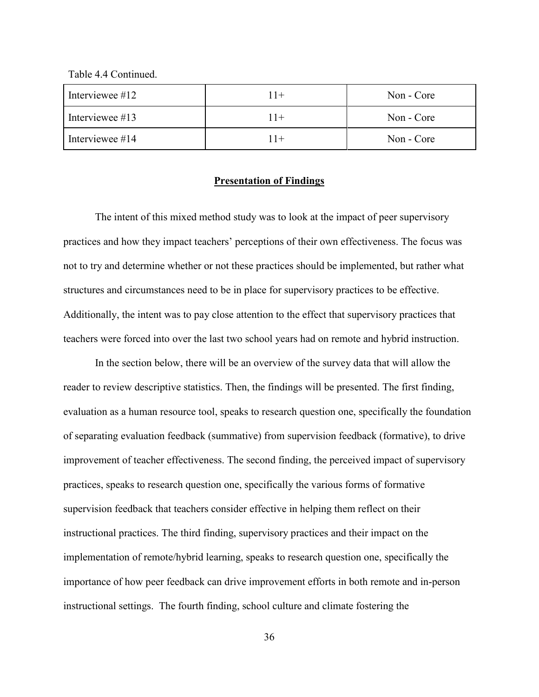Table 4.4 Continued.

| Interviewee $\#12$ | $11+$ | Non - Core |
|--------------------|-------|------------|
| Interviewee $#13$  | $11+$ | Non - Core |
| Interviewee #14    | $11+$ | Non - Core |

## **Presentation of Findings**

The intent of this mixed method study was to look at the impact of peer supervisory practices and how they impact teachers' perceptions of their own effectiveness. The focus was not to try and determine whether or not these practices should be implemented, but rather what structures and circumstances need to be in place for supervisory practices to be effective. Additionally, the intent was to pay close attention to the effect that supervisory practices that teachers were forced into over the last two school years had on remote and hybrid instruction.

In the section below, there will be an overview of the survey data that will allow the reader to review descriptive statistics. Then, the findings will be presented. The first finding, evaluation as a human resource tool, speaks to research question one, specifically the foundation of separating evaluation feedback (summative) from supervision feedback (formative), to drive improvement of teacher effectiveness. The second finding, the perceived impact of supervisory practices, speaks to research question one, specifically the various forms of formative supervision feedback that teachers consider effective in helping them reflect on their instructional practices. The third finding, supervisory practices and their impact on the implementation of remote/hybrid learning, speaks to research question one, specifically the importance of how peer feedback can drive improvement efforts in both remote and in-person instructional settings. The fourth finding, school culture and climate fostering the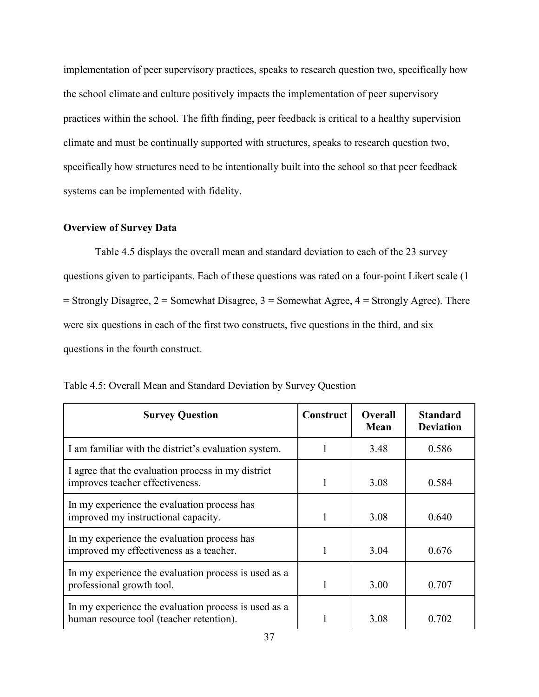implementation of peer supervisory practices, speaks to research question two, specifically how the school climate and culture positively impacts the implementation of peer supervisory practices within the school. The fifth finding, peer feedback is critical to a healthy supervision climate and must be continually supported with structures, speaks to research question two, specifically how structures need to be intentionally built into the school so that peer feedback systems can be implemented with fidelity.

# **Overview of Survey Data**

Table 4.5 displays the overall mean and standard deviation to each of the 23 survey questions given to participants. Each of these questions was rated on a four-point Likert scale (1  $=$  Strongly Disagree, 2 = Somewhat Disagree, 3 = Somewhat Agree, 4 = Strongly Agree). There were six questions in each of the first two constructs, five questions in the third, and six questions in the fourth construct.

| <b>Survey Question</b>                                                                           | Construct | <b>Overall</b><br><b>Mean</b> | <b>Standard</b><br><b>Deviation</b> |
|--------------------------------------------------------------------------------------------------|-----------|-------------------------------|-------------------------------------|
| I am familiar with the district's evaluation system.                                             |           | 3.48                          | 0.586                               |
| I agree that the evaluation process in my district<br>improves teacher effectiveness.            |           | 3.08                          | 0.584                               |
| In my experience the evaluation process has<br>improved my instructional capacity.               | 1         | 3.08                          | 0.640                               |
| In my experience the evaluation process has<br>improved my effectiveness as a teacher.           |           | 3.04                          | 0.676                               |
| In my experience the evaluation process is used as a<br>professional growth tool.                |           | 3.00                          | 0.707                               |
| In my experience the evaluation process is used as a<br>human resource tool (teacher retention). | 1         | 3.08                          | 0.702                               |

Table 4.5: Overall Mean and Standard Deviation by Survey Question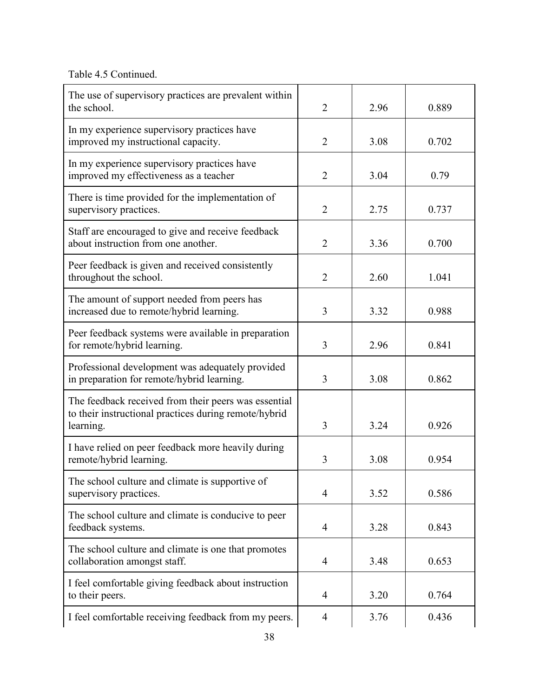Table 4.5 Continued.

| The use of supervisory practices are prevalent within<br>the school.                                                       | 2              | 2.96 | 0.889 |
|----------------------------------------------------------------------------------------------------------------------------|----------------|------|-------|
| In my experience supervisory practices have<br>improved my instructional capacity.                                         | $\overline{2}$ | 3.08 | 0.702 |
| In my experience supervisory practices have<br>improved my effectiveness as a teacher                                      | 2              | 3.04 | 0.79  |
| There is time provided for the implementation of<br>supervisory practices.                                                 | $\overline{2}$ | 2.75 | 0.737 |
| Staff are encouraged to give and receive feedback<br>about instruction from one another.                                   | $\overline{2}$ | 3.36 | 0.700 |
| Peer feedback is given and received consistently<br>throughout the school.                                                 | $\overline{2}$ | 2.60 | 1.041 |
| The amount of support needed from peers has<br>increased due to remote/hybrid learning.                                    | 3              | 3.32 | 0.988 |
| Peer feedback systems were available in preparation<br>for remote/hybrid learning.                                         | 3              | 2.96 | 0.841 |
| Professional development was adequately provided<br>in preparation for remote/hybrid learning.                             | 3              | 3.08 | 0.862 |
| The feedback received from their peers was essential<br>to their instructional practices during remote/hybrid<br>learning. | 3              | 3.24 | 0.926 |
| I have relied on peer feedback more heavily during<br>remote/hybrid learning.                                              | 3              | 3.08 | 0.954 |
| The school culture and climate is supportive of<br>supervisory practices.                                                  | 4              | 3.52 | 0.586 |
| The school culture and climate is conducive to peer<br>feedback systems.                                                   | 4              | 3.28 | 0.843 |
| The school culture and climate is one that promotes<br>collaboration amongst staff.                                        | 4              | 3.48 | 0.653 |
| I feel comfortable giving feedback about instruction<br>to their peers.                                                    | 4              | 3.20 | 0.764 |
| I feel comfortable receiving feedback from my peers.                                                                       | 4              | 3.76 | 0.436 |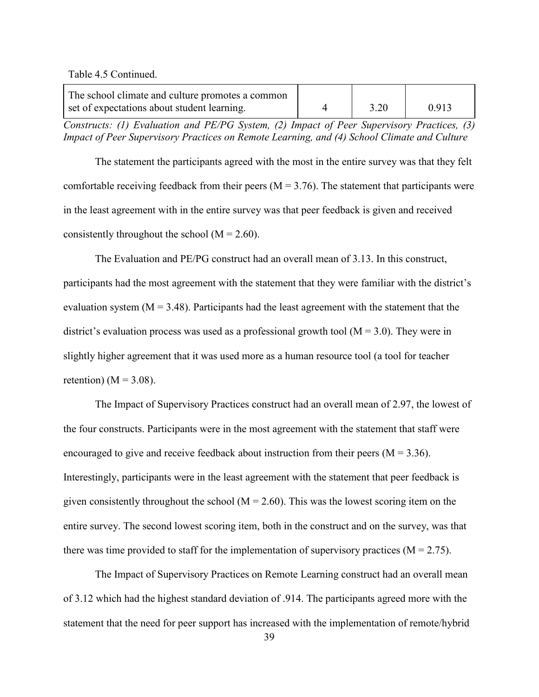Table 4.5 Continued.

| The school climate and culture promotes a common |  |       |
|--------------------------------------------------|--|-------|
| set of expectations about student learning.      |  | 0.913 |

*Constructs: (1) Evaluation and PE/PG System, (2) Impact of Peer Supervisory Practices, (3) Impact of Peer Supervisory Practices on Remote Learning, and (4) School Climate and Culture*

The statement the participants agreed with the most in the entire survey was that they felt comfortable receiving feedback from their peers ( $M = 3.76$ ). The statement that participants were in the least agreement with in the entire survey was that peer feedback is given and received consistently throughout the school ( $M = 2.60$ ).

The Evaluation and PE/PG construct had an overall mean of 3.13. In this construct, participants had the most agreement with the statement that they were familiar with the district's evaluation system ( $M = 3.48$ ). Participants had the least agreement with the statement that the district's evaluation process was used as a professional growth tool  $(M = 3.0)$ . They were in slightly higher agreement that it was used more as a human resource tool (a tool for teacher retention) ( $M = 3.08$ ).

The Impact of Supervisory Practices construct had an overall mean of 2.97, the lowest of the four constructs. Participants were in the most agreement with the statement that staff were encouraged to give and receive feedback about instruction from their peers ( $M = 3.36$ ). Interestingly, participants were in the least agreement with the statement that peer feedback is given consistently throughout the school ( $M = 2.60$ ). This was the lowest scoring item on the entire survey. The second lowest scoring item, both in the construct and on the survey, was that there was time provided to staff for the implementation of supervisory practices  $(M = 2.75)$ .

The Impact of Supervisory Practices on Remote Learning construct had an overall mean of 3.12 which had the highest standard deviation of .914. The participants agreed more with the statement that the need for peer support has increased with the implementation of remote/hybrid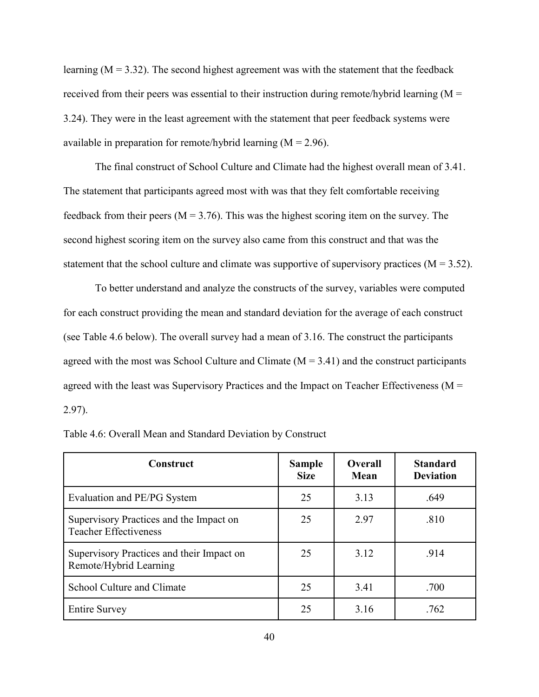learning  $(M = 3.32)$ . The second highest agreement was with the statement that the feedback received from their peers was essential to their instruction during remote/hybrid learning  $(M =$ 3.24). They were in the least agreement with the statement that peer feedback systems were available in preparation for remote/hybrid learning  $(M = 2.96)$ .

The final construct of School Culture and Climate had the highest overall mean of 3.41. The statement that participants agreed most with was that they felt comfortable receiving feedback from their peers ( $M = 3.76$ ). This was the highest scoring item on the survey. The second highest scoring item on the survey also came from this construct and that was the statement that the school culture and climate was supportive of supervisory practices ( $M = 3.52$ ).

To better understand and analyze the constructs of the survey, variables were computed for each construct providing the mean and standard deviation for the average of each construct (see Table 4.6 below). The overall survey had a mean of 3.16. The construct the participants agreed with the most was School Culture and Climate  $(M = 3.41)$  and the construct participants agreed with the least was Supervisory Practices and the Impact on Teacher Effectiveness ( $M =$ 2.97).

| Construct                                                               | <b>Sample</b><br><b>Size</b> | <b>Overall</b><br><b>Mean</b> | <b>Standard</b><br><b>Deviation</b> |
|-------------------------------------------------------------------------|------------------------------|-------------------------------|-------------------------------------|
| Evaluation and PE/PG System                                             | 25                           | 3.13                          | .649                                |
| Supervisory Practices and the Impact on<br><b>Teacher Effectiveness</b> | 25                           | 2.97                          | .810                                |
| Supervisory Practices and their Impact on<br>Remote/Hybrid Learning     | 25                           | 3.12                          | .914                                |
| School Culture and Climate                                              | 25                           | 3.41                          | .700                                |
| <b>Entire Survey</b>                                                    | 25                           | 3.16                          | .762                                |

|  |  | Table 4.6: Overall Mean and Standard Deviation by Construct |  |
|--|--|-------------------------------------------------------------|--|
|  |  |                                                             |  |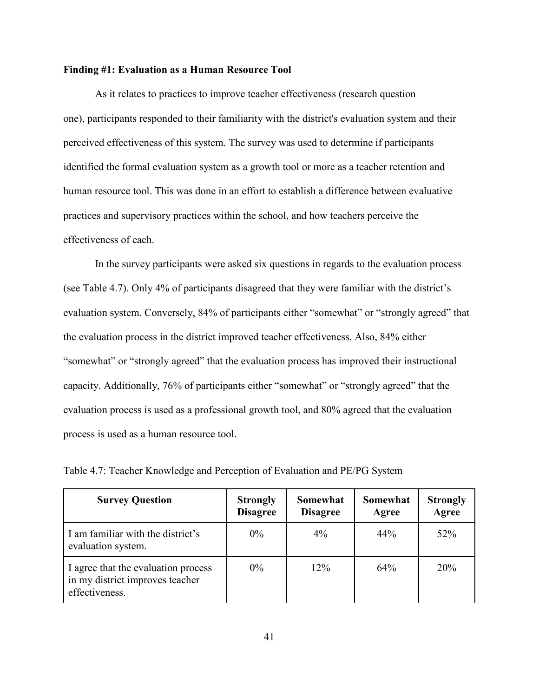## **Finding #1: Evaluation as a Human Resource Tool**

As it relates to practices to improve teacher effectiveness (research question one), participants responded to their familiarity with the district's evaluation system and their perceived effectiveness of this system. The survey was used to determine if participants identified the formal evaluation system as a growth tool or more as a teacher retention and human resource tool. This was done in an effort to establish a difference between evaluative practices and supervisory practices within the school, and how teachers perceive the effectiveness of each.

In the survey participants were asked six questions in regards to the evaluation process (see Table 4.7). Only 4% of participants disagreed that they were familiar with the district's evaluation system. Conversely, 84% of participants either "somewhat" or "strongly agreed" that the evaluation process in the district improved teacher effectiveness. Also, 84% either "somewhat" or "strongly agreed" that the evaluation process has improved their instructional capacity. Additionally, 76% of participants either "somewhat" or "strongly agreed" that the evaluation process is used as a professional growth tool, and 80% agreed that the evaluation process is used as a human resource tool.

| <b>Survey Question</b>                                                                   | <b>Strongly</b><br><b>Disagree</b> | <b>Somewhat</b><br><b>Disagree</b> | Somewhat<br>Agree | <b>Strongly</b><br>Agree |
|------------------------------------------------------------------------------------------|------------------------------------|------------------------------------|-------------------|--------------------------|
| I am familiar with the district's<br>evaluation system.                                  | $0\%$                              | $4\%$                              | 44%               | 52%                      |
| I agree that the evaluation process<br>in my district improves teacher<br>effectiveness. | $0\%$                              | $12\%$                             | 64%               | 20%                      |

Table 4.7: Teacher Knowledge and Perception of Evaluation and PE/PG System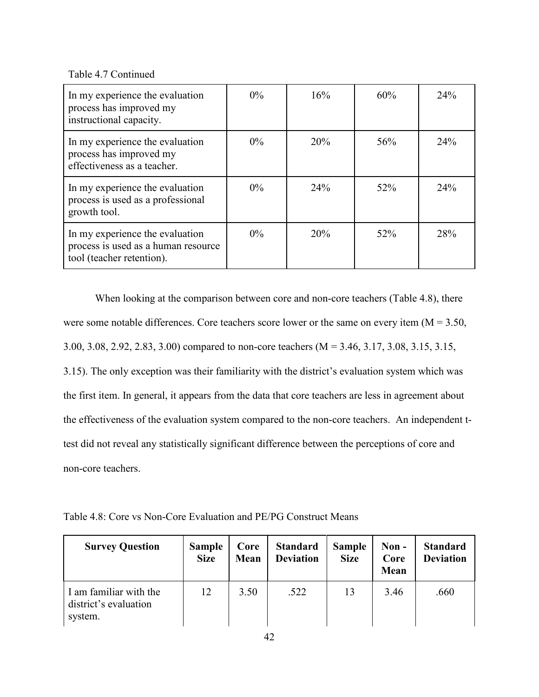Table 4.7 Continued

| In my experience the evaluation<br>process has improved my<br>instructional capacity.               | $0\%$ | 16% | 60% | 24% |
|-----------------------------------------------------------------------------------------------------|-------|-----|-----|-----|
| In my experience the evaluation<br>process has improved my<br>effectiveness as a teacher.           | $0\%$ | 20% | 56% | 24% |
| In my experience the evaluation<br>process is used as a professional<br>growth tool.                | $0\%$ | 24% | 52% | 24% |
| In my experience the evaluation<br>process is used as a human resource<br>tool (teacher retention). | $0\%$ | 20% | 52% | 28% |

When looking at the comparison between core and non-core teachers (Table 4.8), there were some notable differences. Core teachers score lower or the same on every item  $(M = 3.50,$ 3.00, 3.08, 2.92, 2.83, 3.00) compared to non-core teachers (M = 3.46, 3.17, 3.08, 3.15, 3.15, 3.15). The only exception was their familiarity with the district's evaluation system which was the first item. In general, it appears from the data that core teachers are less in agreement about the effectiveness of the evaluation system compared to the non-core teachers. An independent ttest did not reveal any statistically significant difference between the perceptions of core and non-core teachers.

Table 4.8: Core vs Non-Core Evaluation and PE/PG Construct Means

| <b>Survey Question</b>                                     | <b>Sample</b><br><b>Size</b> | Core<br><b>Mean</b> | <b>Standard</b><br><b>Deviation</b> | <b>Sample</b><br><b>Size</b> | Non-<br>Core<br>Mean | <b>Standard</b><br><b>Deviation</b> |
|------------------------------------------------------------|------------------------------|---------------------|-------------------------------------|------------------------------|----------------------|-------------------------------------|
| I am familiar with the<br>district's evaluation<br>system. | 12                           | 3.50                | .522                                | 13                           | 3.46                 | .660                                |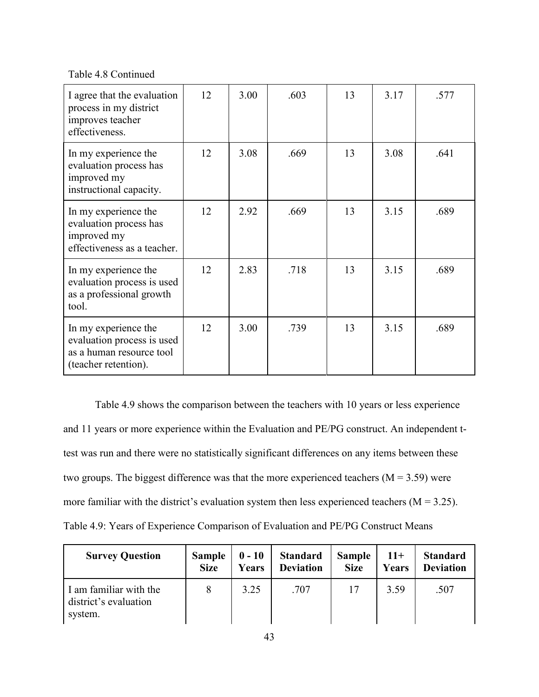Table 4.8 Continued

| I agree that the evaluation<br>process in my district<br>improves teacher<br>effectiveness.            | 12 | 3.00 | .603 | 13 | 3.17 | .577 |
|--------------------------------------------------------------------------------------------------------|----|------|------|----|------|------|
| In my experience the<br>evaluation process has<br>improved my<br>instructional capacity.               | 12 | 3.08 | .669 | 13 | 3.08 | .641 |
| In my experience the<br>evaluation process has<br>improved my<br>effectiveness as a teacher.           | 12 | 2.92 | .669 | 13 | 3.15 | .689 |
| In my experience the<br>evaluation process is used<br>as a professional growth<br>tool.                | 12 | 2.83 | .718 | 13 | 3.15 | .689 |
| In my experience the<br>evaluation process is used<br>as a human resource tool<br>(teacher retention). | 12 | 3.00 | .739 | 13 | 3.15 | .689 |

Table 4.9 shows the comparison between the teachers with 10 years or less experience and 11 years or more experience within the Evaluation and PE/PG construct. An independent ttest was run and there were no statistically significant differences on any items between these two groups. The biggest difference was that the more experienced teachers  $(M = 3.59)$  were more familiar with the district's evaluation system then less experienced teachers ( $M = 3.25$ ). Table 4.9: Years of Experience Comparison of Evaluation and PE/PG Construct Means

| <b>Survey Question</b>                                     | <b>Sample</b> | $0 - 10$ | <b>Standard</b>  | <b>Sample</b> | $11+$ | <b>Standard</b>  |
|------------------------------------------------------------|---------------|----------|------------------|---------------|-------|------------------|
|                                                            | <b>Size</b>   | Years    | <b>Deviation</b> | <b>Size</b>   | Years | <b>Deviation</b> |
| I am familiar with the<br>district's evaluation<br>system. | 8             | 3.25     | .707             | 17            | 3.59  | .507             |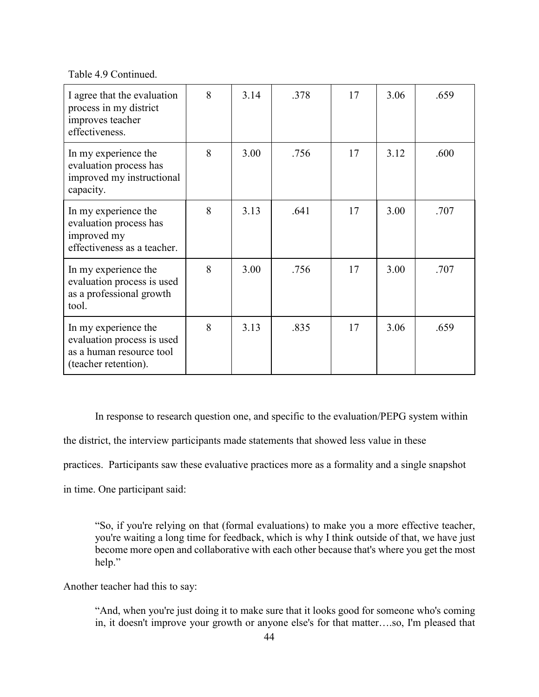Table 4.9 Continued.

| I agree that the evaluation<br>process in my district<br>improves teacher<br>effectiveness.            | 8 | 3.14 | .378 | 17 | 3.06 | .659 |
|--------------------------------------------------------------------------------------------------------|---|------|------|----|------|------|
| In my experience the<br>evaluation process has<br>improved my instructional<br>capacity.               | 8 | 3.00 | .756 | 17 | 3.12 | .600 |
| In my experience the<br>evaluation process has<br>improved my<br>effectiveness as a teacher.           | 8 | 3.13 | .641 | 17 | 3.00 | .707 |
| In my experience the<br>evaluation process is used<br>as a professional growth<br>tool.                | 8 | 3.00 | .756 | 17 | 3.00 | .707 |
| In my experience the<br>evaluation process is used<br>as a human resource tool<br>(teacher retention). | 8 | 3.13 | .835 | 17 | 3.06 | .659 |

In response to research question one, and specific to the evaluation/PEPG system within

the district, the interview participants made statements that showed less value in these

practices. Participants saw these evaluative practices more as a formality and a single snapshot

in time. One participant said:

"So, if you're relying on that (formal evaluations) to make you a more effective teacher, you're waiting a long time for feedback, which is why I think outside of that, we have just become more open and collaborative with each other because that's where you get the most help."

Another teacher had this to say:

"And, when you're just doing it to make sure that it looks good for someone who's coming in, it doesn't improve your growth or anyone else's for that matter….so, I'm pleased that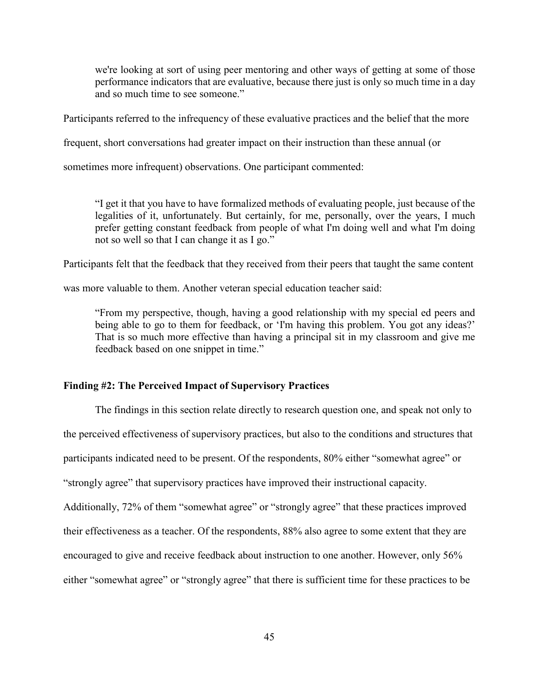we're looking at sort of using peer mentoring and other ways of getting at some of those performance indicators that are evaluative, because there just is only so much time in a day and so much time to see someone."

Participants referred to the infrequency of these evaluative practices and the belief that the more

frequent, short conversations had greater impact on their instruction than these annual (or

sometimes more infrequent) observations. One participant commented:

"I get it that you have to have formalized methods of evaluating people, just because of the legalities of it, unfortunately. But certainly, for me, personally, over the years, I much prefer getting constant feedback from people of what I'm doing well and what I'm doing not so well so that I can change it as I go."

Participants felt that the feedback that they received from their peers that taught the same content

was more valuable to them. Another veteran special education teacher said:

"From my perspective, though, having a good relationship with my special ed peers and being able to go to them for feedback, or 'I'm having this problem. You got any ideas?' That is so much more effective than having a principal sit in my classroom and give me feedback based on one snippet in time."

#### **Finding #2: The Perceived Impact of Supervisory Practices**

The findings in this section relate directly to research question one, and speak not only to the perceived effectiveness of supervisory practices, but also to the conditions and structures that participants indicated need to be present. Of the respondents, 80% either "somewhat agree" or "strongly agree" that supervisory practices have improved their instructional capacity. Additionally, 72% of them "somewhat agree" or "strongly agree" that these practices improved their effectiveness as a teacher. Of the respondents, 88% also agree to some extent that they are encouraged to give and receive feedback about instruction to one another. However, only 56% either "somewhat agree" or "strongly agree" that there is sufficient time for these practices to be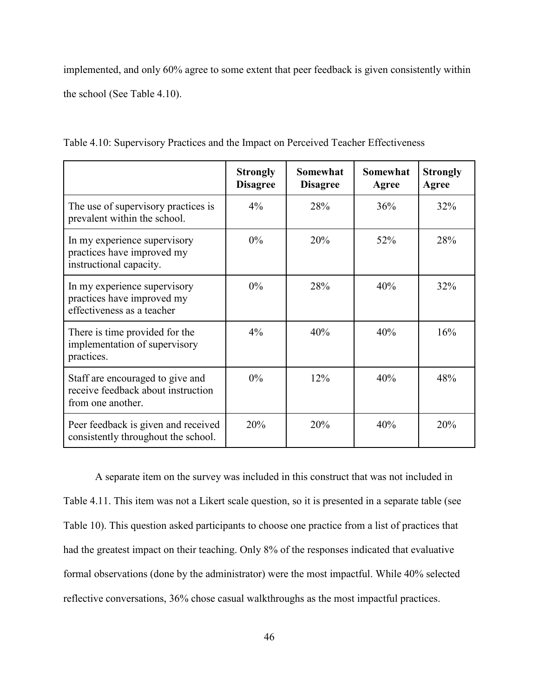implemented, and only 60% agree to some extent that peer feedback is given consistently within the school (See Table 4.10).

|                                                                                             | <b>Strongly</b><br><b>Disagree</b> | <b>Somewhat</b><br><b>Disagree</b> | <b>Somewhat</b><br>Agree | <b>Strongly</b><br>Agree |
|---------------------------------------------------------------------------------------------|------------------------------------|------------------------------------|--------------------------|--------------------------|
| The use of supervisory practices is<br>prevalent within the school.                         | $4\%$                              | 28%                                | 36%                      | 32%                      |
| In my experience supervisory<br>practices have improved my<br>instructional capacity.       | $0\%$                              | 20%                                | 52%                      | 28%                      |
| In my experience supervisory<br>practices have improved my<br>effectiveness as a teacher    | $0\%$                              | 28%                                | 40%                      | 32%                      |
| There is time provided for the<br>implementation of supervisory<br>practices.               | $4\%$                              | 40%                                | 40%                      | 16%                      |
| Staff are encouraged to give and<br>receive feedback about instruction<br>from one another. | $0\%$                              | 12%                                | 40%                      | 48%                      |
| Peer feedback is given and received<br>consistently throughout the school.                  | 20%                                | 20%                                | 40%                      | 20%                      |

Table 4.10: Supervisory Practices and the Impact on Perceived Teacher Effectiveness

A separate item on the survey was included in this construct that was not included in Table 4.11. This item was not a Likert scale question, so it is presented in a separate table (see Table 10). This question asked participants to choose one practice from a list of practices that had the greatest impact on their teaching. Only 8% of the responses indicated that evaluative formal observations (done by the administrator) were the most impactful. While 40% selected reflective conversations, 36% chose casual walkthroughs as the most impactful practices.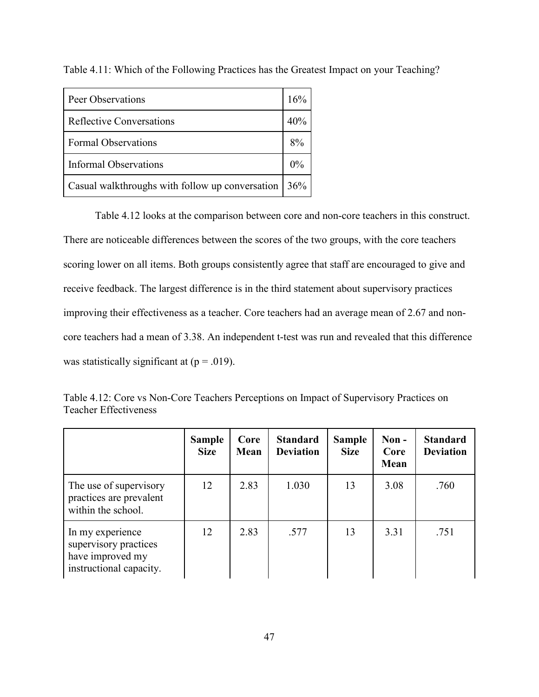| Peer Observations                               | 16%   |
|-------------------------------------------------|-------|
| Reflective Conversations                        | 40%   |
| <b>Formal Observations</b>                      | 8%    |
| Informal Observations                           | $0\%$ |
| Casual walkthroughs with follow up conversation | 36%   |

Table 4.11: Which of the Following Practices has the Greatest Impact on your Teaching?

Table 4.12 looks at the comparison between core and non-core teachers in this construct. There are noticeable differences between the scores of the two groups, with the core teachers scoring lower on all items. Both groups consistently agree that staff are encouraged to give and receive feedback. The largest difference is in the third statement about supervisory practices improving their effectiveness as a teacher. Core teachers had an average mean of 2.67 and noncore teachers had a mean of 3.38. An independent t-test was run and revealed that this difference was statistically significant at  $(p = .019)$ .

| Table 4.12: Core vs Non-Core Teachers Perceptions on Impact of Supervisory Practices on |  |  |
|-----------------------------------------------------------------------------------------|--|--|
| Teacher Effectiveness                                                                   |  |  |

|                                                                                          | <b>Sample</b><br><b>Size</b> | Core<br>Mean | <b>Standard</b><br><b>Deviation</b> | <b>Sample</b><br><b>Size</b> | $Non -$<br>Core<br>Mean | <b>Standard</b><br><b>Deviation</b> |
|------------------------------------------------------------------------------------------|------------------------------|--------------|-------------------------------------|------------------------------|-------------------------|-------------------------------------|
| The use of supervisory<br>practices are prevalent<br>within the school.                  | 12                           | 2.83         | 1.030                               | 13                           | 3.08                    | .760                                |
| In my experience<br>supervisory practices<br>have improved my<br>instructional capacity. | 12                           | 2.83         | .577                                | 13                           | 3.31                    | .751                                |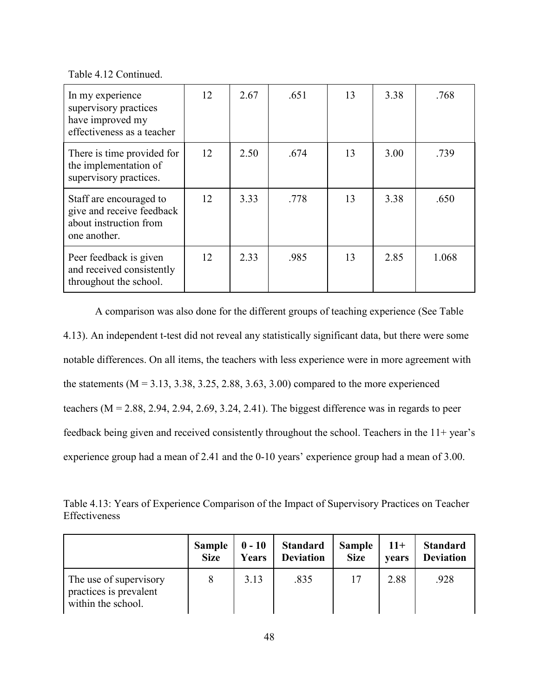Table 4.12 Continued.

| In my experience<br>supervisory practices<br>have improved my<br>effectiveness as a teacher    | 12 | 2.67 | .651 | 13 | 3.38 | .768  |
|------------------------------------------------------------------------------------------------|----|------|------|----|------|-------|
| There is time provided for<br>the implementation of<br>supervisory practices.                  | 12 | 2.50 | .674 | 13 | 3.00 | .739  |
| Staff are encouraged to<br>give and receive feedback<br>about instruction from<br>one another. | 12 | 3.33 | .778 | 13 | 3.38 | .650  |
| Peer feedback is given<br>and received consistently<br>throughout the school.                  | 12 | 2.33 | .985 | 13 | 2.85 | 1.068 |

A comparison was also done for the different groups of teaching experience (See Table 4.13). An independent t-test did not reveal any statistically significant data, but there were some notable differences. On all items, the teachers with less experience were in more agreement with the statements  $(M = 3.13, 3.38, 3.25, 2.88, 3.63, 3.00)$  compared to the more experienced teachers  $(M = 2.88, 2.94, 2.94, 2.69, 3.24, 2.41)$ . The biggest difference was in regards to peer feedback being given and received consistently throughout the school. Teachers in the 11+ year's experience group had a mean of 2.41 and the 0-10 years' experience group had a mean of 3.00.

Table 4.13: Years of Experience Comparison of the Impact of Supervisory Practices on Teacher Effectiveness

|                                                                        | <b>Sample</b> | $0 - 10$ | <b>Standard</b>  | <b>Sample</b> | $11+$ | <b>Standard</b>  |
|------------------------------------------------------------------------|---------------|----------|------------------|---------------|-------|------------------|
|                                                                        | <b>Size</b>   | Years    | <b>Deviation</b> | <b>Size</b>   | vears | <b>Deviation</b> |
| The use of supervisory<br>practices is prevalent<br>within the school. |               | 3.13     | .835             |               | 2.88  | .928             |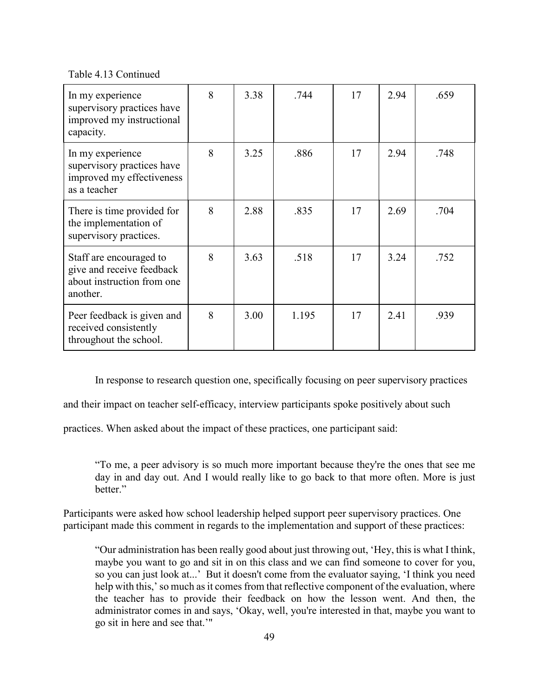Table 4.13 Continued

| In my experience<br>supervisory practices have<br>improved my instructional<br>capacity.       | 8 | 3.38 | .744  | 17 | 2.94 | .659 |
|------------------------------------------------------------------------------------------------|---|------|-------|----|------|------|
| In my experience<br>supervisory practices have<br>improved my effectiveness<br>as a teacher    | 8 | 3.25 | .886  | 17 | 2.94 | .748 |
| There is time provided for<br>the implementation of<br>supervisory practices.                  | 8 | 2.88 | .835  | 17 | 2.69 | .704 |
| Staff are encouraged to<br>give and receive feedback<br>about instruction from one<br>another. | 8 | 3.63 | .518  | 17 | 3.24 | .752 |
| Peer feedback is given and<br>received consistently<br>throughout the school.                  | 8 | 3.00 | 1.195 | 17 | 2.41 | .939 |

In response to research question one, specifically focusing on peer supervisory practices

and their impact on teacher self-efficacy, interview participants spoke positively about such

practices. When asked about the impact of these practices, one participant said:

"To me, a peer advisory is so much more important because they're the ones that see me day in and day out. And I would really like to go back to that more often. More is just better."

Participants were asked how school leadership helped support peer supervisory practices. One participant made this comment in regards to the implementation and support of these practices:

"Our administration has been really good about just throwing out, 'Hey, this is what I think, maybe you want to go and sit in on this class and we can find someone to cover for you, so you can just look at...' But it doesn't come from the evaluator saying, 'I think you need help with this,' so much as it comes from that reflective component of the evaluation, where the teacher has to provide their feedback on how the lesson went. And then, the administrator comes in and says, 'Okay, well, you're interested in that, maybe you want to go sit in here and see that.'"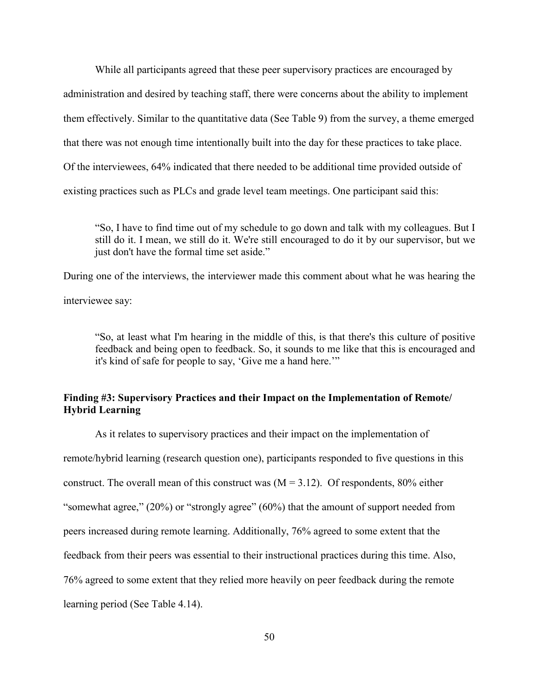While all participants agreed that these peer supervisory practices are encouraged by

administration and desired by teaching staff, there were concerns about the ability to implement

them effectively. Similar to the quantitative data (See Table 9) from the survey, a theme emerged

that there was not enough time intentionally built into the day for these practices to take place.

Of the interviewees, 64% indicated that there needed to be additional time provided outside of

existing practices such as PLCs and grade level team meetings. One participant said this:

"So, I have to find time out of my schedule to go down and talk with my colleagues. But I still do it. I mean, we still do it. We're still encouraged to do it by our supervisor, but we just don't have the formal time set aside."

During one of the interviews, the interviewer made this comment about what he was hearing the interviewee say:

"So, at least what I'm hearing in the middle of this, is that there's this culture of positive feedback and being open to feedback. So, it sounds to me like that this is encouraged and it's kind of safe for people to say, 'Give me a hand here.'"

# **Finding #3: Supervisory Practices and their Impact on the Implementation of Remote/ Hybrid Learning**

As it relates to supervisory practices and their impact on the implementation of remote/hybrid learning (research question one), participants responded to five questions in this construct. The overall mean of this construct was  $(M = 3.12)$ . Of respondents, 80% either "somewhat agree," (20%) or "strongly agree" (60%) that the amount of support needed from peers increased during remote learning. Additionally, 76% agreed to some extent that the feedback from their peers was essential to their instructional practices during this time. Also, 76% agreed to some extent that they relied more heavily on peer feedback during the remote learning period (See Table 4.14).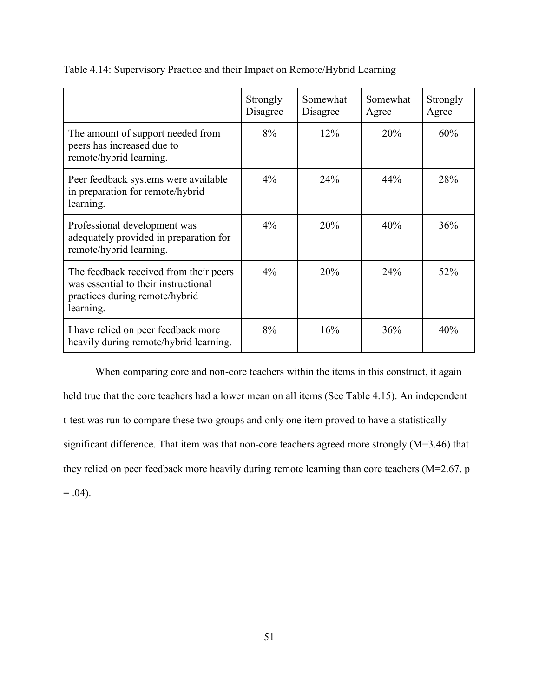|                                                                                                                               | Strongly<br>Disagree | Somewhat<br>Disagree | Somewhat<br>Agree | Strongly<br>Agree |
|-------------------------------------------------------------------------------------------------------------------------------|----------------------|----------------------|-------------------|-------------------|
| The amount of support needed from<br>peers has increased due to<br>remote/hybrid learning.                                    | 8%                   | 12%                  | 20%               | 60%               |
| Peer feedback systems were available<br>in preparation for remote/hybrid<br>learning.                                         | $4\%$                | 24%                  | 44%               | 28%               |
| Professional development was<br>adequately provided in preparation for<br>remote/hybrid learning.                             | $4\%$                | 20%                  | 40%               | 36%               |
| The feedback received from their peers<br>was essential to their instructional<br>practices during remote/hybrid<br>learning. | $4\%$                | 20%                  | 24%               | 52%               |
| I have relied on peer feedback more<br>heavily during remote/hybrid learning.                                                 | 8%                   | 16%                  | 36%               | 40%               |

Table 4.14: Supervisory Practice and their Impact on Remote/Hybrid Learning

When comparing core and non-core teachers within the items in this construct, it again held true that the core teachers had a lower mean on all items (See Table 4.15). An independent t-test was run to compare these two groups and only one item proved to have a statistically significant difference. That item was that non-core teachers agreed more strongly (M=3.46) that they relied on peer feedback more heavily during remote learning than core teachers (M=2.67, p  $= .04$ ).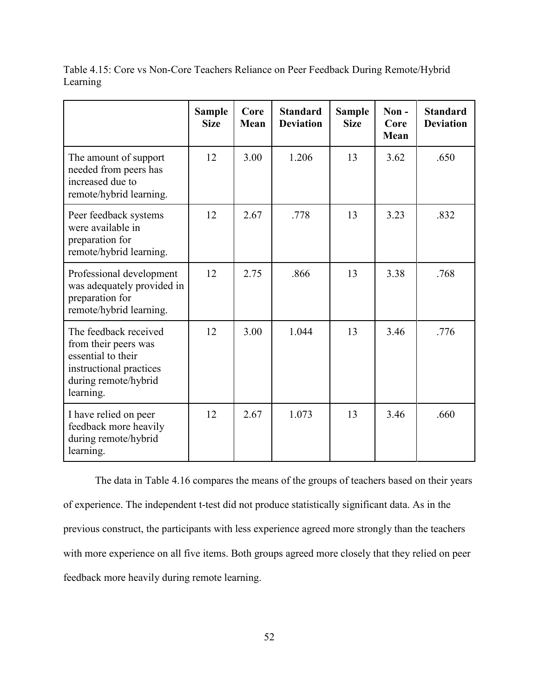Table 4.15: Core vs Non-Core Teachers Reliance on Peer Feedback During Remote/Hybrid Learning

|                                                                                                                                     | <b>Sample</b><br><b>Size</b> | Core<br>Mean | <b>Standard</b><br><b>Deviation</b> | <b>Sample</b><br><b>Size</b> | Non-<br>Core<br>Mean | <b>Standard</b><br><b>Deviation</b> |
|-------------------------------------------------------------------------------------------------------------------------------------|------------------------------|--------------|-------------------------------------|------------------------------|----------------------|-------------------------------------|
| The amount of support<br>needed from peers has<br>increased due to<br>remote/hybrid learning.                                       | 12                           | 3.00         | 1.206                               | 13                           | 3.62                 | .650                                |
| Peer feedback systems<br>were available in<br>preparation for<br>remote/hybrid learning.                                            | 12                           | 2.67         | .778                                | 13                           | 3.23                 | .832                                |
| Professional development<br>was adequately provided in<br>preparation for<br>remote/hybrid learning.                                | 12                           | 2.75         | .866                                | 13                           | 3.38                 | .768                                |
| The feedback received<br>from their peers was<br>essential to their<br>instructional practices<br>during remote/hybrid<br>learning. | 12                           | 3.00         | 1.044                               | 13                           | 3.46                 | .776                                |
| I have relied on peer<br>feedback more heavily<br>during remote/hybrid<br>learning.                                                 | 12                           | 2.67         | 1.073                               | 13                           | 3.46                 | .660                                |

The data in Table 4.16 compares the means of the groups of teachers based on their years of experience. The independent t-test did not produce statistically significant data. As in the previous construct, the participants with less experience agreed more strongly than the teachers with more experience on all five items. Both groups agreed more closely that they relied on peer feedback more heavily during remote learning.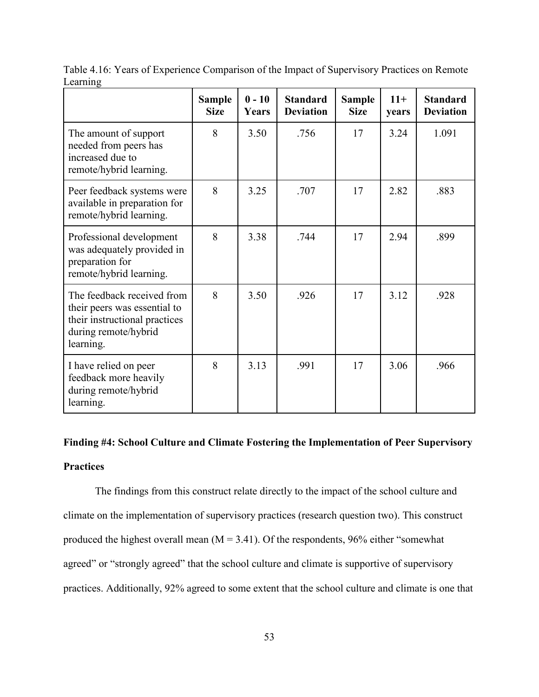|                                                                                                                                  | <b>Sample</b><br><b>Size</b> | $0 - 10$<br>Years | <b>Standard</b><br><b>Deviation</b> | <b>Sample</b><br><b>Size</b> | $11+$<br>years | <b>Standard</b><br><b>Deviation</b> |
|----------------------------------------------------------------------------------------------------------------------------------|------------------------------|-------------------|-------------------------------------|------------------------------|----------------|-------------------------------------|
| The amount of support<br>needed from peers has<br>increased due to<br>remote/hybrid learning.                                    | 8                            | 3.50              | .756                                | 17                           | 3.24           | 1.091                               |
| Peer feedback systems were<br>available in preparation for<br>remote/hybrid learning.                                            | 8                            | 3.25              | .707                                | 17                           | 2.82           | .883                                |
| Professional development<br>was adequately provided in<br>preparation for<br>remote/hybrid learning.                             | 8                            | 3.38              | .744                                | 17                           | 2.94           | .899                                |
| The feedback received from<br>their peers was essential to<br>their instructional practices<br>during remote/hybrid<br>learning. | 8                            | 3.50              | .926                                | 17                           | 3.12           | .928                                |
| I have relied on peer<br>feedback more heavily<br>during remote/hybrid<br>learning.                                              | 8                            | 3.13              | .991                                | 17                           | 3.06           | .966                                |

Table 4.16: Years of Experience Comparison of the Impact of Supervisory Practices on Remote Learning

# **Finding #4: School Culture and Climate Fostering the Implementation of Peer Supervisory Practices**

The findings from this construct relate directly to the impact of the school culture and climate on the implementation of supervisory practices (research question two). This construct produced the highest overall mean  $(M = 3.41)$ . Of the respondents, 96% either "somewhat agreed" or "strongly agreed" that the school culture and climate is supportive of supervisory practices. Additionally, 92% agreed to some extent that the school culture and climate is one that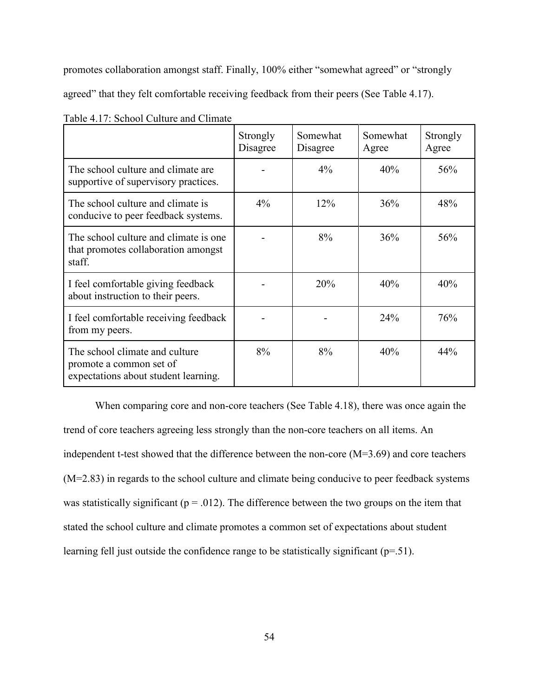promotes collaboration amongst staff. Finally, 100% either "somewhat agreed" or "strongly

agreed" that they felt comfortable receiving feedback from their peers (See Table 4.17).

|                                                                                                   | Strongly<br>Disagree | Somewhat<br>Disagree | Somewhat<br>Agree | Strongly<br>Agree |
|---------------------------------------------------------------------------------------------------|----------------------|----------------------|-------------------|-------------------|
| The school culture and climate are<br>supportive of supervisory practices.                        |                      | $4\%$                | 40%               | 56%               |
| The school culture and climate is<br>conducive to peer feedback systems.                          | $4\%$                | 12%                  | 36%               | 48%               |
| The school culture and climate is one<br>that promotes collaboration amongst<br>staff.            |                      | 8%                   | 36%               | 56%               |
| I feel comfortable giving feedback<br>about instruction to their peers.                           |                      | 20%                  | 40%               | 40%               |
| I feel comfortable receiving feedback<br>from my peers.                                           |                      |                      | 24%               | 76%               |
| The school climate and culture<br>promote a common set of<br>expectations about student learning. | 8%                   | 8%                   | 40%               | 44%               |

Table 4.17: School Culture and Climate

When comparing core and non-core teachers (See Table 4.18), there was once again the trend of core teachers agreeing less strongly than the non-core teachers on all items. An independent t-test showed that the difference between the non-core (M=3.69) and core teachers (M=2.83) in regards to the school culture and climate being conducive to peer feedback systems was statistically significant ( $p = .012$ ). The difference between the two groups on the item that stated the school culture and climate promotes a common set of expectations about student learning fell just outside the confidence range to be statistically significant (p=.51).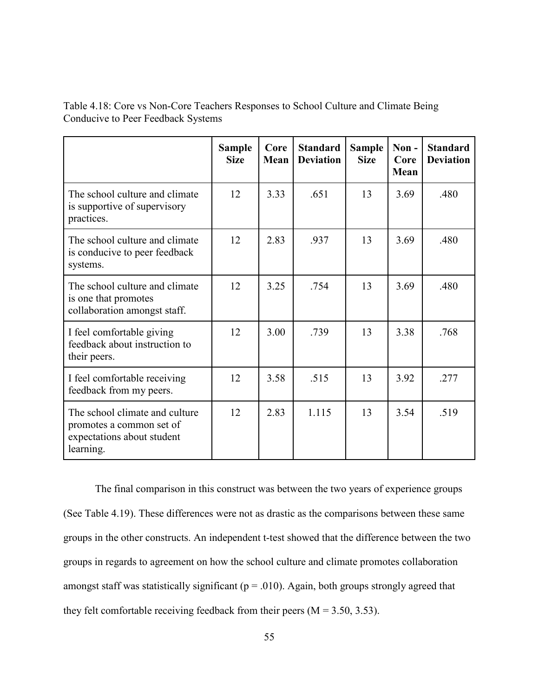Table 4.18: Core vs Non-Core Teachers Responses to School Culture and Climate Being Conducive to Peer Feedback Systems

|                                                                                                       | <b>Sample</b><br><b>Size</b> | Core<br>Mean | <b>Standard</b><br><b>Deviation</b> | <b>Sample</b><br><b>Size</b> | Non-<br>Core<br>Mean | <b>Standard</b><br><b>Deviation</b> |
|-------------------------------------------------------------------------------------------------------|------------------------------|--------------|-------------------------------------|------------------------------|----------------------|-------------------------------------|
| The school culture and climate<br>is supportive of supervisory<br>practices.                          | 12                           | 3.33         | .651                                | 13                           | 3.69                 | .480                                |
| The school culture and climate<br>is conducive to peer feedback<br>systems.                           | 12                           | 2.83         | .937                                | 13                           | 3.69                 | .480                                |
| The school culture and climate<br>is one that promotes<br>collaboration amongst staff.                | 12                           | 3.25         | .754                                | 13                           | 3.69                 | .480                                |
| I feel comfortable giving<br>feedback about instruction to<br>their peers.                            | 12                           | 3.00         | .739                                | 13                           | 3.38                 | .768                                |
| I feel comfortable receiving<br>feedback from my peers.                                               | 12                           | 3.58         | .515                                | 13                           | 3.92                 | .277                                |
| The school climate and culture<br>promotes a common set of<br>expectations about student<br>learning. | 12                           | 2.83         | 1.115                               | 13                           | 3.54                 | .519                                |

The final comparison in this construct was between the two years of experience groups (See Table 4.19). These differences were not as drastic as the comparisons between these same groups in the other constructs. An independent t-test showed that the difference between the two groups in regards to agreement on how the school culture and climate promotes collaboration amongst staff was statistically significant ( $p = .010$ ). Again, both groups strongly agreed that they felt comfortable receiving feedback from their peers ( $M = 3.50, 3.53$ ).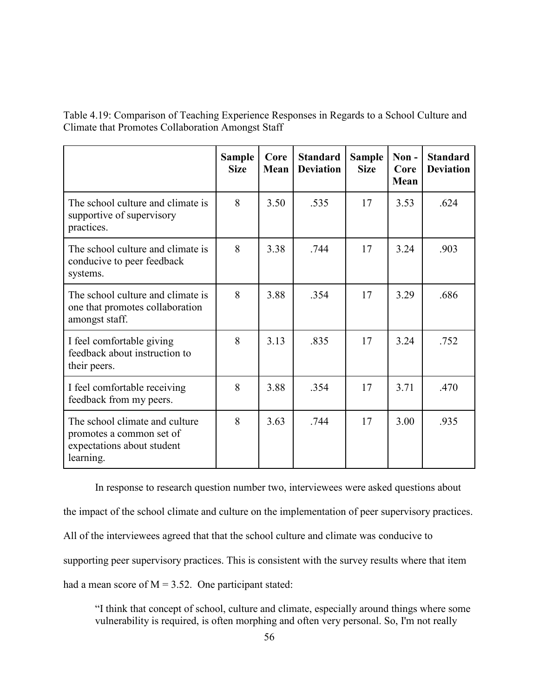Table 4.19: Comparison of Teaching Experience Responses in Regards to a School Culture and Climate that Promotes Collaboration Amongst Staff

|                                                                                                       | <b>Sample</b><br><b>Size</b> | Core<br><b>Mean</b> | <b>Standard</b><br><b>Deviation</b> | <b>Sample</b><br><b>Size</b> | Non-<br>Core<br>Mean | <b>Standard</b><br><b>Deviation</b> |
|-------------------------------------------------------------------------------------------------------|------------------------------|---------------------|-------------------------------------|------------------------------|----------------------|-------------------------------------|
| The school culture and climate is<br>supportive of supervisory<br>practices.                          | 8                            | 3.50                | .535                                | 17                           | 3.53                 | .624                                |
| The school culture and climate is<br>conducive to peer feedback<br>systems.                           | 8                            | 3.38                | .744                                | 17                           | 3.24                 | .903                                |
| The school culture and climate is<br>one that promotes collaboration<br>amongst staff.                | 8                            | 3.88                | .354                                | 17                           | 3.29                 | .686                                |
| I feel comfortable giving<br>feedback about instruction to<br>their peers.                            | 8                            | 3.13                | .835                                | 17                           | 3.24                 | .752                                |
| I feel comfortable receiving<br>feedback from my peers.                                               | 8                            | 3.88                | .354                                | 17                           | 3.71                 | .470                                |
| The school climate and culture<br>promotes a common set of<br>expectations about student<br>learning. | 8                            | 3.63                | .744                                | 17                           | 3.00                 | .935                                |

In response to research question number two, interviewees were asked questions about the impact of the school climate and culture on the implementation of peer supervisory practices. All of the interviewees agreed that that the school culture and climate was conducive to supporting peer supervisory practices. This is consistent with the survey results where that item had a mean score of  $M = 3.52$ . One participant stated:

"I think that concept of school, culture and climate, especially around things where some vulnerability is required, is often morphing and often very personal. So, I'm not really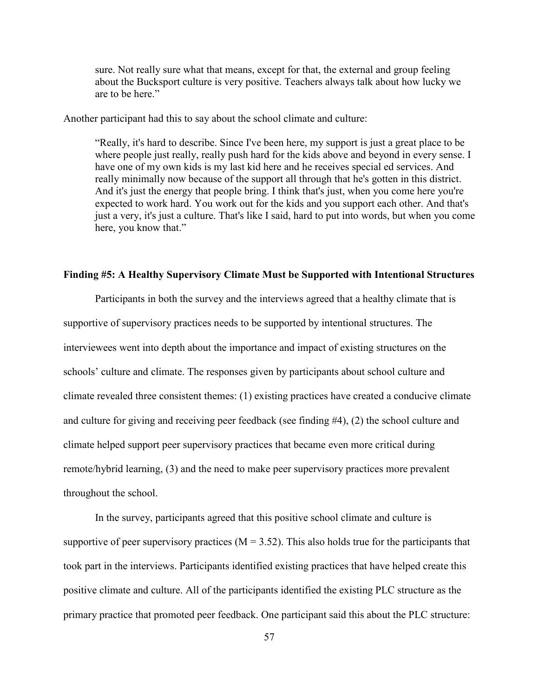sure. Not really sure what that means, except for that, the external and group feeling about the Bucksport culture is very positive. Teachers always talk about how lucky we are to be here."

Another participant had this to say about the school climate and culture:

"Really, it's hard to describe. Since I've been here, my support is just a great place to be where people just really, really push hard for the kids above and beyond in every sense. I have one of my own kids is my last kid here and he receives special ed services. And really minimally now because of the support all through that he's gotten in this district. And it's just the energy that people bring. I think that's just, when you come here you're expected to work hard. You work out for the kids and you support each other. And that's just a very, it's just a culture. That's like I said, hard to put into words, but when you come here, you know that."

#### **Finding #5: A Healthy Supervisory Climate Must be Supported with Intentional Structures**

Participants in both the survey and the interviews agreed that a healthy climate that is supportive of supervisory practices needs to be supported by intentional structures. The interviewees went into depth about the importance and impact of existing structures on the schools' culture and climate. The responses given by participants about school culture and climate revealed three consistent themes: (1) existing practices have created a conducive climate and culture for giving and receiving peer feedback (see finding #4), (2) the school culture and climate helped support peer supervisory practices that became even more critical during remote/hybrid learning, (3) and the need to make peer supervisory practices more prevalent throughout the school.

In the survey, participants agreed that this positive school climate and culture is supportive of peer supervisory practices ( $M = 3.52$ ). This also holds true for the participants that took part in the interviews. Participants identified existing practices that have helped create this positive climate and culture. All of the participants identified the existing PLC structure as the primary practice that promoted peer feedback. One participant said this about the PLC structure: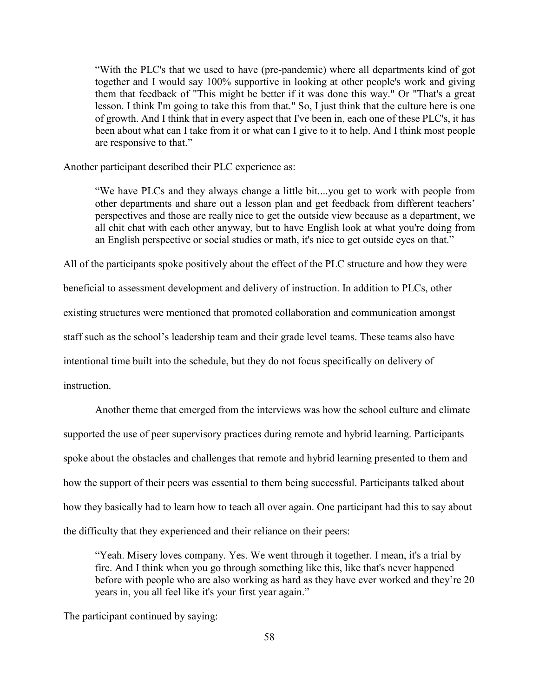"With the PLC's that we used to have (pre-pandemic) where all departments kind of got together and I would say 100% supportive in looking at other people's work and giving them that feedback of "This might be better if it was done this way." Or "That's a great lesson. I think I'm going to take this from that." So, I just think that the culture here is one of growth. And I think that in every aspect that I've been in, each one of these PLC's, it has been about what can I take from it or what can I give to it to help. And I think most people are responsive to that."

Another participant described their PLC experience as:

"We have PLCs and they always change a little bit....you get to work with people from other departments and share out a lesson plan and get feedback from different teachers' perspectives and those are really nice to get the outside view because as a department, we all chit chat with each other anyway, but to have English look at what you're doing from an English perspective or social studies or math, it's nice to get outside eyes on that."

All of the participants spoke positively about the effect of the PLC structure and how they were

beneficial to assessment development and delivery of instruction. In addition to PLCs, other existing structures were mentioned that promoted collaboration and communication amongst

staff such as the school's leadership team and their grade level teams. These teams also have

intentional time built into the schedule, but they do not focus specifically on delivery of

instruction.

Another theme that emerged from the interviews was how the school culture and climate supported the use of peer supervisory practices during remote and hybrid learning. Participants spoke about the obstacles and challenges that remote and hybrid learning presented to them and how the support of their peers was essential to them being successful. Participants talked about how they basically had to learn how to teach all over again. One participant had this to say about the difficulty that they experienced and their reliance on their peers:

"Yeah. Misery loves company. Yes. We went through it together. I mean, it's a trial by fire. And I think when you go through something like this, like that's never happened before with people who are also working as hard as they have ever worked and they're 20 years in, you all feel like it's your first year again."

The participant continued by saying: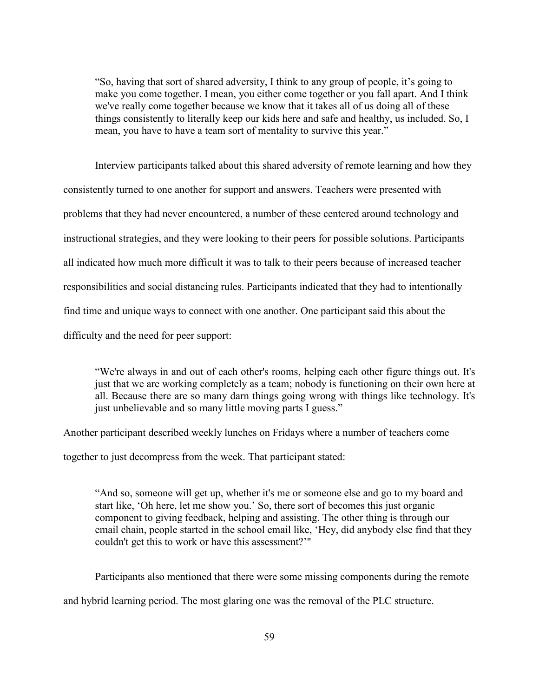"So, having that sort of shared adversity, I think to any group of people, it's going to make you come together. I mean, you either come together or you fall apart. And I think we've really come together because we know that it takes all of us doing all of these things consistently to literally keep our kids here and safe and healthy, us included. So, I mean, you have to have a team sort of mentality to survive this year."

Interview participants talked about this shared adversity of remote learning and how they consistently turned to one another for support and answers. Teachers were presented with problems that they had never encountered, a number of these centered around technology and instructional strategies, and they were looking to their peers for possible solutions. Participants all indicated how much more difficult it was to talk to their peers because of increased teacher responsibilities and social distancing rules. Participants indicated that they had to intentionally find time and unique ways to connect with one another. One participant said this about the difficulty and the need for peer support:

"We're always in and out of each other's rooms, helping each other figure things out. It's just that we are working completely as a team; nobody is functioning on their own here at all. Because there are so many darn things going wrong with things like technology. It's just unbelievable and so many little moving parts I guess."

Another participant described weekly lunches on Fridays where a number of teachers come

together to just decompress from the week. That participant stated:

"And so, someone will get up, whether it's me or someone else and go to my board and start like, 'Oh here, let me show you.' So, there sort of becomes this just organic component to giving feedback, helping and assisting. The other thing is through our email chain, people started in the school email like, 'Hey, did anybody else find that they couldn't get this to work or have this assessment?'"

Participants also mentioned that there were some missing components during the remote and hybrid learning period. The most glaring one was the removal of the PLC structure.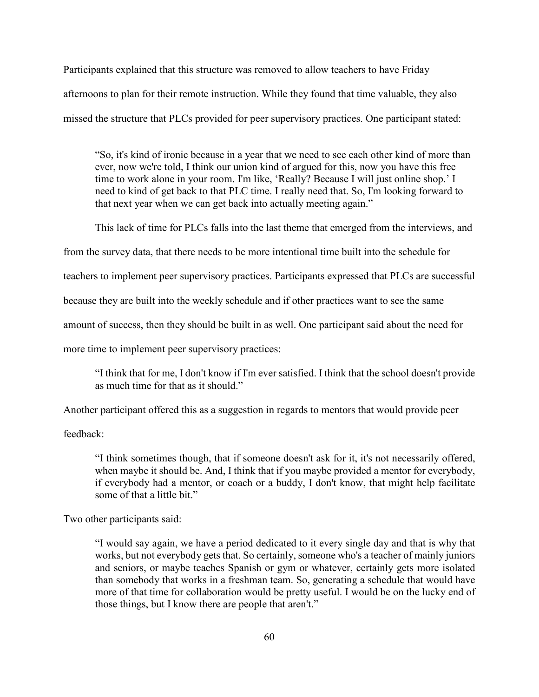Participants explained that this structure was removed to allow teachers to have Friday afternoons to plan for their remote instruction. While they found that time valuable, they also missed the structure that PLCs provided for peer supervisory practices. One participant stated:

"So, it's kind of ironic because in a year that we need to see each other kind of more than ever, now we're told, I think our union kind of argued for this, now you have this free time to work alone in your room. I'm like, 'Really? Because I will just online shop.' I need to kind of get back to that PLC time. I really need that. So, I'm looking forward to that next year when we can get back into actually meeting again."

This lack of time for PLCs falls into the last theme that emerged from the interviews, and

from the survey data, that there needs to be more intentional time built into the schedule for

teachers to implement peer supervisory practices. Participants expressed that PLCs are successful

because they are built into the weekly schedule and if other practices want to see the same

amount of success, then they should be built in as well. One participant said about the need for

more time to implement peer supervisory practices:

"I think that for me, I don't know if I'm ever satisfied. I think that the school doesn't provide as much time for that as it should."

Another participant offered this as a suggestion in regards to mentors that would provide peer

feedback:

"I think sometimes though, that if someone doesn't ask for it, it's not necessarily offered, when maybe it should be. And, I think that if you maybe provided a mentor for everybody, if everybody had a mentor, or coach or a buddy, I don't know, that might help facilitate some of that a little bit."

Two other participants said:

"I would say again, we have a period dedicated to it every single day and that is why that works, but not everybody gets that. So certainly, someone who's a teacher of mainly juniors and seniors, or maybe teaches Spanish or gym or whatever, certainly gets more isolated than somebody that works in a freshman team. So, generating a schedule that would have more of that time for collaboration would be pretty useful. I would be on the lucky end of those things, but I know there are people that aren't."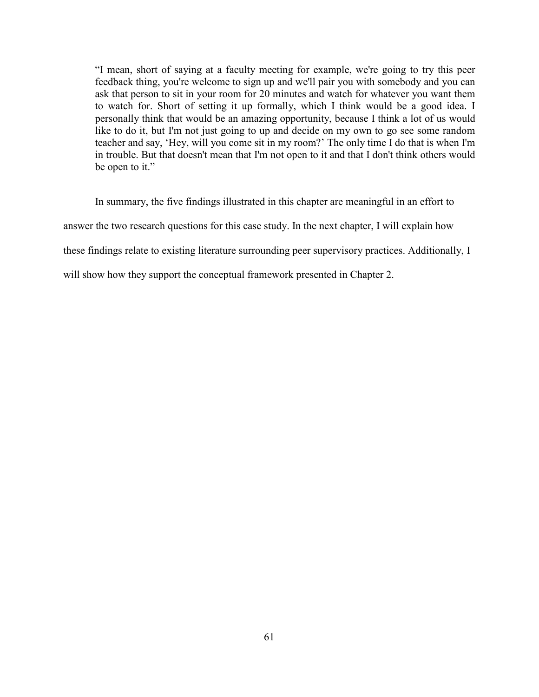"I mean, short of saying at a faculty meeting for example, we're going to try this peer feedback thing, you're welcome to sign up and we'll pair you with somebody and you can ask that person to sit in your room for 20 minutes and watch for whatever you want them to watch for. Short of setting it up formally, which I think would be a good idea. I personally think that would be an amazing opportunity, because I think a lot of us would like to do it, but I'm not just going to up and decide on my own to go see some random teacher and say, 'Hey, will you come sit in my room?' The only time I do that is when I'm in trouble. But that doesn't mean that I'm not open to it and that I don't think others would be open to it."

In summary, the five findings illustrated in this chapter are meaningful in an effort to answer the two research questions for this case study. In the next chapter, I will explain how these findings relate to existing literature surrounding peer supervisory practices. Additionally, I will show how they support the conceptual framework presented in Chapter 2.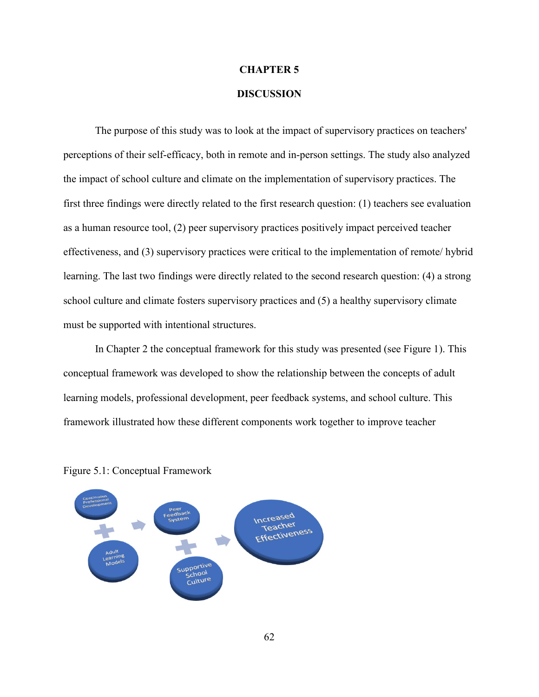### **CHAPTER 5**

## **DISCUSSION**

The purpose of this study was to look at the impact of supervisory practices on teachers' perceptions of their self-efficacy, both in remote and in-person settings. The study also analyzed the impact of school culture and climate on the implementation of supervisory practices. The first three findings were directly related to the first research question: (1) teachers see evaluation as a human resource tool, (2) peer supervisory practices positively impact perceived teacher effectiveness, and (3) supervisory practices were critical to the implementation of remote/ hybrid learning. The last two findings were directly related to the second research question: (4) a strong school culture and climate fosters supervisory practices and (5) a healthy supervisory climate must be supported with intentional structures.

In Chapter 2 the conceptual framework for this study was presented (see Figure 1). This conceptual framework was developed to show the relationship between the concepts of adult learning models, professional development, peer feedback systems, and school culture. This framework illustrated how these different components work together to improve teacher



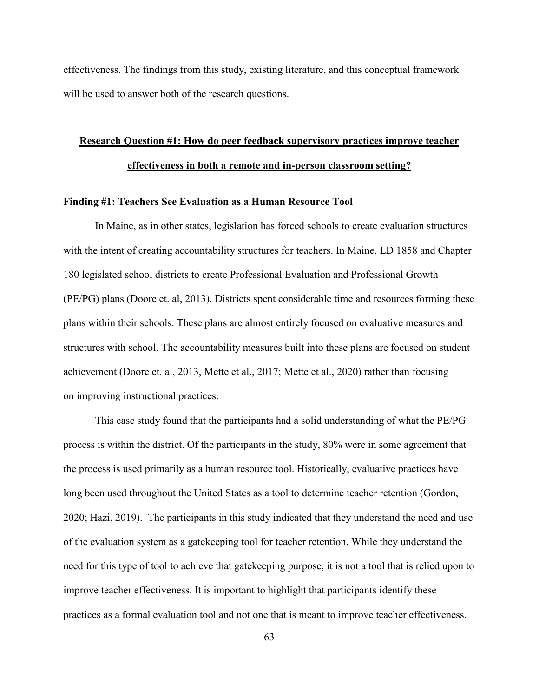effectiveness. The findings from this study, existing literature, and this conceptual framework will be used to answer both of the research questions.

# **Research Question #1: How do peer feedback supervisory practices improve teacher effectiveness in both a remote and in-person classroom setting?**

#### **Finding #1: Teachers See Evaluation as a Human Resource Tool**

In Maine, as in other states, legislation has forced schools to create evaluation structures with the intent of creating accountability structures for teachers. In Maine, LD 1858 and Chapter 180 legislated school districts to create Professional Evaluation and Professional Growth (PE/PG) plans (Doore et. al, 2013). Districts spent considerable time and resources forming these plans within their schools. These plans are almost entirely focused on evaluative measures and structures with school. The accountability measures built into these plans are focused on student achievement (Doore et. al, 2013, Mette et al., 2017; Mette et al., 2020) rather than focusing on improving instructional practices.

This case study found that the participants had a solid understanding of what the PE/PG process is within the district. Of the participants in the study, 80% were in some agreement that the process is used primarily as a human resource tool. Historically, evaluative practices have long been used throughout the United States as a tool to determine teacher retention (Gordon, 2020; Hazi, 2019). The participants in this study indicated that they understand the need and use of the evaluation system as a gatekeeping tool for teacher retention. While they understand the need for this type of tool to achieve that gatekeeping purpose, it is not a tool that is relied upon to improve teacher effectiveness. It is important to highlight that participants identify these practices as a formal evaluation tool and not one that is meant to improve teacher effectiveness.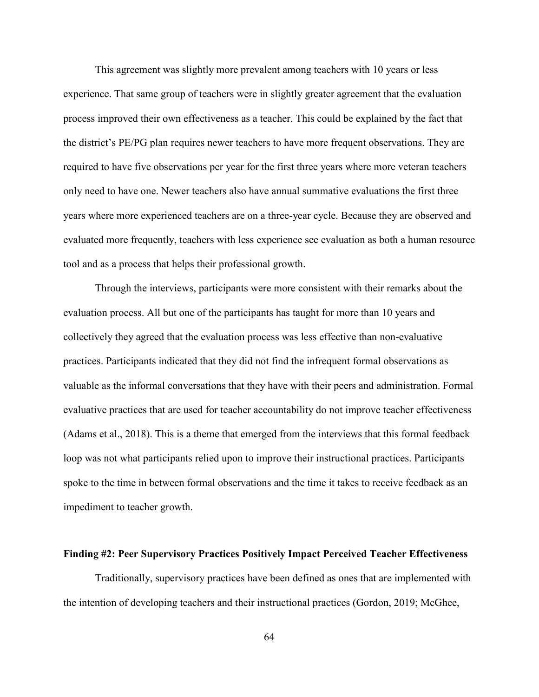This agreement was slightly more prevalent among teachers with 10 years or less experience. That same group of teachers were in slightly greater agreement that the evaluation process improved their own effectiveness as a teacher. This could be explained by the fact that the district's PE/PG plan requires newer teachers to have more frequent observations. They are required to have five observations per year for the first three years where more veteran teachers only need to have one. Newer teachers also have annual summative evaluations the first three years where more experienced teachers are on a three-year cycle. Because they are observed and evaluated more frequently, teachers with less experience see evaluation as both a human resource tool and as a process that helps their professional growth.

Through the interviews, participants were more consistent with their remarks about the evaluation process. All but one of the participants has taught for more than 10 years and collectively they agreed that the evaluation process was less effective than non-evaluative practices. Participants indicated that they did not find the infrequent formal observations as valuable as the informal conversations that they have with their peers and administration. Formal evaluative practices that are used for teacher accountability do not improve teacher effectiveness (Adams et al., 2018). This is a theme that emerged from the interviews that this formal feedback loop was not what participants relied upon to improve their instructional practices. Participants spoke to the time in between formal observations and the time it takes to receive feedback as an impediment to teacher growth.

## **Finding #2: Peer Supervisory Practices Positively Impact Perceived Teacher Effectiveness**

Traditionally, supervisory practices have been defined as ones that are implemented with the intention of developing teachers and their instructional practices (Gordon, 2019; McGhee,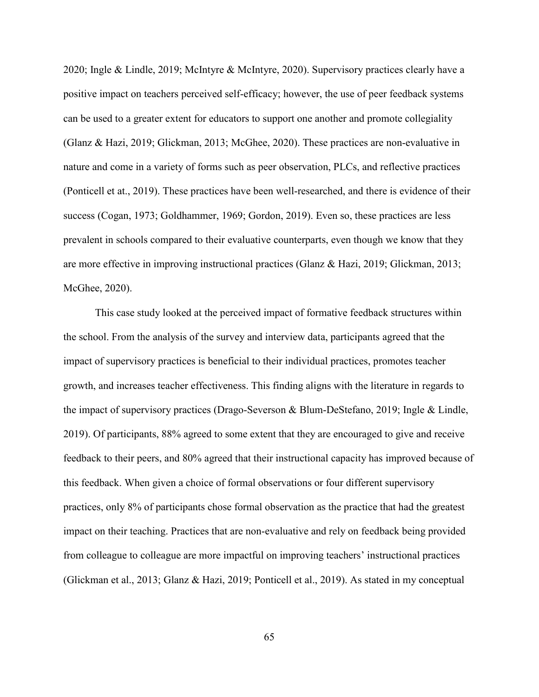2020; Ingle & Lindle, 2019; McIntyre & McIntyre, 2020). Supervisory practices clearly have a positive impact on teachers perceived self-efficacy; however, the use of peer feedback systems can be used to a greater extent for educators to support one another and promote collegiality (Glanz & Hazi, 2019; Glickman, 2013; McGhee, 2020). These practices are non-evaluative in nature and come in a variety of forms such as peer observation, PLCs, and reflective practices (Ponticell et at., 2019). These practices have been well-researched, and there is evidence of their success (Cogan, 1973; Goldhammer, 1969; Gordon, 2019). Even so, these practices are less prevalent in schools compared to their evaluative counterparts, even though we know that they are more effective in improving instructional practices (Glanz & Hazi, 2019; Glickman, 2013; McGhee, 2020).

This case study looked at the perceived impact of formative feedback structures within the school. From the analysis of the survey and interview data, participants agreed that the impact of supervisory practices is beneficial to their individual practices, promotes teacher growth, and increases teacher effectiveness. This finding aligns with the literature in regards to the impact of supervisory practices (Drago-Severson & Blum-DeStefano, 2019; Ingle & Lindle, 2019). Of participants, 88% agreed to some extent that they are encouraged to give and receive feedback to their peers, and 80% agreed that their instructional capacity has improved because of this feedback. When given a choice of formal observations or four different supervisory practices, only 8% of participants chose formal observation as the practice that had the greatest impact on their teaching. Practices that are non-evaluative and rely on feedback being provided from colleague to colleague are more impactful on improving teachers' instructional practices (Glickman et al., 2013; Glanz & Hazi, 2019; Ponticell et al., 2019). As stated in my conceptual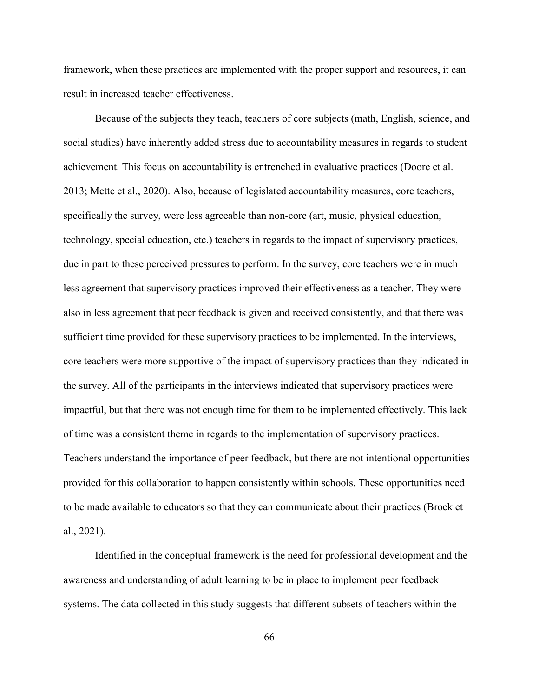framework, when these practices are implemented with the proper support and resources, it can result in increased teacher effectiveness.

Because of the subjects they teach, teachers of core subjects (math, English, science, and social studies) have inherently added stress due to accountability measures in regards to student achievement. This focus on accountability is entrenched in evaluative practices (Doore et al. 2013; Mette et al., 2020). Also, because of legislated accountability measures, core teachers, specifically the survey, were less agreeable than non-core (art, music, physical education, technology, special education, etc.) teachers in regards to the impact of supervisory practices, due in part to these perceived pressures to perform. In the survey, core teachers were in much less agreement that supervisory practices improved their effectiveness as a teacher. They were also in less agreement that peer feedback is given and received consistently, and that there was sufficient time provided for these supervisory practices to be implemented. In the interviews, core teachers were more supportive of the impact of supervisory practices than they indicated in the survey. All of the participants in the interviews indicated that supervisory practices were impactful, but that there was not enough time for them to be implemented effectively. This lack of time was a consistent theme in regards to the implementation of supervisory practices. Teachers understand the importance of peer feedback, but there are not intentional opportunities provided for this collaboration to happen consistently within schools. These opportunities need to be made available to educators so that they can communicate about their practices (Brock et al., 2021).

Identified in the conceptual framework is the need for professional development and the awareness and understanding of adult learning to be in place to implement peer feedback systems. The data collected in this study suggests that different subsets of teachers within the

66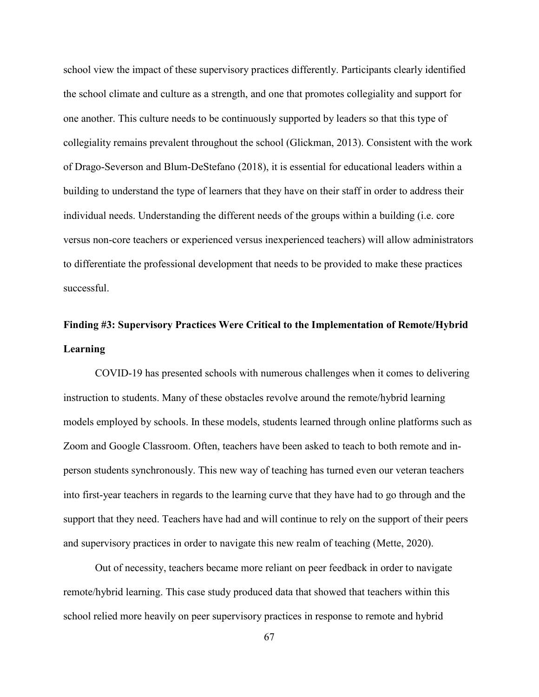school view the impact of these supervisory practices differently. Participants clearly identified the school climate and culture as a strength, and one that promotes collegiality and support for one another. This culture needs to be continuously supported by leaders so that this type of collegiality remains prevalent throughout the school (Glickman, 2013). Consistent with the work of Drago-Severson and Blum-DeStefano (2018), it is essential for educational leaders within a building to understand the type of learners that they have on their staff in order to address their individual needs. Understanding the different needs of the groups within a building (i.e. core versus non-core teachers or experienced versus inexperienced teachers) will allow administrators to differentiate the professional development that needs to be provided to make these practices successful.

# **Finding #3: Supervisory Practices Were Critical to the Implementation of Remote/Hybrid Learning**

COVID-19 has presented schools with numerous challenges when it comes to delivering instruction to students. Many of these obstacles revolve around the remote/hybrid learning models employed by schools. In these models, students learned through online platforms such as Zoom and Google Classroom. Often, teachers have been asked to teach to both remote and inperson students synchronously. This new way of teaching has turned even our veteran teachers into first-year teachers in regards to the learning curve that they have had to go through and the support that they need. Teachers have had and will continue to rely on the support of their peers and supervisory practices in order to navigate this new realm of teaching (Mette, 2020).

Out of necessity, teachers became more reliant on peer feedback in order to navigate remote/hybrid learning. This case study produced data that showed that teachers within this school relied more heavily on peer supervisory practices in response to remote and hybrid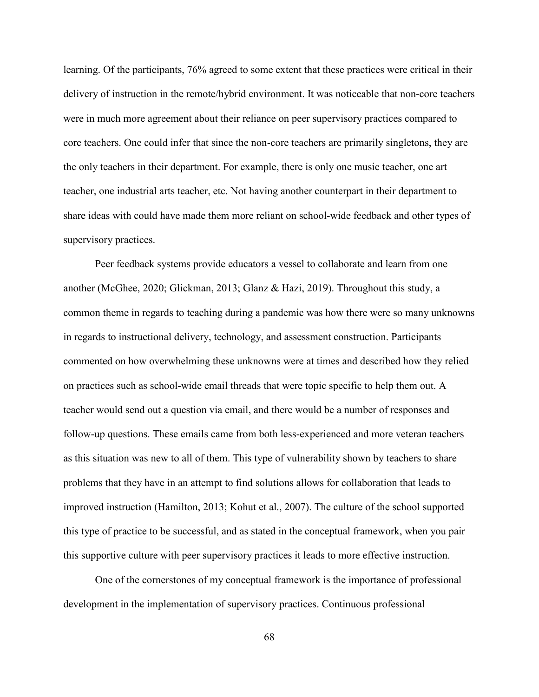learning. Of the participants, 76% agreed to some extent that these practices were critical in their delivery of instruction in the remote/hybrid environment. It was noticeable that non-core teachers were in much more agreement about their reliance on peer supervisory practices compared to core teachers. One could infer that since the non-core teachers are primarily singletons, they are the only teachers in their department. For example, there is only one music teacher, one art teacher, one industrial arts teacher, etc. Not having another counterpart in their department to share ideas with could have made them more reliant on school-wide feedback and other types of supervisory practices.

Peer feedback systems provide educators a vessel to collaborate and learn from one another (McGhee, 2020; Glickman, 2013; Glanz & Hazi, 2019). Throughout this study, a common theme in regards to teaching during a pandemic was how there were so many unknowns in regards to instructional delivery, technology, and assessment construction. Participants commented on how overwhelming these unknowns were at times and described how they relied on practices such as school-wide email threads that were topic specific to help them out. A teacher would send out a question via email, and there would be a number of responses and follow-up questions. These emails came from both less-experienced and more veteran teachers as this situation was new to all of them. This type of vulnerability shown by teachers to share problems that they have in an attempt to find solutions allows for collaboration that leads to improved instruction (Hamilton, 2013; Kohut et al., 2007). The culture of the school supported this type of practice to be successful, and as stated in the conceptual framework, when you pair this supportive culture with peer supervisory practices it leads to more effective instruction.

One of the cornerstones of my conceptual framework is the importance of professional development in the implementation of supervisory practices. Continuous professional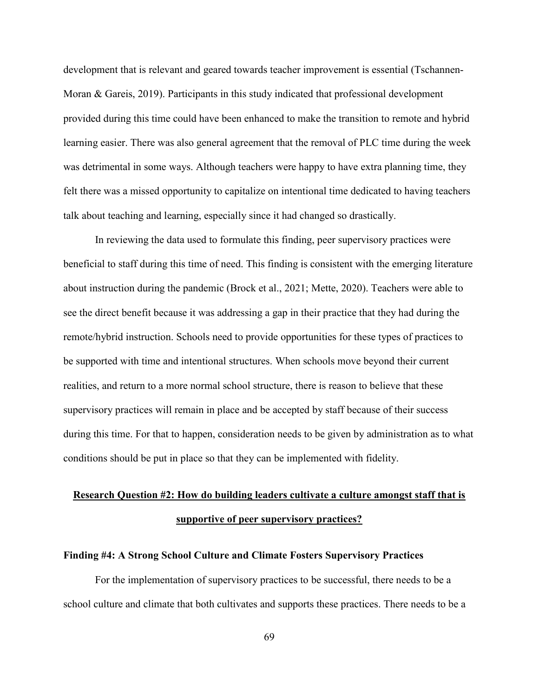development that is relevant and geared towards teacher improvement is essential (Tschannen-Moran & Gareis, 2019). Participants in this study indicated that professional development provided during this time could have been enhanced to make the transition to remote and hybrid learning easier. There was also general agreement that the removal of PLC time during the week was detrimental in some ways. Although teachers were happy to have extra planning time, they felt there was a missed opportunity to capitalize on intentional time dedicated to having teachers talk about teaching and learning, especially since it had changed so drastically.

In reviewing the data used to formulate this finding, peer supervisory practices were beneficial to staff during this time of need. This finding is consistent with the emerging literature about instruction during the pandemic (Brock et al., 2021; Mette, 2020). Teachers were able to see the direct benefit because it was addressing a gap in their practice that they had during the remote/hybrid instruction. Schools need to provide opportunities for these types of practices to be supported with time and intentional structures. When schools move beyond their current realities, and return to a more normal school structure, there is reason to believe that these supervisory practices will remain in place and be accepted by staff because of their success during this time. For that to happen, consideration needs to be given by administration as to what conditions should be put in place so that they can be implemented with fidelity.

# **Research Question #2: How do building leaders cultivate a culture amongst staff that is supportive of peer supervisory practices?**

#### **Finding #4: A Strong School Culture and Climate Fosters Supervisory Practices**

For the implementation of supervisory practices to be successful, there needs to be a school culture and climate that both cultivates and supports these practices. There needs to be a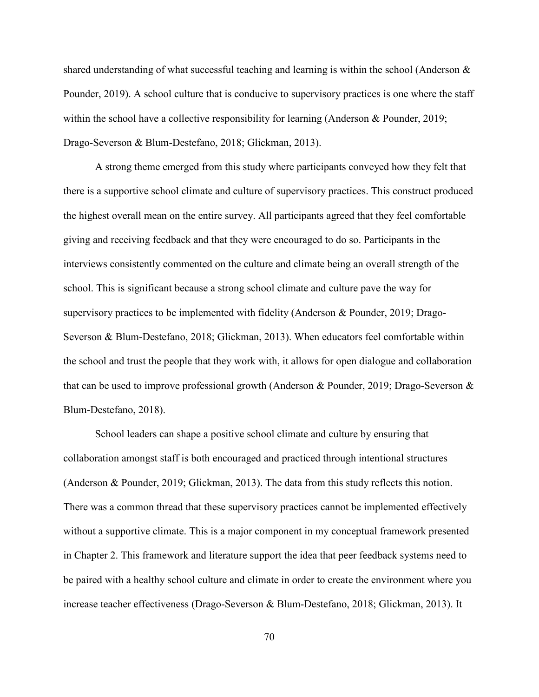shared understanding of what successful teaching and learning is within the school (Anderson & Pounder, 2019). A school culture that is conducive to supervisory practices is one where the staff within the school have a collective responsibility for learning (Anderson & Pounder, 2019; Drago-Severson & Blum-Destefano, 2018; Glickman, 2013).

A strong theme emerged from this study where participants conveyed how they felt that there is a supportive school climate and culture of supervisory practices. This construct produced the highest overall mean on the entire survey. All participants agreed that they feel comfortable giving and receiving feedback and that they were encouraged to do so. Participants in the interviews consistently commented on the culture and climate being an overall strength of the school. This is significant because a strong school climate and culture pave the way for supervisory practices to be implemented with fidelity (Anderson & Pounder, 2019; Drago-Severson & Blum-Destefano, 2018; Glickman, 2013). When educators feel comfortable within the school and trust the people that they work with, it allows for open dialogue and collaboration that can be used to improve professional growth (Anderson & Pounder, 2019; Drago-Severson & Blum-Destefano, 2018).

School leaders can shape a positive school climate and culture by ensuring that collaboration amongst staff is both encouraged and practiced through intentional structures (Anderson & Pounder, 2019; Glickman, 2013). The data from this study reflects this notion. There was a common thread that these supervisory practices cannot be implemented effectively without a supportive climate. This is a major component in my conceptual framework presented in Chapter 2. This framework and literature support the idea that peer feedback systems need to be paired with a healthy school culture and climate in order to create the environment where you increase teacher effectiveness (Drago-Severson & Blum-Destefano, 2018; Glickman, 2013). It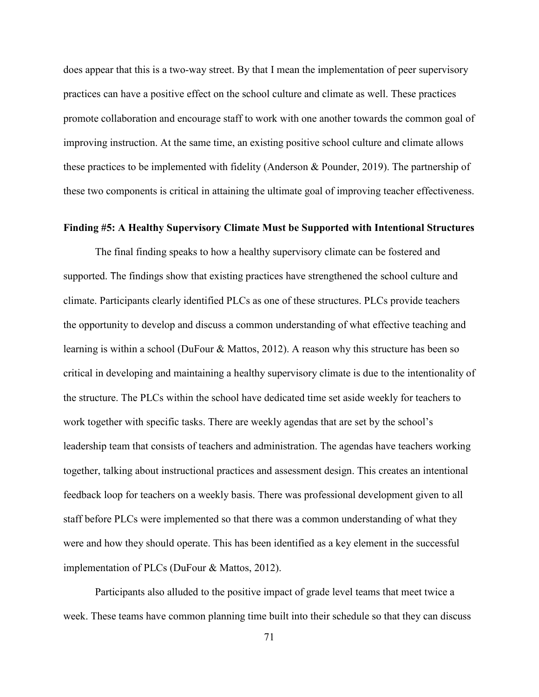does appear that this is a two-way street. By that I mean the implementation of peer supervisory practices can have a positive effect on the school culture and climate as well. These practices promote collaboration and encourage staff to work with one another towards the common goal of improving instruction. At the same time, an existing positive school culture and climate allows these practices to be implemented with fidelity (Anderson & Pounder, 2019). The partnership of these two components is critical in attaining the ultimate goal of improving teacher effectiveness.

## **Finding #5: A Healthy Supervisory Climate Must be Supported with Intentional Structures**

The final finding speaks to how a healthy supervisory climate can be fostered and supported. The findings show that existing practices have strengthened the school culture and climate. Participants clearly identified PLCs as one of these structures. PLCs provide teachers the opportunity to develop and discuss a common understanding of what effective teaching and learning is within a school (DuFour & Mattos, 2012). A reason why this structure has been so critical in developing and maintaining a healthy supervisory climate is due to the intentionality of the structure. The PLCs within the school have dedicated time set aside weekly for teachers to work together with specific tasks. There are weekly agendas that are set by the school's leadership team that consists of teachers and administration. The agendas have teachers working together, talking about instructional practices and assessment design. This creates an intentional feedback loop for teachers on a weekly basis. There was professional development given to all staff before PLCs were implemented so that there was a common understanding of what they were and how they should operate. This has been identified as a key element in the successful implementation of PLCs (DuFour & Mattos, 2012).

Participants also alluded to the positive impact of grade level teams that meet twice a week. These teams have common planning time built into their schedule so that they can discuss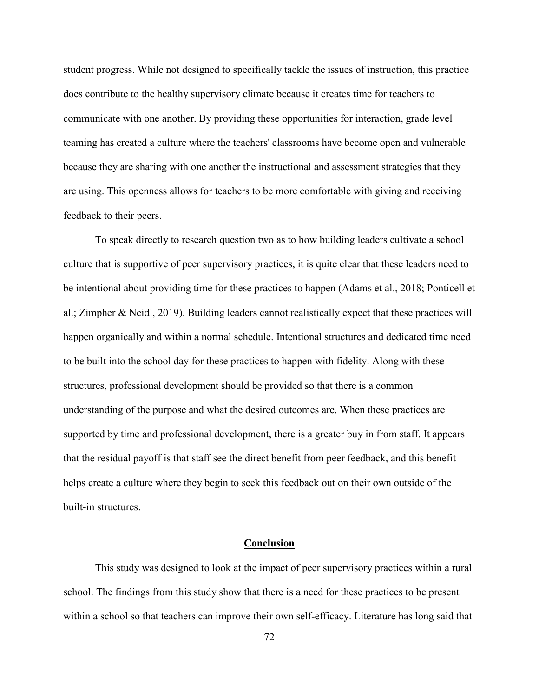student progress. While not designed to specifically tackle the issues of instruction, this practice does contribute to the healthy supervisory climate because it creates time for teachers to communicate with one another. By providing these opportunities for interaction, grade level teaming has created a culture where the teachers' classrooms have become open and vulnerable because they are sharing with one another the instructional and assessment strategies that they are using. This openness allows for teachers to be more comfortable with giving and receiving feedback to their peers.

To speak directly to research question two as to how building leaders cultivate a school culture that is supportive of peer supervisory practices, it is quite clear that these leaders need to be intentional about providing time for these practices to happen (Adams et al., 2018; Ponticell et al.; Zimpher & Neidl, 2019). Building leaders cannot realistically expect that these practices will happen organically and within a normal schedule. Intentional structures and dedicated time need to be built into the school day for these practices to happen with fidelity. Along with these structures, professional development should be provided so that there is a common understanding of the purpose and what the desired outcomes are. When these practices are supported by time and professional development, there is a greater buy in from staff. It appears that the residual payoff is that staff see the direct benefit from peer feedback, and this benefit helps create a culture where they begin to seek this feedback out on their own outside of the built-in structures.

## **Conclusion**

This study was designed to look at the impact of peer supervisory practices within a rural school. The findings from this study show that there is a need for these practices to be present within a school so that teachers can improve their own self-efficacy. Literature has long said that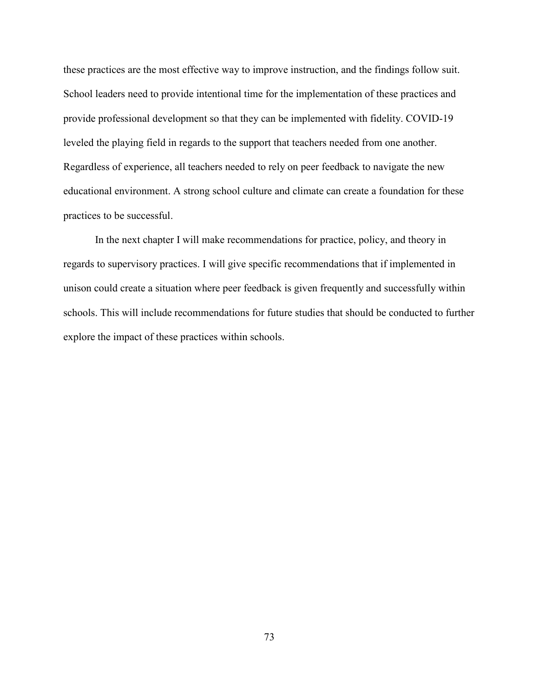these practices are the most effective way to improve instruction, and the findings follow suit. School leaders need to provide intentional time for the implementation of these practices and provide professional development so that they can be implemented with fidelity. COVID-19 leveled the playing field in regards to the support that teachers needed from one another. Regardless of experience, all teachers needed to rely on peer feedback to navigate the new educational environment. A strong school culture and climate can create a foundation for these practices to be successful.

In the next chapter I will make recommendations for practice, policy, and theory in regards to supervisory practices. I will give specific recommendations that if implemented in unison could create a situation where peer feedback is given frequently and successfully within schools. This will include recommendations for future studies that should be conducted to further explore the impact of these practices within schools.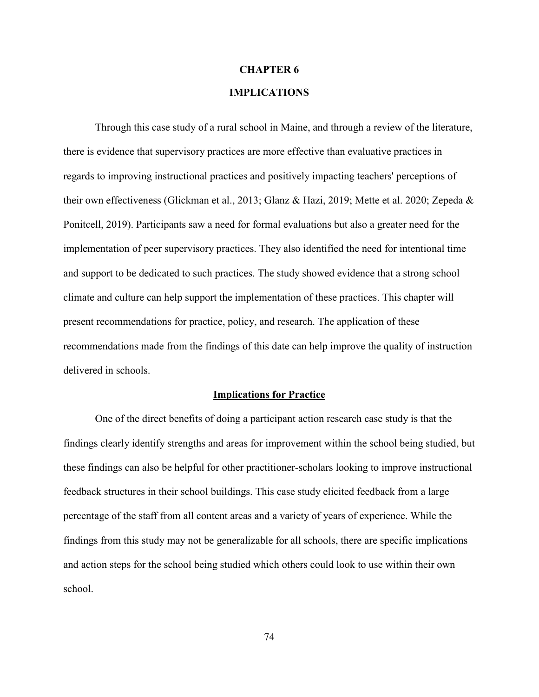#### **CHAPTER 6**

## **IMPLICATIONS**

Through this case study of a rural school in Maine, and through a review of the literature, there is evidence that supervisory practices are more effective than evaluative practices in regards to improving instructional practices and positively impacting teachers' perceptions of their own effectiveness (Glickman et al., 2013; Glanz & Hazi, 2019; Mette et al. 2020; Zepeda & Ponitcell, 2019). Participants saw a need for formal evaluations but also a greater need for the implementation of peer supervisory practices. They also identified the need for intentional time and support to be dedicated to such practices. The study showed evidence that a strong school climate and culture can help support the implementation of these practices. This chapter will present recommendations for practice, policy, and research. The application of these recommendations made from the findings of this date can help improve the quality of instruction delivered in schools.

#### **Implications for Practice**

One of the direct benefits of doing a participant action research case study is that the findings clearly identify strengths and areas for improvement within the school being studied, but these findings can also be helpful for other practitioner-scholars looking to improve instructional feedback structures in their school buildings. This case study elicited feedback from a large percentage of the staff from all content areas and a variety of years of experience. While the findings from this study may not be generalizable for all schools, there are specific implications and action steps for the school being studied which others could look to use within their own school.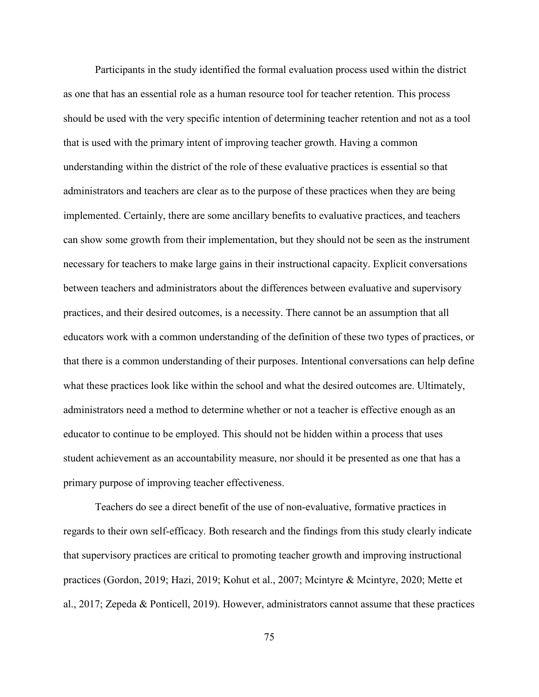Participants in the study identified the formal evaluation process used within the district as one that has an essential role as a human resource tool for teacher retention. This process should be used with the very specific intention of determining teacher retention and not as a tool that is used with the primary intent of improving teacher growth. Having a common understanding within the district of the role of these evaluative practices is essential so that administrators and teachers are clear as to the purpose of these practices when they are being implemented. Certainly, there are some ancillary benefits to evaluative practices, and teachers can show some growth from their implementation, but they should not be seen as the instrument necessary for teachers to make large gains in their instructional capacity. Explicit conversations between teachers and administrators about the differences between evaluative and supervisory practices, and their desired outcomes, is a necessity. There cannot be an assumption that all educators work with a common understanding of the definition of these two types of practices, or that there is a common understanding of their purposes. Intentional conversations can help define what these practices look like within the school and what the desired outcomes are. Ultimately, administrators need a method to determine whether or not a teacher is effective enough as an educator to continue to be employed. This should not be hidden within a process that uses student achievement as an accountability measure, nor should it be presented as one that has a primary purpose of improving teacher effectiveness.

Teachers do see a direct benefit of the use of non-evaluative, formative practices in regards to their own self-efficacy. Both research and the findings from this study clearly indicate that supervisory practices are critical to promoting teacher growth and improving instructional practices (Gordon, 2019; Hazi, 2019; Kohut et al., 2007; Mcintyre & Mcintyre, 2020; Mette et al., 2017; Zepeda & Ponticell, 2019). However, administrators cannot assume that these practices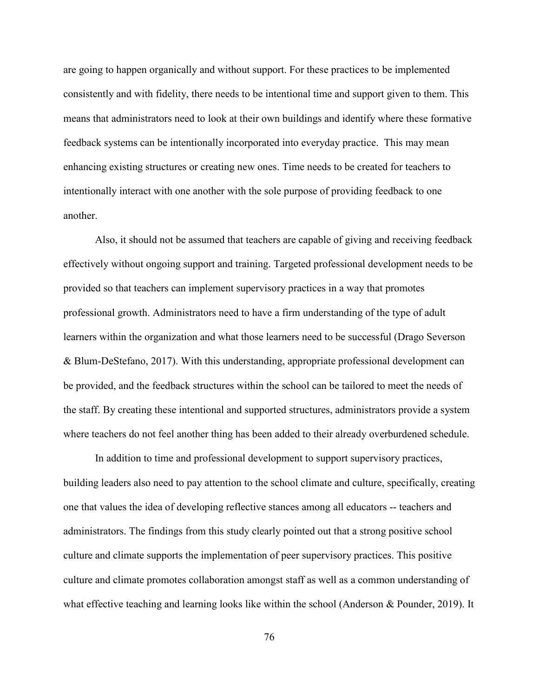are going to happen organically and without support. For these practices to be implemented consistently and with fidelity, there needs to be intentional time and support given to them. This means that administrators need to look at their own buildings and identify where these formative feedback systems can be intentionally incorporated into everyday practice. This may mean enhancing existing structures or creating new ones. Time needs to be created for teachers to intentionally interact with one another with the sole purpose of providing feedback to one another.

Also, it should not be assumed that teachers are capable of giving and receiving feedback effectively without ongoing support and training. Targeted professional development needs to be provided so that teachers can implement supervisory practices in a way that promotes professional growth. Administrators need to have a firm understanding of the type of adult learners within the organization and what those learners need to be successful (Drago Severson & Blum-DeStefano, 2017). With this understanding, appropriate professional development can be provided, and the feedback structures within the school can be tailored to meet the needs of the staff. By creating these intentional and supported structures, administrators provide a system where teachers do not feel another thing has been added to their already overburdened schedule.

In addition to time and professional development to support supervisory practices, building leaders also need to pay attention to the school climate and culture, specifically, creating one that values the idea of developing reflective stances among all educators -- teachers and administrators. The findings from this study clearly pointed out that a strong positive school culture and climate supports the implementation of peer supervisory practices. This positive culture and climate promotes collaboration amongst staff as well as a common understanding of what effective teaching and learning looks like within the school (Anderson & Pounder, 2019). It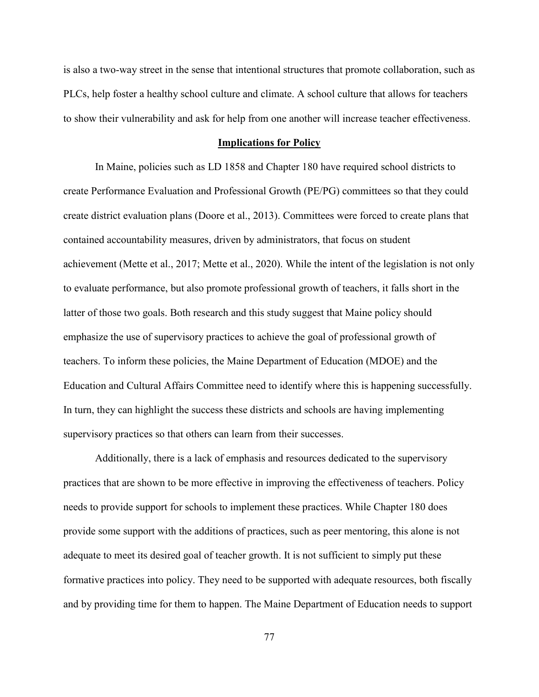is also a two-way street in the sense that intentional structures that promote collaboration, such as PLCs, help foster a healthy school culture and climate. A school culture that allows for teachers to show their vulnerability and ask for help from one another will increase teacher effectiveness.

#### **Implications for Policy**

In Maine, policies such as LD 1858 and Chapter 180 have required school districts to create Performance Evaluation and Professional Growth (PE/PG) committees so that they could create district evaluation plans (Doore et al., 2013). Committees were forced to create plans that contained accountability measures, driven by administrators, that focus on student achievement (Mette et al., 2017; Mette et al., 2020). While the intent of the legislation is not only to evaluate performance, but also promote professional growth of teachers, it falls short in the latter of those two goals. Both research and this study suggest that Maine policy should emphasize the use of supervisory practices to achieve the goal of professional growth of teachers. To inform these policies, the Maine Department of Education (MDOE) and the Education and Cultural Affairs Committee need to identify where this is happening successfully. In turn, they can highlight the success these districts and schools are having implementing supervisory practices so that others can learn from their successes.

Additionally, there is a lack of emphasis and resources dedicated to the supervisory practices that are shown to be more effective in improving the effectiveness of teachers. Policy needs to provide support for schools to implement these practices. While Chapter 180 does provide some support with the additions of practices, such as peer mentoring, this alone is not adequate to meet its desired goal of teacher growth. It is not sufficient to simply put these formative practices into policy. They need to be supported with adequate resources, both fiscally and by providing time for them to happen. The Maine Department of Education needs to support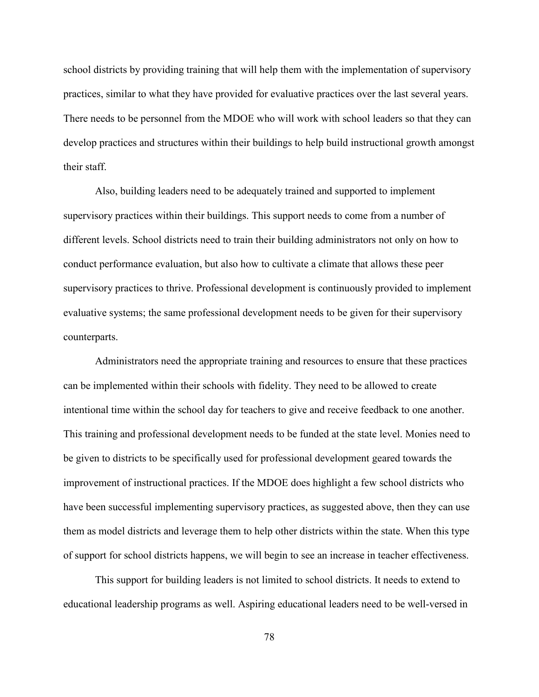school districts by providing training that will help them with the implementation of supervisory practices, similar to what they have provided for evaluative practices over the last several years. There needs to be personnel from the MDOE who will work with school leaders so that they can develop practices and structures within their buildings to help build instructional growth amongst their staff.

Also, building leaders need to be adequately trained and supported to implement supervisory practices within their buildings. This support needs to come from a number of different levels. School districts need to train their building administrators not only on how to conduct performance evaluation, but also how to cultivate a climate that allows these peer supervisory practices to thrive. Professional development is continuously provided to implement evaluative systems; the same professional development needs to be given for their supervisory counterparts.

Administrators need the appropriate training and resources to ensure that these practices can be implemented within their schools with fidelity. They need to be allowed to create intentional time within the school day for teachers to give and receive feedback to one another. This training and professional development needs to be funded at the state level. Monies need to be given to districts to be specifically used for professional development geared towards the improvement of instructional practices. If the MDOE does highlight a few school districts who have been successful implementing supervisory practices, as suggested above, then they can use them as model districts and leverage them to help other districts within the state. When this type of support for school districts happens, we will begin to see an increase in teacher effectiveness.

This support for building leaders is not limited to school districts. It needs to extend to educational leadership programs as well. Aspiring educational leaders need to be well-versed in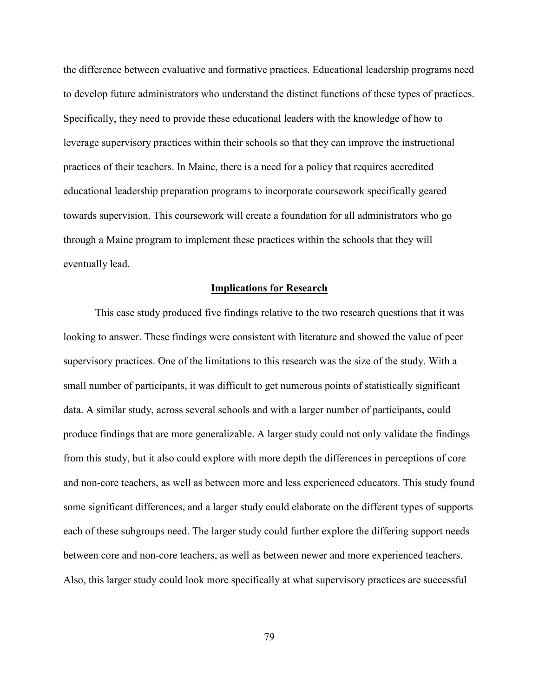the difference between evaluative and formative practices. Educational leadership programs need to develop future administrators who understand the distinct functions of these types of practices. Specifically, they need to provide these educational leaders with the knowledge of how to leverage supervisory practices within their schools so that they can improve the instructional practices of their teachers. In Maine, there is a need for a policy that requires accredited educational leadership preparation programs to incorporate coursework specifically geared towards supervision. This coursework will create a foundation for all administrators who go through a Maine program to implement these practices within the schools that they will eventually lead.

#### **Implications for Research**

This case study produced five findings relative to the two research questions that it was looking to answer. These findings were consistent with literature and showed the value of peer supervisory practices. One of the limitations to this research was the size of the study. With a small number of participants, it was difficult to get numerous points of statistically significant data. A similar study, across several schools and with a larger number of participants, could produce findings that are more generalizable. A larger study could not only validate the findings from this study, but it also could explore with more depth the differences in perceptions of core and non-core teachers, as well as between more and less experienced educators. This study found some significant differences, and a larger study could elaborate on the different types of supports each of these subgroups need. The larger study could further explore the differing support needs between core and non-core teachers, as well as between newer and more experienced teachers. Also, this larger study could look more specifically at what supervisory practices are successful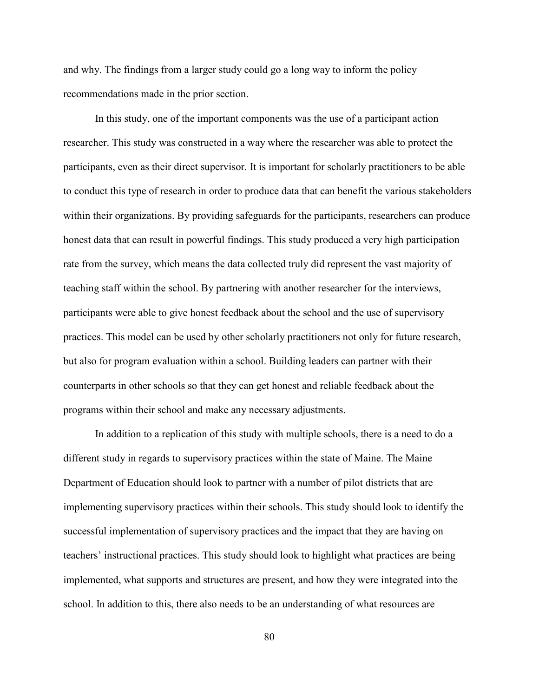and why. The findings from a larger study could go a long way to inform the policy recommendations made in the prior section.

In this study, one of the important components was the use of a participant action researcher. This study was constructed in a way where the researcher was able to protect the participants, even as their direct supervisor. It is important for scholarly practitioners to be able to conduct this type of research in order to produce data that can benefit the various stakeholders within their organizations. By providing safeguards for the participants, researchers can produce honest data that can result in powerful findings. This study produced a very high participation rate from the survey, which means the data collected truly did represent the vast majority of teaching staff within the school. By partnering with another researcher for the interviews, participants were able to give honest feedback about the school and the use of supervisory practices. This model can be used by other scholarly practitioners not only for future research, but also for program evaluation within a school. Building leaders can partner with their counterparts in other schools so that they can get honest and reliable feedback about the programs within their school and make any necessary adjustments.

In addition to a replication of this study with multiple schools, there is a need to do a different study in regards to supervisory practices within the state of Maine. The Maine Department of Education should look to partner with a number of pilot districts that are implementing supervisory practices within their schools. This study should look to identify the successful implementation of supervisory practices and the impact that they are having on teachers' instructional practices. This study should look to highlight what practices are being implemented, what supports and structures are present, and how they were integrated into the school. In addition to this, there also needs to be an understanding of what resources are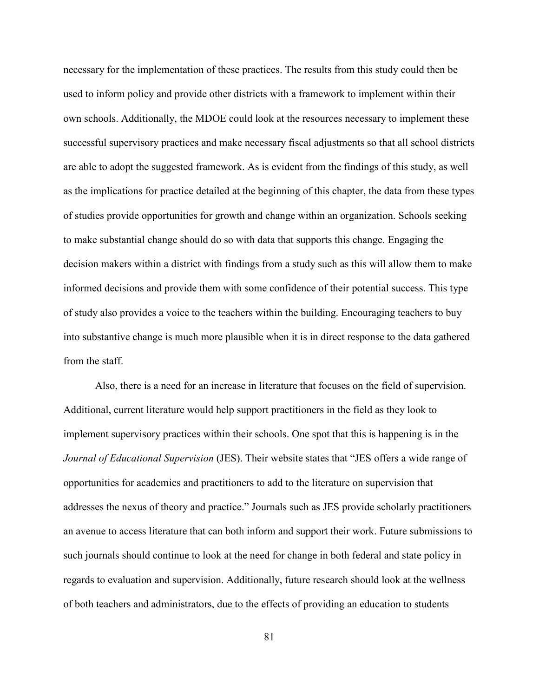necessary for the implementation of these practices. The results from this study could then be used to inform policy and provide other districts with a framework to implement within their own schools. Additionally, the MDOE could look at the resources necessary to implement these successful supervisory practices and make necessary fiscal adjustments so that all school districts are able to adopt the suggested framework. As is evident from the findings of this study, as well as the implications for practice detailed at the beginning of this chapter, the data from these types of studies provide opportunities for growth and change within an organization. Schools seeking to make substantial change should do so with data that supports this change. Engaging the decision makers within a district with findings from a study such as this will allow them to make informed decisions and provide them with some confidence of their potential success. This type of study also provides a voice to the teachers within the building. Encouraging teachers to buy into substantive change is much more plausible when it is in direct response to the data gathered from the staff.

Also, there is a need for an increase in literature that focuses on the field of supervision. Additional, current literature would help support practitioners in the field as they look to implement supervisory practices within their schools. One spot that this is happening is in the *Journal of Educational Supervision* (JES). Their website states that "JES offers a wide range of opportunities for academics and practitioners to add to the literature on supervision that addresses the nexus of theory and practice." Journals such as JES provide scholarly practitioners an avenue to access literature that can both inform and support their work. Future submissions to such journals should continue to look at the need for change in both federal and state policy in regards to evaluation and supervision. Additionally, future research should look at the wellness of both teachers and administrators, due to the effects of providing an education to students

81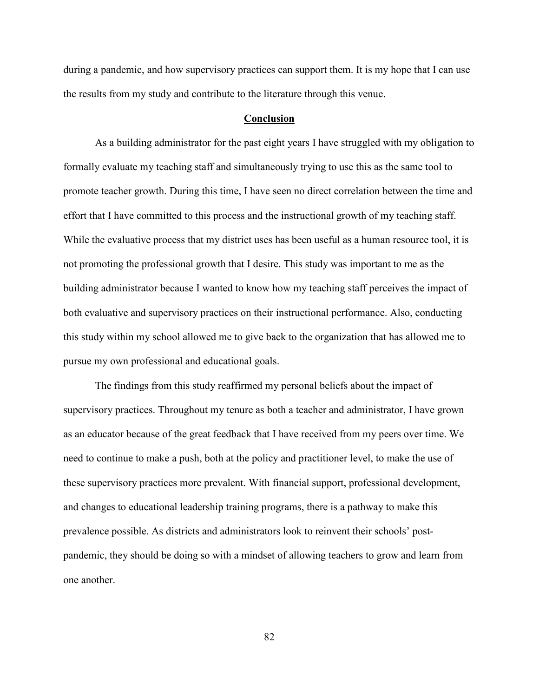during a pandemic, and how supervisory practices can support them. It is my hope that I can use the results from my study and contribute to the literature through this venue.

#### **Conclusion**

As a building administrator for the past eight years I have struggled with my obligation to formally evaluate my teaching staff and simultaneously trying to use this as the same tool to promote teacher growth. During this time, I have seen no direct correlation between the time and effort that I have committed to this process and the instructional growth of my teaching staff. While the evaluative process that my district uses has been useful as a human resource tool, it is not promoting the professional growth that I desire. This study was important to me as the building administrator because I wanted to know how my teaching staff perceives the impact of both evaluative and supervisory practices on their instructional performance. Also, conducting this study within my school allowed me to give back to the organization that has allowed me to pursue my own professional and educational goals.

The findings from this study reaffirmed my personal beliefs about the impact of supervisory practices. Throughout my tenure as both a teacher and administrator, I have grown as an educator because of the great feedback that I have received from my peers over time. We need to continue to make a push, both at the policy and practitioner level, to make the use of these supervisory practices more prevalent. With financial support, professional development, and changes to educational leadership training programs, there is a pathway to make this prevalence possible. As districts and administrators look to reinvent their schools' postpandemic, they should be doing so with a mindset of allowing teachers to grow and learn from one another.

82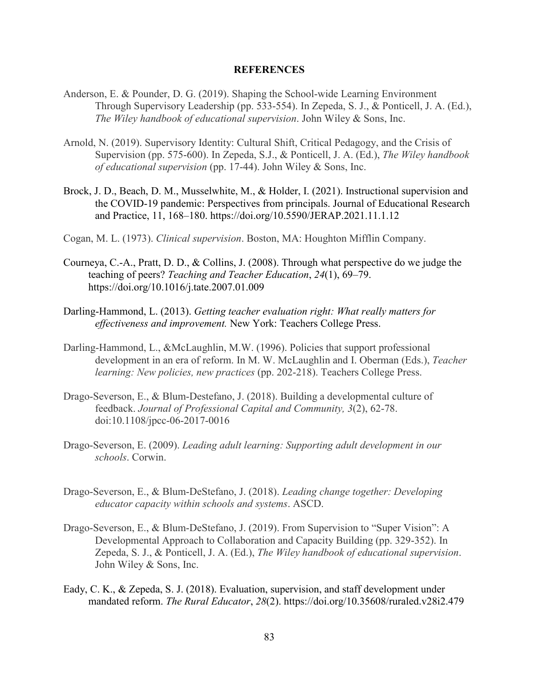#### **REFERENCES**

- Anderson, E. & Pounder, D. G. (2019). Shaping the School-wide Learning Environment Through Supervisory Leadership (pp. 533-554). In Zepeda, S. J., & Ponticell, J. A. (Ed.), *The Wiley handbook of educational supervision*. John Wiley & Sons, Inc.
- Arnold, N. (2019). Supervisory Identity: Cultural Shift, Critical Pedagogy, and the Crisis of Supervision (pp. 575-600). In Zepeda, S.J., & Ponticell, J. A. (Ed.), *The Wiley handbook of educational supervision* (pp. 17-44). John Wiley & Sons, Inc.
- Brock, J. D., Beach, D. M., Musselwhite, M., & Holder, I. (2021). Instructional supervision and the COVID-19 pandemic: Perspectives from principals. Journal of Educational Research and Practice, 11, 168–180. https://doi.org/10.5590/JERAP.2021.11.1.12
- Cogan, M. L. (1973). *Clinical supervision*. Boston, MA: Houghton Mifflin Company.
- Courneya, C.-A., Pratt, D. D., & Collins, J. (2008). Through what perspective do we judge the teaching of peers? *Teaching and Teacher Education*, *24*(1), 69–79. https://doi.org/10.1016/j.tate.2007.01.009
- Darling-Hammond, L. (2013). *Getting teacher evaluation right: What really matters for effectiveness and improvement.* New York: Teachers College Press.
- Darling-Hammond, L., &McLaughlin, M.W. (1996). Policies that support professional development in an era of reform. In M. W. McLaughlin and I. Oberman (Eds.), *Teacher learning: New policies, new practices* (pp. 202-218). Teachers College Press.
- Drago-Severson, E., & Blum-Destefano, J. (2018). Building a developmental culture of feedback. *Journal of Professional Capital and Community, 3*(2), 62-78. doi:10.1108/jpcc-06-2017-0016
- Drago-Severson, E. (2009). *Leading adult learning: Supporting adult development in our schools*. Corwin.
- Drago-Severson, E., & Blum-DeStefano, J. (2018). *Leading change together: Developing educator capacity within schools and systems*. ASCD.
- Drago-Severson, E., & Blum-DeStefano, J. (2019). From Supervision to "Super Vision": A Developmental Approach to Collaboration and Capacity Building (pp. 329-352). In Zepeda, S. J., & Ponticell, J. A. (Ed.), *The Wiley handbook of educational supervision*. John Wiley & Sons, Inc.
- Eady, C. K., & Zepeda, S. J. (2018). Evaluation, supervision, and staff development under mandated reform. *The Rural Educator*, *28*(2). https://doi.org/10.35608/ruraled.v28i2.479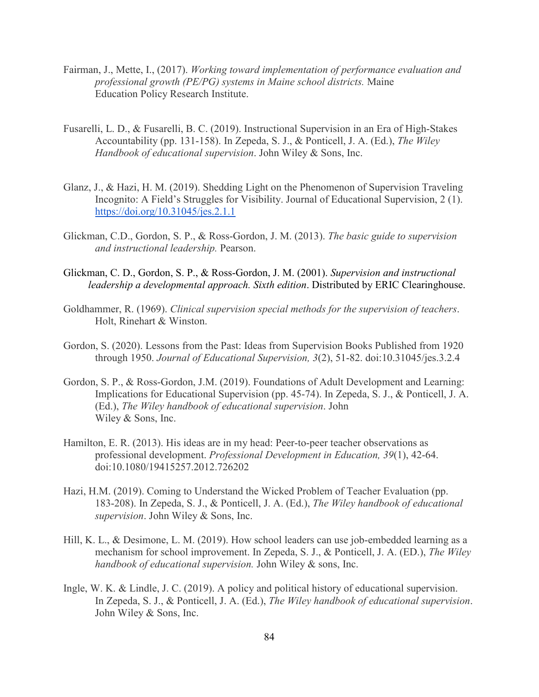- Fairman, J., Mette, I., (2017). *Working toward implementation of performance evaluation and professional growth (PE/PG) systems in Maine school districts.* Maine Education Policy Research Institute.
- Fusarelli, L. D., & Fusarelli, B. C. (2019). Instructional Supervision in an Era of High-Stakes Accountability (pp. 131-158). In Zepeda, S. J., & Ponticell, J. A. (Ed.), *The Wiley Handbook of educational supervision*. John Wiley & Sons, Inc.
- Glanz, J., & Hazi, H. M. (2019). Shedding Light on the Phenomenon of Supervision Traveling Incognito: A Field's Struggles for Visibility. Journal of Educational Supervision, 2 (1). <https://doi.org/10.31045/jes.2.1.1>
- Glickman, C.D., Gordon, S. P., & Ross-Gordon, J. M. (2013). *The basic guide to supervision and instructional leadership.* Pearson.
- Glickman, C. D., Gordon, S. P., & Ross-Gordon, J. M. (2001). *Supervision and instructional leadership a developmental approach. Sixth edition*. Distributed by ERIC Clearinghouse.
- Goldhammer, R. (1969). *Clinical supervision special methods for the supervision of teachers*. Holt, Rinehart & Winston.
- Gordon, S. (2020). Lessons from the Past: Ideas from Supervision Books Published from 1920 through 1950. *Journal of Educational Supervision, 3*(2), 51-82. doi:10.31045/jes.3.2.4
- Gordon, S. P., & Ross-Gordon, J.M. (2019). Foundations of Adult Development and Learning: Implications for Educational Supervision (pp. 45-74). In Zepeda, S. J., & Ponticell, J. A. (Ed.), *The Wiley handbook of educational supervision*. John Wiley & Sons, Inc.
- Hamilton, E. R. (2013). His ideas are in my head: Peer-to-peer teacher observations as professional development. *Professional Development in Education, 39*(1), 42-64. doi:10.1080/19415257.2012.726202
- Hazi, H.M. (2019). Coming to Understand the Wicked Problem of Teacher Evaluation (pp. 183-208). In Zepeda, S. J., & Ponticell, J. A. (Ed.), *The Wiley handbook of educational supervision*. John Wiley & Sons, Inc.
- Hill, K. L., & Desimone, L. M. (2019). How school leaders can use job-embedded learning as a mechanism for school improvement. In Zepeda, S. J., & Ponticell, J. A. (ED.), *The Wiley handbook of educational supervision.* John Wiley & sons, Inc.
- Ingle, W. K. & Lindle, J. C. (2019). A policy and political history of educational supervision. In Zepeda, S. J., & Ponticell, J. A. (Ed.), *The Wiley handbook of educational supervision*. John Wiley & Sons, Inc.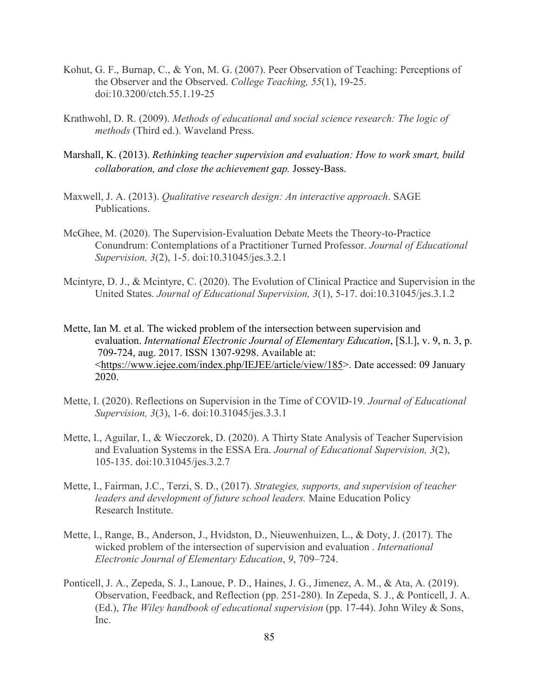- Kohut, G. F., Burnap, C., & Yon, M. G. (2007). Peer Observation of Teaching: Perceptions of the Observer and the Observed. *College Teaching, 55*(1), 19-25. doi:10.3200/ctch.55.1.19-25
- Krathwohl, D. R. (2009). *Methods of educational and social science research: The logic of methods* (Third ed.). Waveland Press.
- Marshall, K. (2013). *Rethinking teacher supervision and evaluation: How to work smart, build collaboration, and close the achievement gap.* Jossey-Bass.
- Maxwell, J. A. (2013). *Qualitative research design: An interactive approach*. SAGE Publications.
- McGhee, M. (2020). The Supervision-Evaluation Debate Meets the Theory-to-Practice Conundrum: Contemplations of a Practitioner Turned Professor. *Journal of Educational Supervision, 3*(2), 1-5. doi:10.31045/jes.3.2.1
- Mcintyre, D. J., & Mcintyre, C. (2020). The Evolution of Clinical Practice and Supervision in the United States. *Journal of Educational Supervision, 3*(1), 5-17. doi:10.31045/jes.3.1.2
- Mette, Ian M. et al. The wicked problem of the intersection between supervision and evaluation. *International Electronic Journal of Elementary Education*, [S.l.], v. 9, n. 3, p. 709-724, aug. 2017. ISSN 1307-9298. Available at: [<https://www.iejee.com/index.php/IEJEE/article/view/185>](https://www.iejee.com/index.php/IEJEE/article/view/185). Date accessed: 09 January 2020.
- Mette, I. (2020). Reflections on Supervision in the Time of COVID-19. *Journal of Educational Supervision, 3*(3), 1-6. doi:10.31045/jes.3.3.1
- Mette, I., Aguilar, I., & Wieczorek, D. (2020). A Thirty State Analysis of Teacher Supervision and Evaluation Systems in the ESSA Era. *Journal of Educational Supervision, 3*(2), 105-135. doi:10.31045/jes.3.2.7
- Mette, I., Fairman, J.C., Terzi, S. D., (2017). *Strategies, supports, and supervision of teacher leaders and development of future school leaders.* Maine Education Policy Research Institute.
- Mette, I., Range, B., Anderson, J., Hvidston, D., Nieuwenhuizen, L., & Doty, J. (2017). The wicked problem of the intersection of supervision and evaluation . *International Electronic Journal of Elementary Education*, *9*, 709–724.
- Ponticell, J. A., Zepeda, S. J., Lanoue, P. D., Haines, J. G., Jimenez, A. M., & Ata, A. (2019). Observation, Feedback, and Reflection (pp. 251-280). In Zepeda, S. J., & Ponticell, J. A. (Ed.), *The Wiley handbook of educational supervision* (pp. 17-44). John Wiley & Sons, Inc.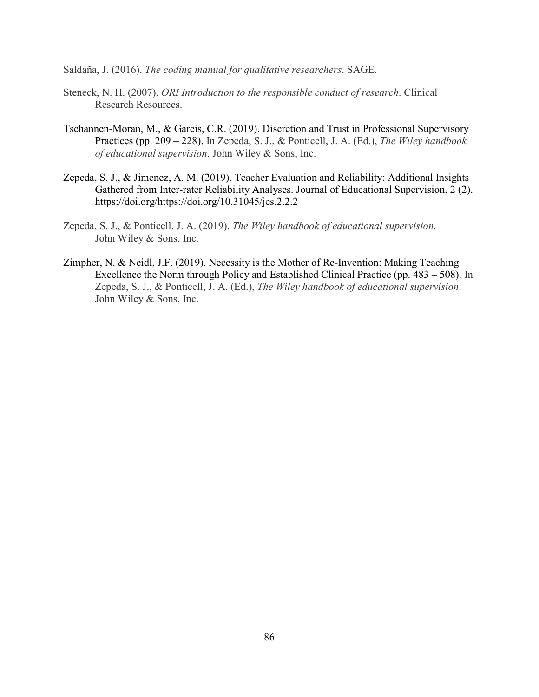Saldaña, J. (2016). *The coding manual for qualitative researchers*. SAGE.

- Steneck, N. H. (2007). *ORI Introduction to the responsible conduct of research*. Clinical Research Resources.
- Tschannen-Moran, M., & Gareis, C.R. (2019). Discretion and Trust in Professional Supervisory Practices (pp. 209 – 228). In Zepeda, S. J., & Ponticell, J. A. (Ed.), *The Wiley handbook of educational supervision*. John Wiley & Sons, Inc.
- Zepeda, S. J., & Jimenez, A. M. (2019). Teacher Evaluation and Reliability: Additional Insights Gathered from Inter-rater Reliability Analyses. Journal of Educational Supervision, 2 (2). https://doi.org/https://doi.org/10.31045/jes.2.2.2
- Zepeda, S. J., & Ponticell, J. A. (2019). *The Wiley handbook of educational supervision*. John Wiley & Sons, Inc.
- Zimpher, N. & Neidl, J.F. (2019). Necessity is the Mother of Re-Invention: Making Teaching Excellence the Norm through Policy and Established Clinical Practice (pp. 483 – 508). In Zepeda, S. J., & Ponticell, J. A. (Ed.), *The Wiley handbook of educational supervision*. John Wiley & Sons, Inc.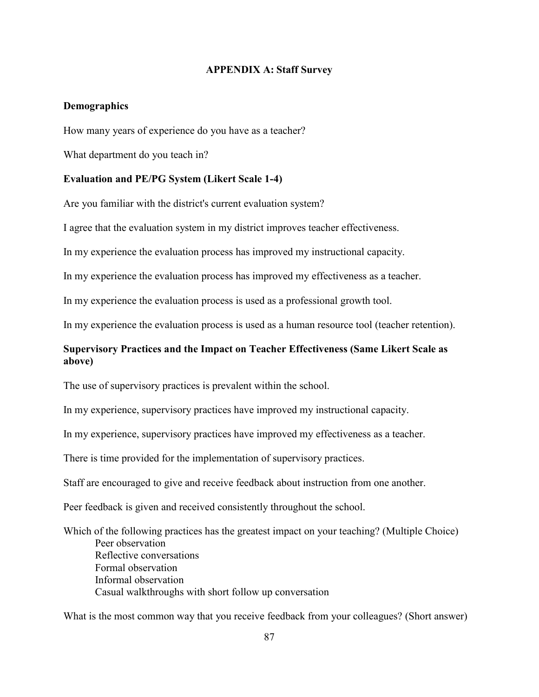## **APPENDIX A: Staff Survey**

## **Demographics**

How many years of experience do you have as a teacher?

What department do you teach in?

## **Evaluation and PE/PG System (Likert Scale 1-4)**

Are you familiar with the district's current evaluation system?

I agree that the evaluation system in my district improves teacher effectiveness.

In my experience the evaluation process has improved my instructional capacity.

In my experience the evaluation process has improved my effectiveness as a teacher.

In my experience the evaluation process is used as a professional growth tool.

In my experience the evaluation process is used as a human resource tool (teacher retention).

# **Supervisory Practices and the Impact on Teacher Effectiveness (Same Likert Scale as above)**

The use of supervisory practices is prevalent within the school.

In my experience, supervisory practices have improved my instructional capacity.

In my experience, supervisory practices have improved my effectiveness as a teacher.

There is time provided for the implementation of supervisory practices.

Staff are encouraged to give and receive feedback about instruction from one another.

Peer feedback is given and received consistently throughout the school.

Which of the following practices has the greatest impact on your teaching? (Multiple Choice) Peer observation Reflective conversations Formal observation Informal observation Casual walkthroughs with short follow up conversation

What is the most common way that you receive feedback from your colleagues? (Short answer)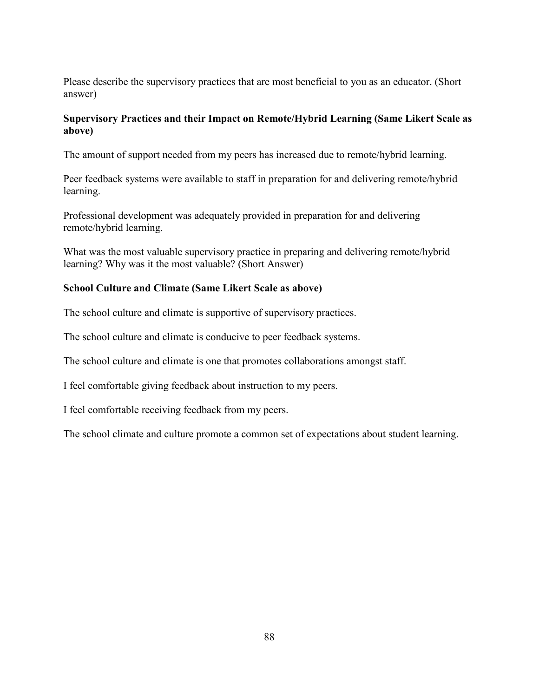Please describe the supervisory practices that are most beneficial to you as an educator. (Short answer)

# **Supervisory Practices and their Impact on Remote/Hybrid Learning (Same Likert Scale as above)**

The amount of support needed from my peers has increased due to remote/hybrid learning.

Peer feedback systems were available to staff in preparation for and delivering remote/hybrid learning.

Professional development was adequately provided in preparation for and delivering remote/hybrid learning.

What was the most valuable supervisory practice in preparing and delivering remote/hybrid learning? Why was it the most valuable? (Short Answer)

# **School Culture and Climate (Same Likert Scale as above)**

The school culture and climate is supportive of supervisory practices.

The school culture and climate is conducive to peer feedback systems.

The school culture and climate is one that promotes collaborations amongst staff.

I feel comfortable giving feedback about instruction to my peers.

I feel comfortable receiving feedback from my peers.

The school climate and culture promote a common set of expectations about student learning.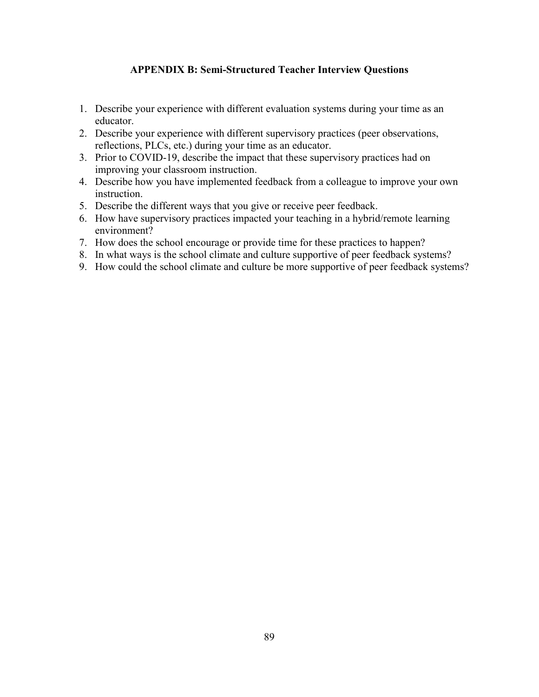# **APPENDIX B: Semi-Structured Teacher Interview Questions**

- 1. Describe your experience with different evaluation systems during your time as an educator.
- 2. Describe your experience with different supervisory practices (peer observations, reflections, PLCs, etc.) during your time as an educator.
- 3. Prior to COVID-19, describe the impact that these supervisory practices had on improving your classroom instruction.
- 4. Describe how you have implemented feedback from a colleague to improve your own instruction.
- 5. Describe the different ways that you give or receive peer feedback.
- 6. How have supervisory practices impacted your teaching in a hybrid/remote learning environment?
- 7. How does the school encourage or provide time for these practices to happen?
- 8. In what ways is the school climate and culture supportive of peer feedback systems?
- 9. How could the school climate and culture be more supportive of peer feedback systems?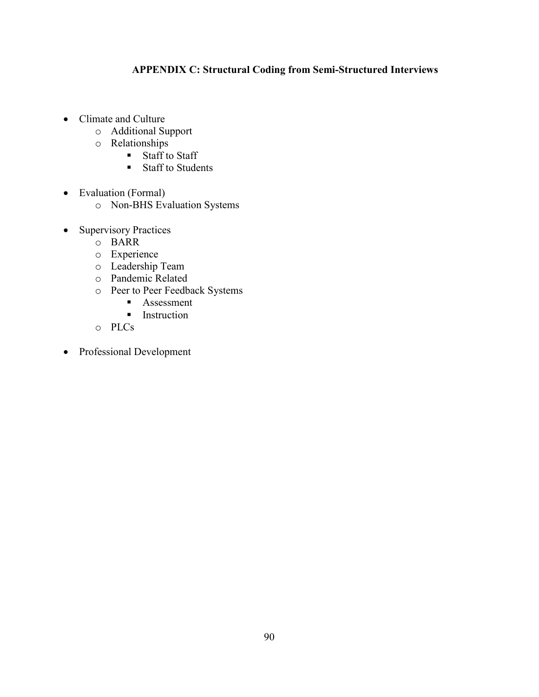# **APPENDIX C: Structural Coding from Semi-Structured Interviews**

- Climate and Culture
	- o Additional Support
	- o Relationships<br>Staff to
		- Staff to Staff
		- Staff to Students
- Evaluation (Formal)
	- o Non-BHS Evaluation Systems
- Supervisory Practices
	- o BARR
	- o Experience
	- o Leadership Team
	- o Pandemic Related
	- o Peer to Peer Feedback Systems
		- Assessment
		- **Instruction**
	- o PLCs
- Professional Development